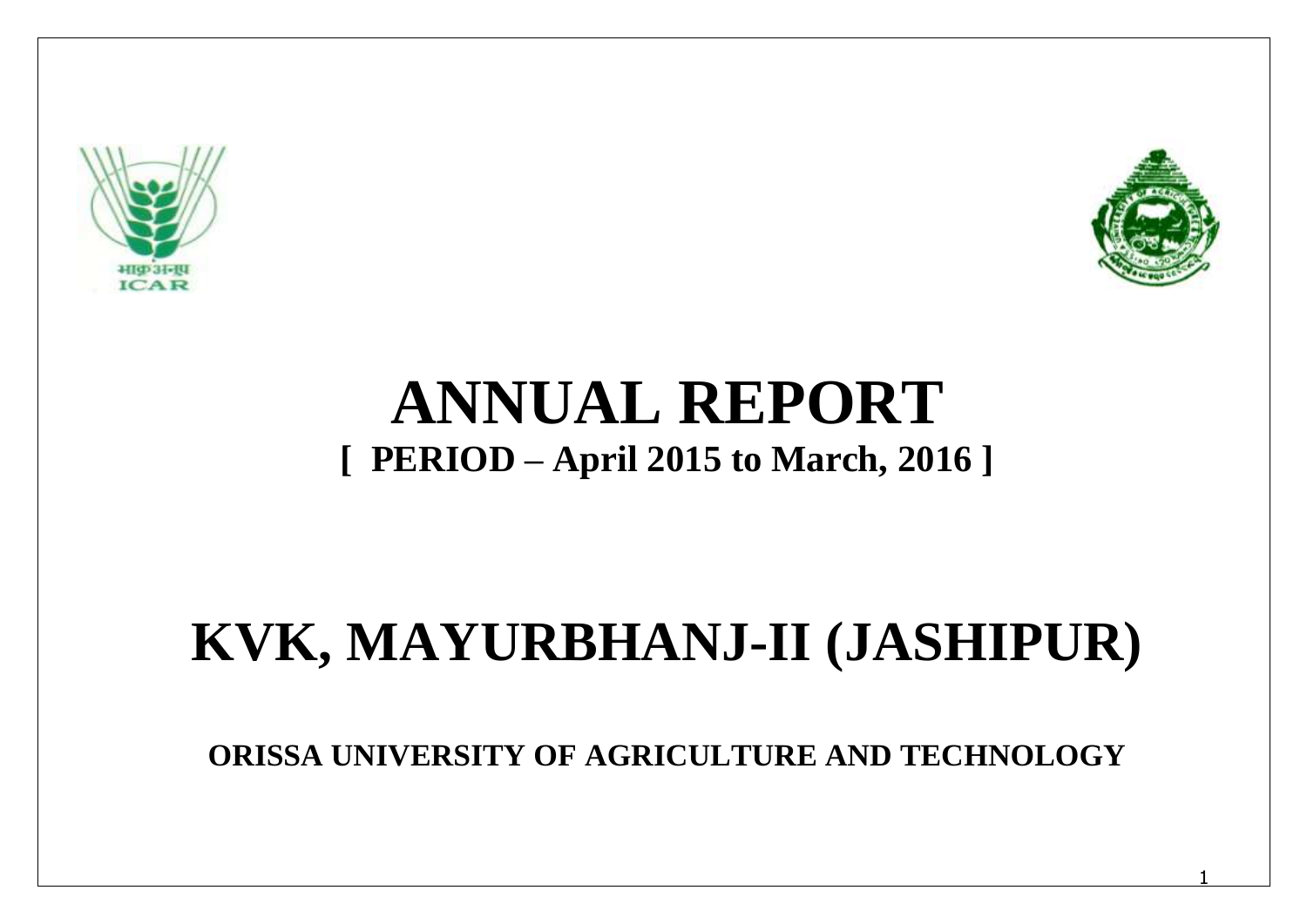



# **ANNUAL REPORT [ PERIOD – April 2015 to March, 2016 ]**

# **KVK, MAYURBHANJ-II (JASHIPUR)**

**ORISSA UNIVERSITY OF AGRICULTURE AND TECHNOLOGY**

1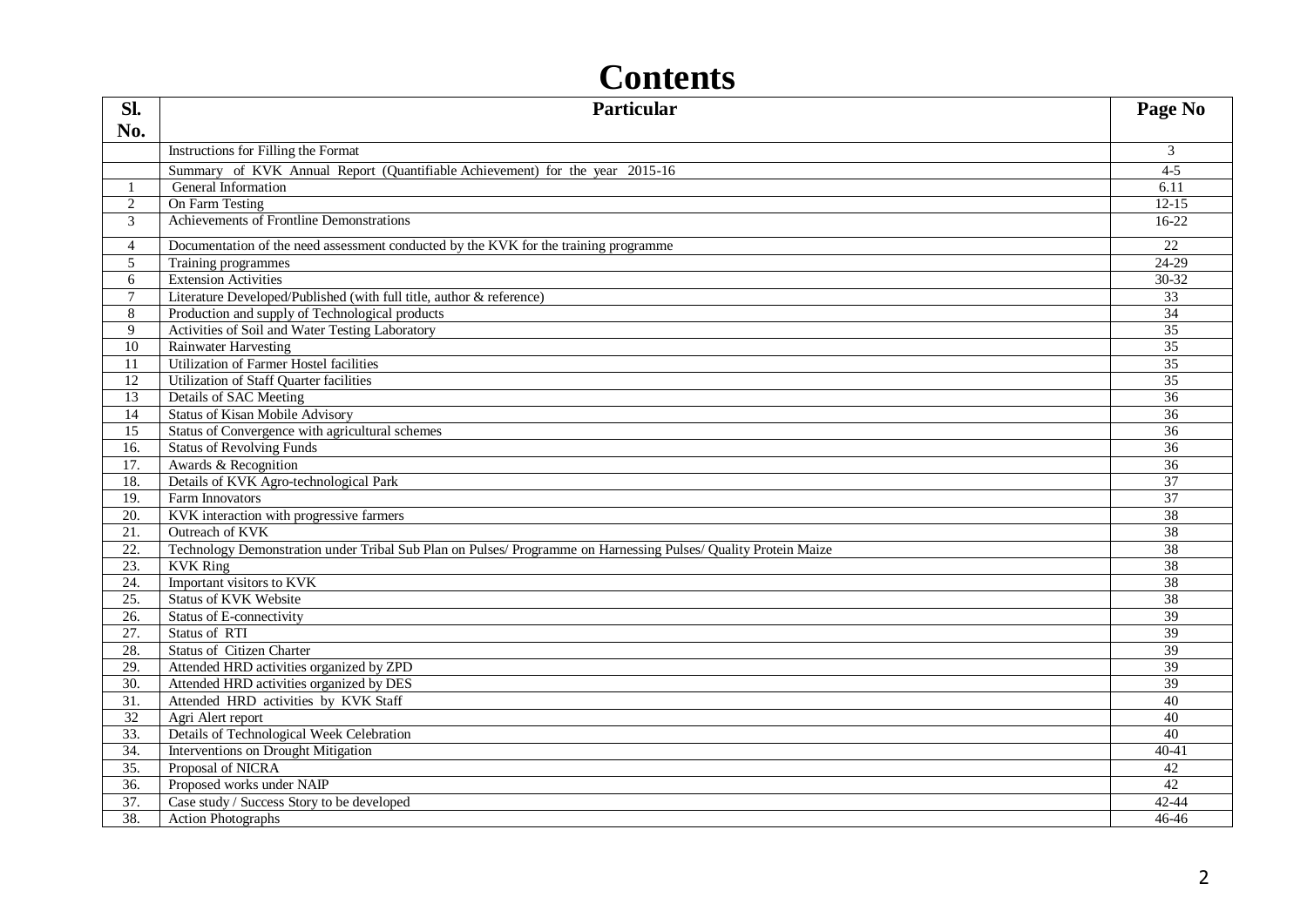| Sl.                   | <b>Particular</b>                                                                                               | Page No                            |
|-----------------------|-----------------------------------------------------------------------------------------------------------------|------------------------------------|
| No.                   |                                                                                                                 |                                    |
|                       | Instructions for Filling the Format                                                                             | 3                                  |
|                       | Summary of KVK Annual Report (Quantifiable Achievement) for the year 2015-16                                    | $4 - 5$                            |
|                       | General Information                                                                                             | 6.11                               |
| 2                     | On Farm Testing                                                                                                 | $12 - 15$                          |
| 3                     | Achievements of Frontline Demonstrations                                                                        | $16-22$                            |
|                       |                                                                                                                 |                                    |
| $\overline{4}$        | Documentation of the need assessment conducted by the KVK for the training programme                            | 22                                 |
| $\overline{5}$        | Training programmes                                                                                             | $24-29$                            |
| 6                     | <b>Extension Activities</b>                                                                                     | 30-32                              |
| $\tau$                | Literature Developed/Published (with full title, author & reference)                                            | 33                                 |
| 8                     | Production and supply of Technological products                                                                 | 34                                 |
| 9                     | Activities of Soil and Water Testing Laboratory                                                                 | $\overline{35}$                    |
| 10                    | <b>Rainwater Harvesting</b>                                                                                     | $\overline{35}$<br>35              |
| 11                    | Utilization of Farmer Hostel facilities                                                                         |                                    |
| 12                    | Utilization of Staff Quarter facilities                                                                         | 35                                 |
| $\overline{13}$       | Details of SAC Meeting                                                                                          | $\overline{36}$<br>$\overline{36}$ |
| 14<br>$\overline{15}$ | <b>Status of Kisan Mobile Advisory</b><br>Status of Convergence with agricultural schemes                       | 36                                 |
| 16.                   | <b>Status of Revolving Funds</b>                                                                                | 36                                 |
| 17.                   | Awards & Recognition                                                                                            | $\overline{36}$                    |
| 18.                   | Details of KVK Agro-technological Park                                                                          | $\overline{37}$                    |
| 19.                   | Farm Innovators                                                                                                 | 37                                 |
| 20.                   | KVK interaction with progressive farmers                                                                        | 38                                 |
| $\overline{21}$ .     | Outreach of KVK                                                                                                 | 38                                 |
| 22.                   | Technology Demonstration under Tribal Sub Plan on Pulses/ Programme on Harnessing Pulses/ Quality Protein Maize | $\overline{38}$                    |
| 23.                   | <b>KVK Ring</b>                                                                                                 | 38                                 |
| 24.                   | Important visitors to KVK                                                                                       | $\overline{38}$                    |
| $\overline{25}$ .     | <b>Status of KVK Website</b>                                                                                    | 38                                 |
| $\overline{26}$ .     | Status of E-connectivity                                                                                        | $\overline{39}$                    |
| 27.                   | Status of RTI                                                                                                   | 39                                 |
| 28.                   | <b>Status of Citizen Charter</b>                                                                                | 39                                 |
| 29.                   | Attended HRD activities organized by ZPD                                                                        | 39                                 |
| $\overline{30}$ .     | Attended HRD activities organized by DES                                                                        | 39                                 |
| 31.                   | Attended HRD activities by KVK Staff                                                                            | 40                                 |
| 32                    | Agri Alert report                                                                                               | 40                                 |
| 33.                   | Details of Technological Week Celebration                                                                       | 40                                 |
| 34.                   | Interventions on Drought Mitigation                                                                             | $40 - 41$                          |
| $\overline{35}$ .     | Proposal of NICRA                                                                                               | 42                                 |
| $\overline{36}$ .     | Proposed works under NAIP                                                                                       | $\overline{42}$                    |
| $\overline{37}$ .     | Case study / Success Story to be developed                                                                      | $42 - 44$                          |
| 38.                   | <b>Action Photographs</b>                                                                                       | 46-46                              |

## **Contents**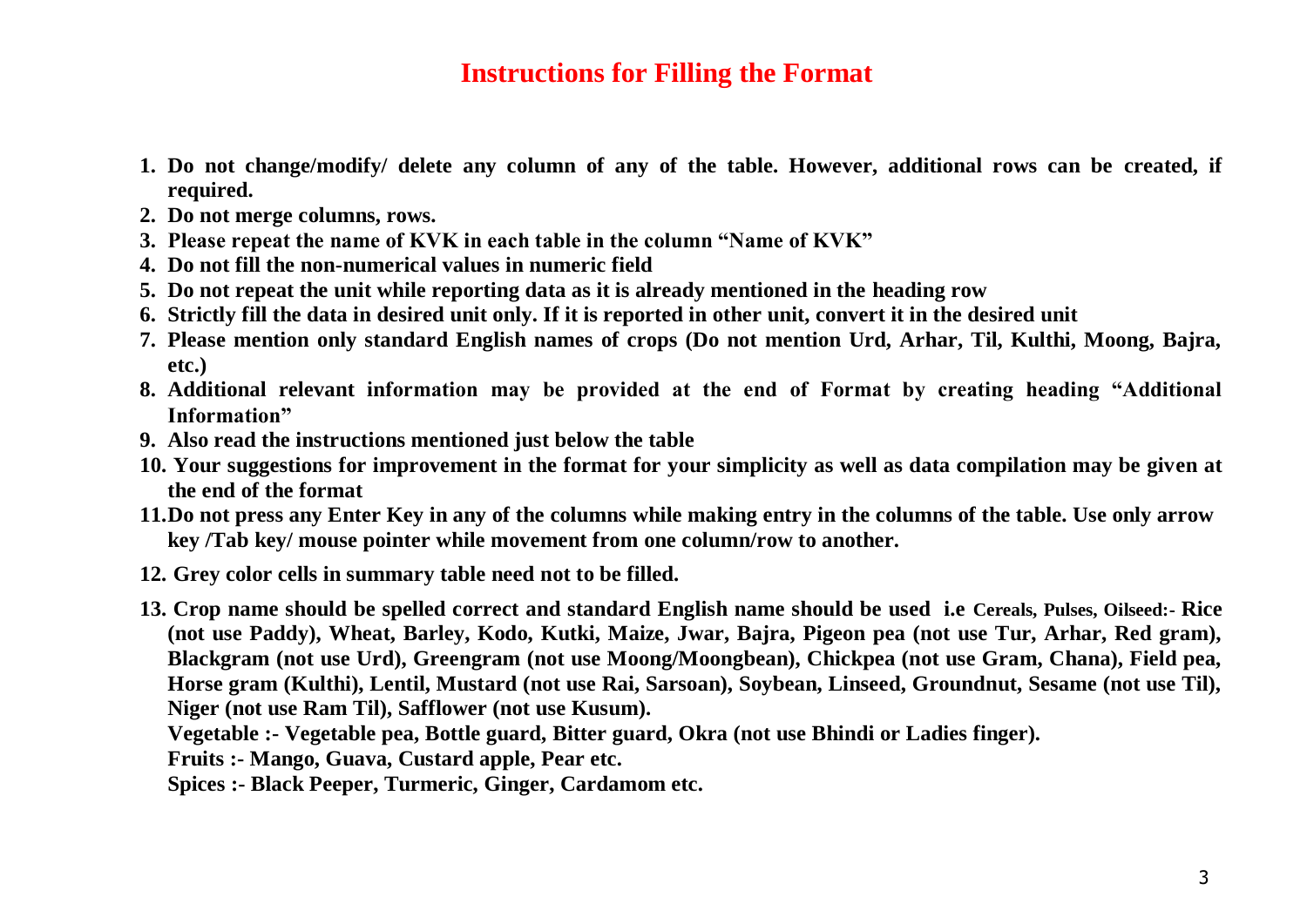## **Instructions for Filling the Format**

- **1. Do not change/modify/ delete any column of any of the table. However, additional rows can be created, if required.**
- **2. Do not merge columns, rows.**
- **3. Please repeat the name of KVK in each table in the column "Name of KVK"**
- **4. Do not fill the non-numerical values in numeric field**
- **5. Do not repeat the unit while reporting data as it is already mentioned in the heading row**
- **6. Strictly fill the data in desired unit only. If it is reported in other unit, convert it in the desired unit**
- **7. Please mention only standard English names of crops (Do not mention Urd, Arhar, Til, Kulthi, Moong, Bajra, etc.)**
- **8. Additional relevant information may be provided at the end of Format by creating heading "Additional Information"**
- **9. Also read the instructions mentioned just below the table**
- **10. Your suggestions for improvement in the format for your simplicity as well as data compilation may be given at the end of the format**
- **11.Do not press any Enter Key in any of the columns while making entry in the columns of the table. Use only arrow key /Tab key/ mouse pointer while movement from one column/row to another.**
- **12. Grey color cells in summary table need not to be filled.**
- **13. Crop name should be spelled correct and standard English name should be used i.e Cereals, Pulses, Oilseed:- Rice (not use Paddy), Wheat, Barley, Kodo, Kutki, Maize, Jwar, Bajra, Pigeon pea (not use Tur, Arhar, Red gram), Blackgram (not use Urd), Greengram (not use Moong/Moongbean), Chickpea (not use Gram, Chana), Field pea, Horse gram (Kulthi), Lentil, Mustard (not use Rai, Sarsoan), Soybean, Linseed, Groundnut, Sesame (not use Til), Niger (not use Ram Til), Safflower (not use Kusum).**

**Vegetable :- Vegetable pea, Bottle guard, Bitter guard, Okra (not use Bhindi or Ladies finger).** 

**Fruits :- Mango, Guava, Custard apple, Pear etc.** 

**Spices :- Black Peeper, Turmeric, Ginger, Cardamom etc.**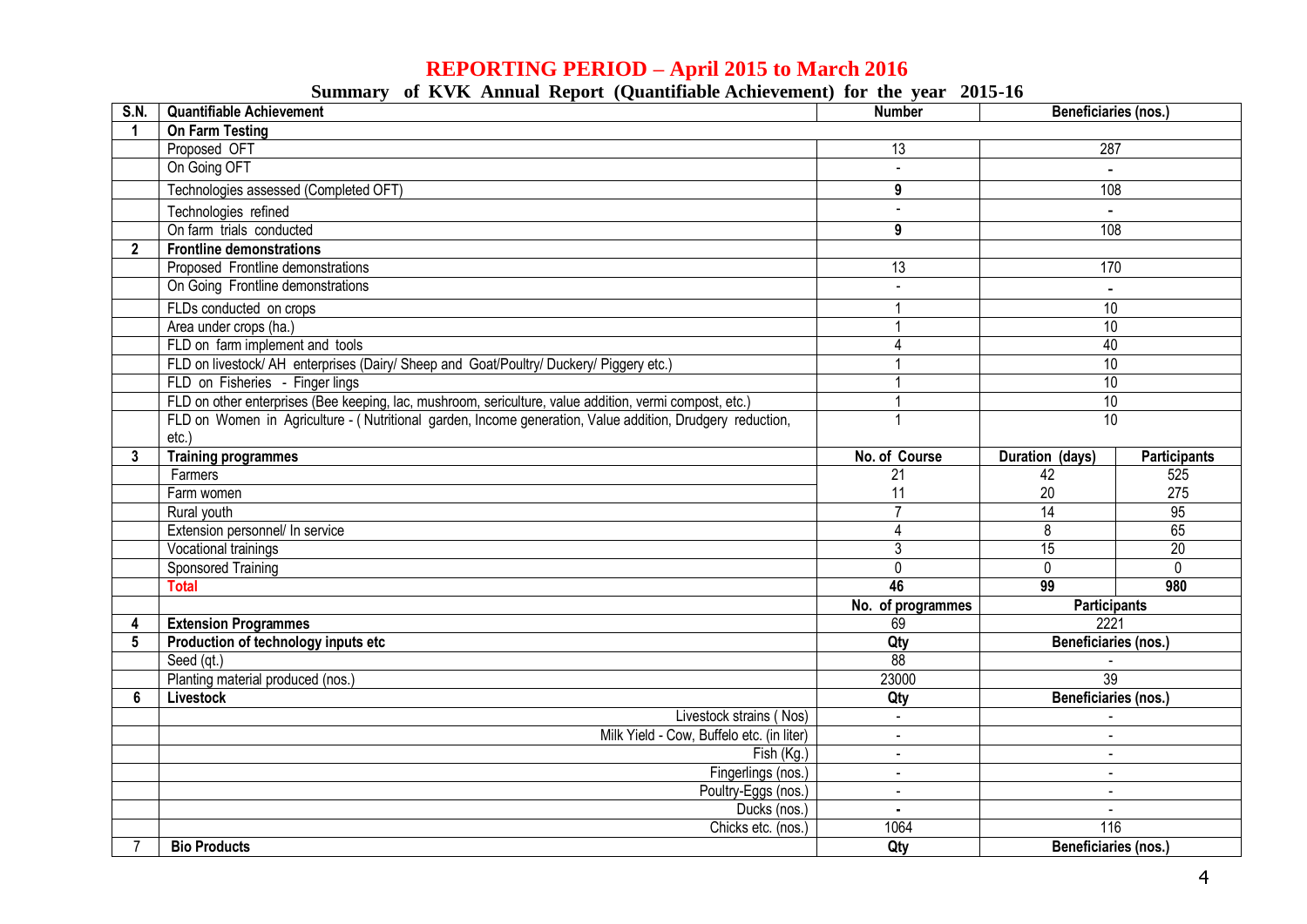## **REPORTING PERIOD – April 2015 to March 2016**

|  |  |  |  | Summary of KVK Annual Report (Quantifiable Achievement) for the year 2015-16 |  |  |  |  |
|--|--|--|--|------------------------------------------------------------------------------|--|--|--|--|
|--|--|--|--|------------------------------------------------------------------------------|--|--|--|--|

| <b>S.N.</b>     | <b>Quantifiable Achievement</b>                                                                           | <b>Number</b>                    | <b>Beneficiaries (nos.)</b> |                |  |
|-----------------|-----------------------------------------------------------------------------------------------------------|----------------------------------|-----------------------------|----------------|--|
| 1               | <b>On Farm Testing</b>                                                                                    |                                  |                             |                |  |
|                 | Proposed OFT                                                                                              | 13                               | 287                         |                |  |
|                 | On Going OFT                                                                                              | $\mathbf{r}$                     |                             |                |  |
|                 | Technologies assessed (Completed OFT)                                                                     | 9                                | 108                         |                |  |
|                 | Technologies refined                                                                                      |                                  |                             |                |  |
|                 | On farm trials conducted                                                                                  | 9                                | 108                         |                |  |
| $\overline{2}$  | <b>Frontline demonstrations</b>                                                                           |                                  |                             |                |  |
|                 | Proposed Frontline demonstrations                                                                         | $\overline{13}$                  | 170                         |                |  |
|                 | On Going Frontline demonstrations                                                                         |                                  |                             |                |  |
|                 | FLDs conducted on crops                                                                                   |                                  | $\overline{10}$             |                |  |
|                 | Area under crops (ha.)                                                                                    |                                  | $\overline{10}$             |                |  |
|                 | FLD on farm implement and tools                                                                           |                                  | 40                          |                |  |
|                 | FLD on livestock/ AH enterprises (Dairy/ Sheep and Goat/Poultry/ Duckery/ Piggery etc.)                   |                                  | 10                          |                |  |
|                 | FLD on Fisheries - Finger lings                                                                           |                                  | 10                          |                |  |
|                 | FLD on other enterprises (Bee keeping, lac, mushroom, sericulture, value addition, vermi compost, etc.)   |                                  | 10                          |                |  |
|                 | FLD on Women in Agriculture - (Nutritional garden, Income generation, Value addition, Drudgery reduction, |                                  | 10                          |                |  |
|                 | $etc.$ )                                                                                                  |                                  |                             |                |  |
| 3               | <b>Training programmes</b>                                                                                | No. of Course                    | Duration (days)             | Participants   |  |
|                 | Farmers                                                                                                   | 21                               | 42                          | 525            |  |
|                 | Farm women                                                                                                | 11                               | 20                          | 275            |  |
|                 | Rural youth                                                                                               | $\overline{7}$                   | 14                          | 95             |  |
|                 | Extension personnel/ In service                                                                           | Δ                                | $\overline{8}$              | 65             |  |
|                 | Vocational trainings                                                                                      | 3                                | $\overline{15}$             | 20             |  |
|                 | <b>Sponsored Training</b>                                                                                 | 0                                | $\mathbf 0$                 | $\overline{0}$ |  |
|                 | <b>Total</b>                                                                                              | 46                               | 99                          | 980            |  |
|                 |                                                                                                           | No. of programmes                | <b>Participants</b>         |                |  |
| 4               | <b>Extension Programmes</b>                                                                               | 69                               | 2221                        |                |  |
| $5\phantom{.0}$ | Production of technology inputs etc                                                                       | Qty                              | Beneficiaries (nos.)        |                |  |
|                 | Seed (gt.)                                                                                                | 88                               | 39                          |                |  |
|                 | Planting material produced (nos.)                                                                         | 23000                            |                             |                |  |
| 6               | Livestock                                                                                                 | Qty                              | Beneficiaries (nos.)        |                |  |
|                 | Livestock strains (Nos)<br>Milk Yield - Cow, Buffelo etc. (in liter)                                      |                                  |                             |                |  |
|                 | Fish (Kg.)                                                                                                | $\blacksquare$<br>$\blacksquare$ | $\sim$<br>$\sim$            |                |  |
|                 | Fingerlings (nos.)                                                                                        | $\overline{a}$                   | $\sim$                      |                |  |
|                 | Poultry-Eggs (nos.)                                                                                       | $\sim$                           | $\sim$                      |                |  |
|                 | Ducks (nos.)                                                                                              |                                  |                             |                |  |
|                 | Chicks etc. (nos.)                                                                                        | 1064                             | 116                         |                |  |
|                 | <b>Bio Products</b>                                                                                       | Qty                              | Beneficiaries (nos.)        |                |  |
|                 |                                                                                                           |                                  |                             |                |  |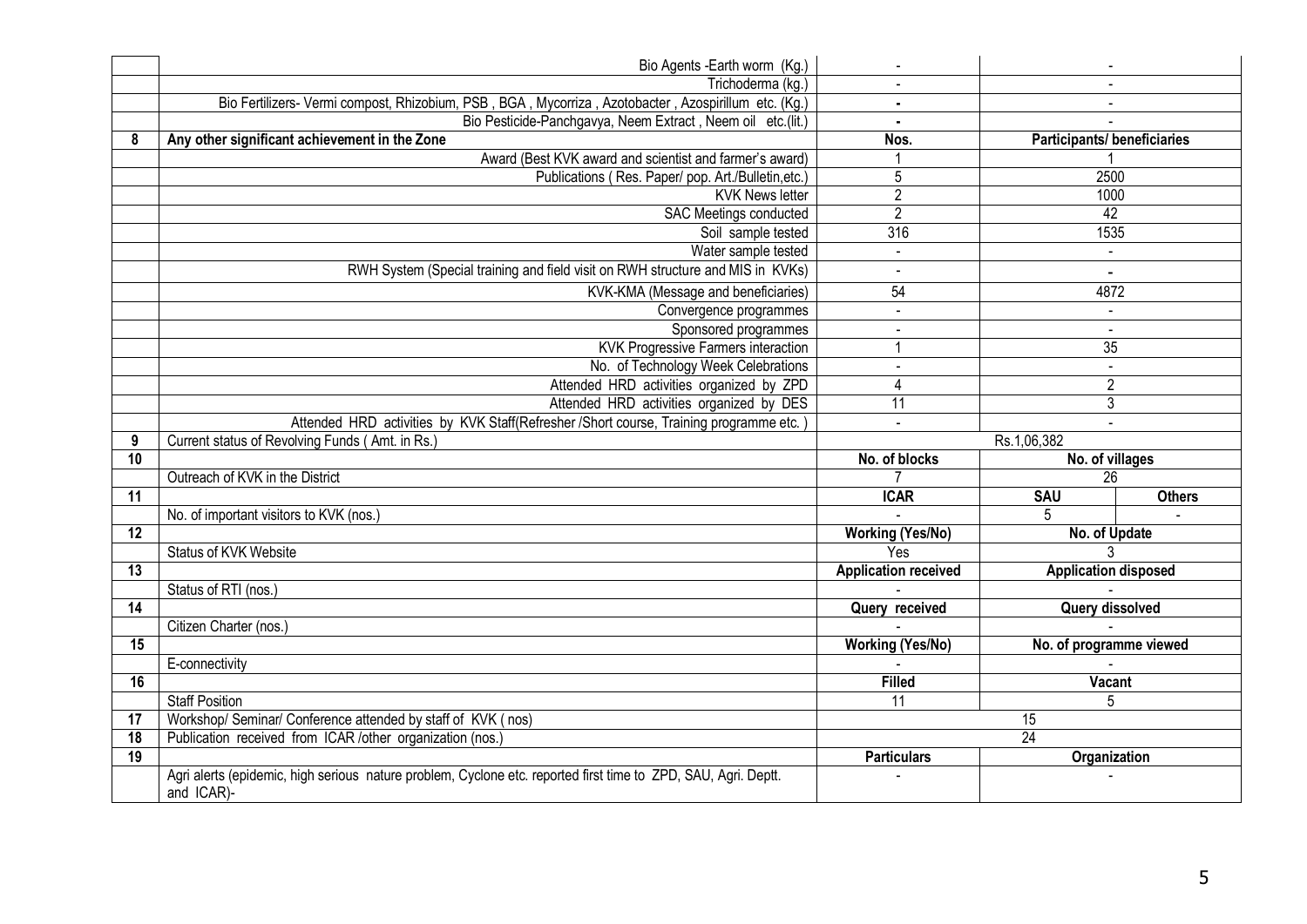|    | Bio Agents - Earth worm (Kg.)                                                                                                |                             |                                    |               |  |
|----|------------------------------------------------------------------------------------------------------------------------------|-----------------------------|------------------------------------|---------------|--|
|    | Trichoderma (kg.)                                                                                                            |                             |                                    |               |  |
|    | Bio Fertilizers- Vermi compost, Rhizobium, PSB, BGA, Mycorriza, Azotobacter, Azospirillum etc. (Kg.)                         |                             |                                    |               |  |
|    | Bio Pesticide-Panchgavya, Neem Extract, Neem oil etc.(lit.)                                                                  |                             |                                    |               |  |
| 8  | Any other significant achievement in the Zone                                                                                | Nos.                        | <b>Participants/ beneficiaries</b> |               |  |
|    | Award (Best KVK award and scientist and farmer's award)                                                                      |                             |                                    |               |  |
|    | Publications (Res. Paper/ pop. Art./Bulletin,etc.)                                                                           | 5                           | 2500                               |               |  |
|    | <b>KVK News letter</b>                                                                                                       | $\overline{2}$              | 1000                               |               |  |
|    | <b>SAC Meetings conducted</b>                                                                                                | $\overline{2}$              | $\overline{42}$                    |               |  |
|    | Soil sample tested                                                                                                           | 316                         | 1535                               |               |  |
|    | Water sample tested                                                                                                          | $\overline{a}$              | $\mathbf{r}$                       |               |  |
|    | RWH System (Special training and field visit on RWH structure and MIS in KVKs)                                               | $\blacksquare$              | $\blacksquare$                     |               |  |
|    | KVK-KMA (Message and beneficiaries)                                                                                          | 54                          | 4872                               |               |  |
|    | Convergence programmes                                                                                                       | $\omega$                    | $\blacksquare$                     |               |  |
|    | Sponsored programmes                                                                                                         | $\sim$                      | $\sim$                             |               |  |
|    | <b>KVK Progressive Farmers interaction</b>                                                                                   | 1                           | 35                                 |               |  |
|    | No. of Technology Week Celebrations                                                                                          | $\overline{a}$              | $\Box$                             |               |  |
|    | Attended HRD activities organized by ZPD                                                                                     | $\overline{4}$              | $\overline{2}$                     |               |  |
|    | Attended HRD activities organized by DES                                                                                     | 11                          | 3                                  |               |  |
|    | Attended HRD activities by KVK Staff(Refresher /Short course, Training programme etc.)                                       | $\sim$                      |                                    |               |  |
| 9  | Current status of Revolving Funds (Amt. in Rs.)                                                                              | Rs.1,06,382                 |                                    |               |  |
| 10 |                                                                                                                              | No. of blocks               | No. of villages                    |               |  |
|    | Outreach of KVK in the District                                                                                              |                             | 26                                 |               |  |
| 11 |                                                                                                                              | <b>ICAR</b>                 | SAU                                | <b>Others</b> |  |
|    | No. of important visitors to KVK (nos.)                                                                                      |                             |                                    |               |  |
| 12 |                                                                                                                              | <b>Working (Yes/No)</b>     | No. of Update                      |               |  |
|    | <b>Status of KVK Website</b>                                                                                                 | Yes                         |                                    |               |  |
| 13 |                                                                                                                              | <b>Application received</b> | <b>Application disposed</b>        |               |  |
|    | Status of RTI (nos.)                                                                                                         |                             |                                    |               |  |
| 14 |                                                                                                                              | Query received              | Query dissolved                    |               |  |
|    | Citizen Charter (nos.)                                                                                                       |                             |                                    |               |  |
| 15 |                                                                                                                              | <b>Working (Yes/No)</b>     | No. of programme viewed            |               |  |
|    | E-connectivity                                                                                                               |                             |                                    |               |  |
| 16 |                                                                                                                              | Filled                      | <b>Vacant</b>                      |               |  |
|    | <b>Staff Position</b>                                                                                                        | $\overline{11}$             | 5                                  |               |  |
| 17 | Workshop/ Seminar/ Conference attended by staff of KVK (nos)                                                                 |                             | 15                                 |               |  |
| 18 | Publication received from ICAR /other organization (nos.)                                                                    |                             | 24                                 |               |  |
| 19 |                                                                                                                              | <b>Particulars</b>          | Organization                       |               |  |
|    | Agri alerts (epidemic, high serious nature problem, Cyclone etc. reported first time to ZPD, SAU, Agri. Deptt.<br>and ICAR)- |                             |                                    |               |  |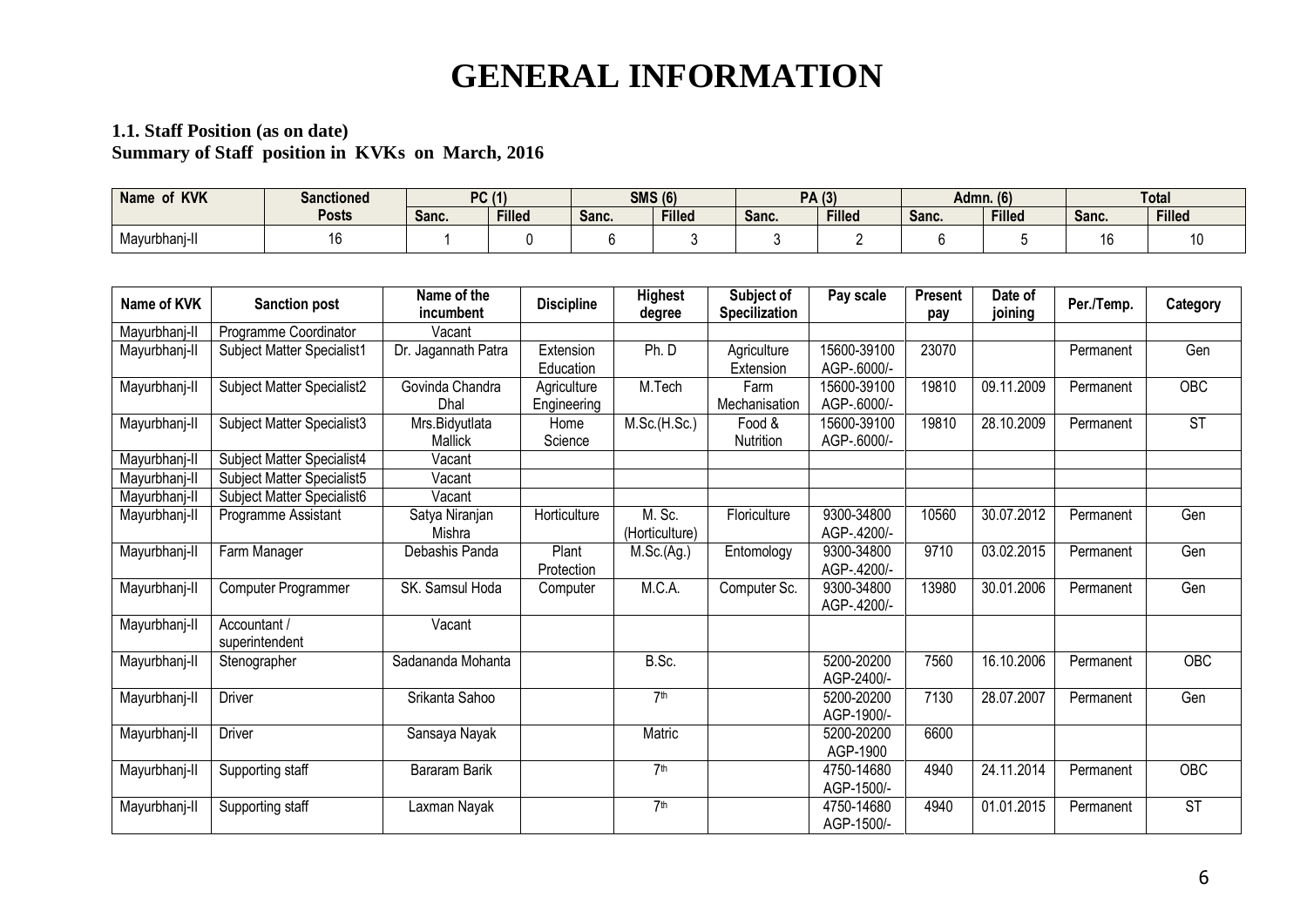## **GENERAL INFORMATION**

#### **1.1. Staff Position (as on date) Summary of Staff position in KVKs on March, 2016**

| <b>KVK</b><br><b>Name</b> | <b>Sanctioned</b> | <b>PC (1)</b> |               | <b>SMS (6)</b> |               | <b>PA</b> (3) |               | <b>Admn.</b> (6) |               | Total |               |
|---------------------------|-------------------|---------------|---------------|----------------|---------------|---------------|---------------|------------------|---------------|-------|---------------|
|                           | Posts             | Sanc.         | <b>Filled</b> | Sanc.          | <b>Filled</b> | Sanc.         | <b>Filleo</b> | Sanc.            | <b>Filled</b> | Sanc. | <b>Filled</b> |
| Mayurbhani-II             |                   |               |               |                |               |               |               |                  |               | ١c    |               |

| Name of KVK   | <b>Sanction post</b>           | Name of the<br>incumbent  | <b>Discipline</b>          | <b>Highest</b><br>degree | Subject of<br><b>Specilization</b> | Pay scale                  | Present<br>pay | Date of<br>joining | Per./Temp. | Category               |
|---------------|--------------------------------|---------------------------|----------------------------|--------------------------|------------------------------------|----------------------------|----------------|--------------------|------------|------------------------|
| Mayurbhanj-II | Programme Coordinator          | Vacant                    |                            |                          |                                    |                            |                |                    |            |                        |
| Mayurbhanj-II | Subject Matter Specialist1     | Dr. Jagannath Patra       | Extension<br>Education     | Ph.D                     | Agriculture<br>Extension           | 15600-39100<br>AGP-.6000/- | 23070          |                    | Permanent  | Gen                    |
| Mayurbhanj-II | Subject Matter Specialist2     | Govinda Chandra<br>Dhal   | Agriculture<br>Engineering | M.Tech                   | Farm<br>Mechanisation              | 15600-39100<br>AGP-.6000/- | 19810          | 09.11.2009         | Permanent  | <b>OBC</b>             |
| Mayurbhanj-II | Subject Matter Specialist3     | Mrs.Bidyutlata<br>Mallick | Home<br>Science            | M.Sc.(H.Sc.)             | Food &<br>Nutrition                | 15600-39100<br>AGP-.6000/- | 19810          | 28.10.2009         | Permanent  | $\overline{\text{ST}}$ |
| Mayurbhanj-II | Subject Matter Specialist4     | Vacant                    |                            |                          |                                    |                            |                |                    |            |                        |
| Mayurbhanj-II | Subject Matter Specialist5     | Vacant                    |                            |                          |                                    |                            |                |                    |            |                        |
| Mayurbhanj-II | Subject Matter Specialist6     | Vacant                    |                            |                          |                                    |                            |                |                    |            |                        |
| Mayurbhanj-II | Programme Assistant            | Satya Niranjan<br>Mishra  | Horticulture               | M. Sc.<br>(Horticulture) | Floriculture                       | 9300-34800<br>AGP-.4200/-  | 10560          | 30.07.2012         | Permanent  | Gen                    |
| Mayurbhanj-II | Farm Manager                   | Debashis Panda            | Plant<br>Protection        | M.Sc.(Ag.)               | Entomology                         | 9300-34800<br>AGP-.4200/-  | 9710           | 03.02.2015         | Permanent  | Gen                    |
| Mayurbhanj-II | Computer Programmer            | SK. Samsul Hoda           | Computer                   | M.C.A.                   | Computer Sc.                       | 9300-34800<br>AGP-.4200/-  | 13980          | 30.01.2006         | Permanent  | Gen                    |
| Mayurbhanj-II | Accountant /<br>superintendent | Vacant                    |                            |                          |                                    |                            |                |                    |            |                        |
| Mayurbhanj-II | Stenographer                   | Sadananda Mohanta         |                            | B.Sc.                    |                                    | 5200-20200<br>AGP-2400/-   | 7560           | 16.10.2006         | Permanent  | <b>OBC</b>             |
| Mayurbhanj-II | Driver                         | Srikanta Sahoo            |                            | 7 <sup>th</sup>          |                                    | 5200-20200<br>AGP-1900/-   | 7130           | 28.07.2007         | Permanent  | Gen                    |
| Mayurbhanj-II | <b>Driver</b>                  | Sansaya Nayak             |                            | Matric                   |                                    | 5200-20200<br>AGP-1900     | 6600           |                    |            |                        |
| Mayurbhanj-II | Supporting staff               | Bararam Barik             |                            | 7 <sup>th</sup>          |                                    | 4750-14680<br>AGP-1500/-   | 4940           | 24.11.2014         | Permanent  | $\overline{OBC}$       |
| Mayurbhanj-II | Supporting staff               | Laxman Nayak              |                            | 7 <sup>th</sup>          |                                    | 4750-14680<br>AGP-1500/-   | 4940           | 01.01.2015         | Permanent  | $\overline{\text{ST}}$ |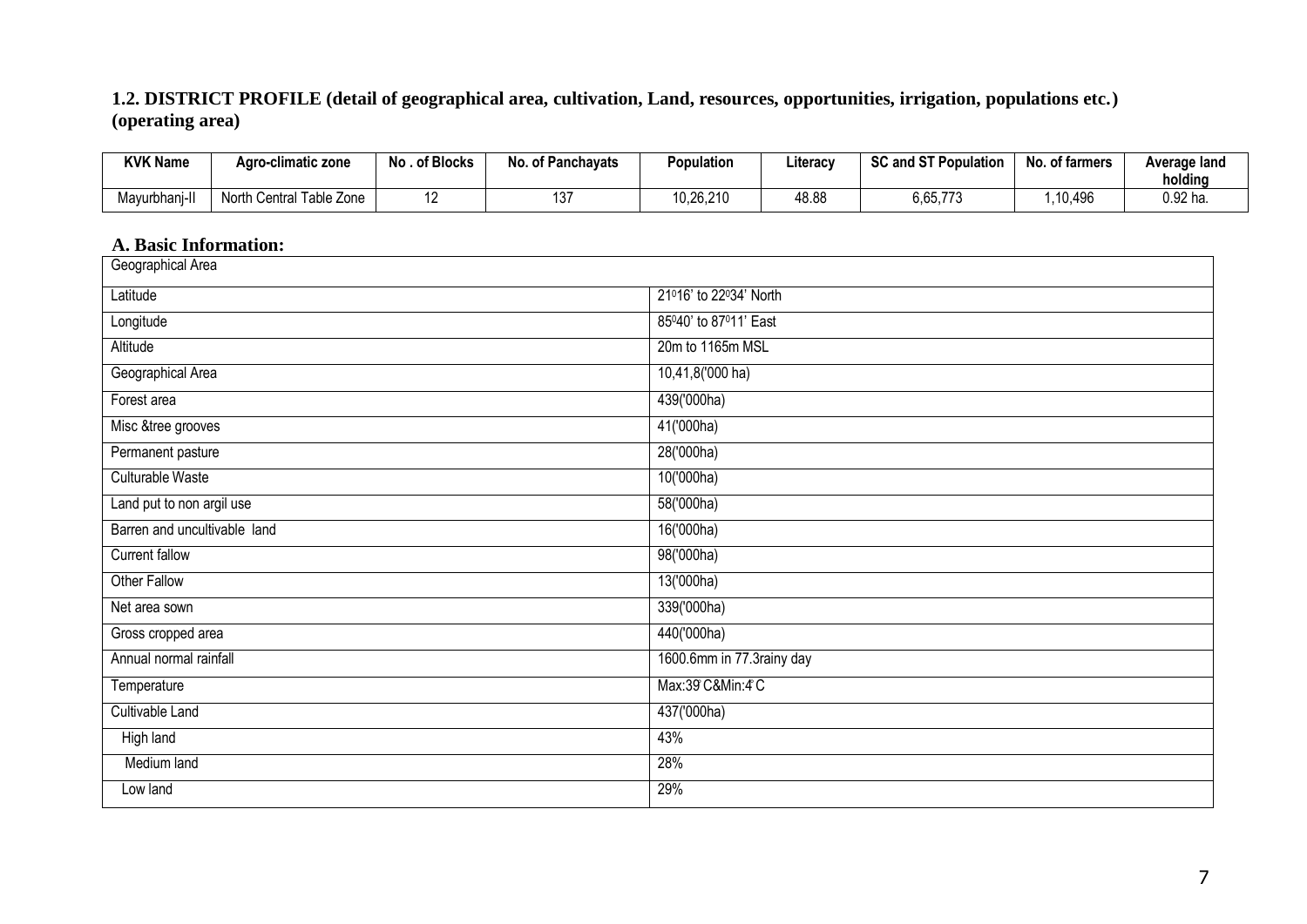#### **1.2. DISTRICT PROFILE (detail of geographical area, cultivation, Land, resources, opportunities, irrigation, populations etc.) (operating area)**

| <b>KVK Name</b>        | Agro-climatic zone            | No . of Blocks | <b>No. of Panchavats</b> | Population | Literacy | <b>SC and ST Population</b> | No. of farmers | Average land<br>holding |
|------------------------|-------------------------------|----------------|--------------------------|------------|----------|-----------------------------|----------------|-------------------------|
| Mayurbhan <sup>®</sup> | ، Central Table Zone<br>North |                | 137                      | 10,26,210  | 48.88    | 6,65,773                    | ,10,496        | $0.92$ ha               |

#### **A. Basic Information:**

| Geographical Area            |                           |
|------------------------------|---------------------------|
| Latitude                     | 21016' to 22034' North    |
| Longitude                    | 85040' to 87011' East     |
| Altitude                     | 20m to 1165m MSL          |
| Geographical Area            | 10,41,8('000 ha)          |
| Forest area                  | 439('000ha)               |
| Misc &tree grooves           | 41('000ha)                |
| Permanent pasture            | 28('000ha)                |
| Culturable Waste             | 10('000ha)                |
| Land put to non argil use    | 58('000ha)                |
| Barren and uncultivable land | 16('000ha)                |
| Current fallow               | 98('000ha)                |
| Other Fallow                 | 13('000ha)                |
| Net area sown                | 339('000ha)               |
| Gross cropped area           | 440('000ha)               |
| Annual normal rainfall       | 1600.6mm in 77.3rainy day |
| Temperature                  | Max:39 C&Min:4 C          |
| Cultivable Land              | 437('000ha)               |
| <b>High land</b>             | 43%                       |
| Medium land                  | 28%                       |
| Low land                     | 29%                       |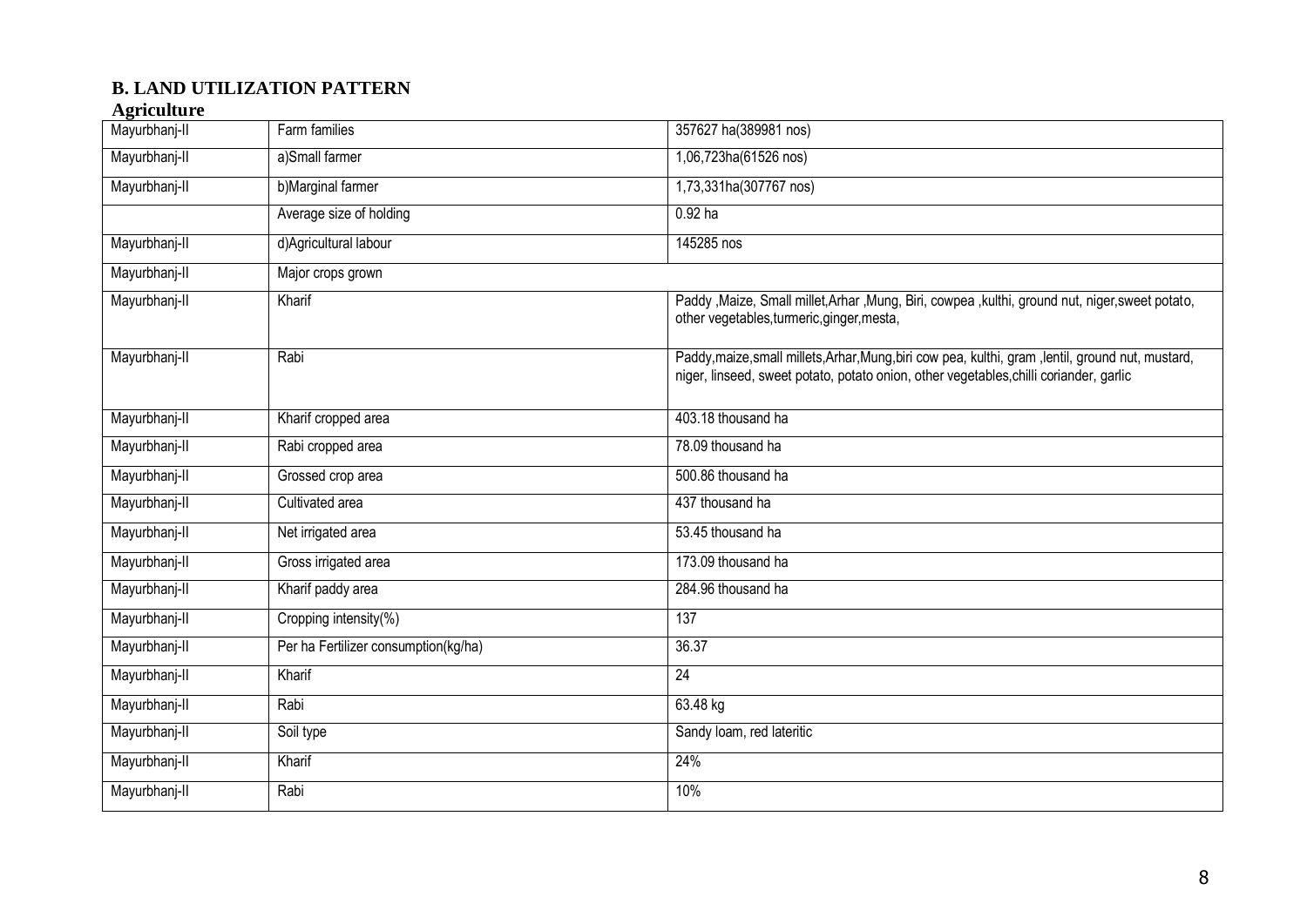#### **B. LAND UTILIZATION PATTERN**

#### **Agriculture**

| Mayurbhanj-II | Farm families                        | 357627 ha(389981 nos)                                                                                                                                                                        |
|---------------|--------------------------------------|----------------------------------------------------------------------------------------------------------------------------------------------------------------------------------------------|
| Mayurbhanj-II | a)Small farmer                       | 1,06,723ha(61526 nos)                                                                                                                                                                        |
| Mayurbhanj-II | b)Marginal farmer                    | 1,73,331ha(307767 nos)                                                                                                                                                                       |
|               | Average size of holding              | $0.92$ ha                                                                                                                                                                                    |
| Mayurbhanj-II | d) Agricultural labour               | 145285 nos                                                                                                                                                                                   |
| Mayurbhanj-II | Major crops grown                    |                                                                                                                                                                                              |
| Mayurbhanj-II | Kharif                               | Paddy , Maize, Small millet, Arhar , Mung, Biri, cowpea, kulthi, ground nut, niger, sweet potato,<br>other vegetables, turmeric, ginger, mesta,                                              |
| Mayurbhanj-II | Rabi                                 | Paddy, maize, small millets, Arhar, Mung, biri cow pea, kulthi, gram, lentil, ground nut, mustard,<br>niger, linseed, sweet potato, potato onion, other vegetables, chilli coriander, garlic |
| Mayurbhanj-II | Kharif cropped area                  | 403.18 thousand ha                                                                                                                                                                           |
| Mayurbhanj-II | Rabi cropped area                    | 78.09 thousand ha                                                                                                                                                                            |
| Mayurbhanj-II | Grossed crop area                    | 500.86 thousand ha                                                                                                                                                                           |
| Mayurbhanj-II | Cultivated area                      | 437 thousand ha                                                                                                                                                                              |
| Mayurbhanj-II | Net irrigated area                   | 53.45 thousand ha                                                                                                                                                                            |
| Mayurbhanj-II | Gross irrigated area                 | 173.09 thousand ha                                                                                                                                                                           |
| Mayurbhanj-II | Kharif paddy area                    | 284.96 thousand ha                                                                                                                                                                           |
| Mayurbhanj-II | Cropping intensity(%)                | 137                                                                                                                                                                                          |
| Mayurbhanj-II | Per ha Fertilizer consumption(kg/ha) | 36.37                                                                                                                                                                                        |
| Mayurbhanj-II | Kharif                               | 24                                                                                                                                                                                           |
| Mayurbhanj-II | Rabi                                 | 63.48 kg                                                                                                                                                                                     |
| Mayurbhanj-II | Soil type                            | Sandy Ioam, red lateritic                                                                                                                                                                    |
| Mayurbhanj-II | Kharif                               | 24%                                                                                                                                                                                          |
| Mayurbhanj-II | Rabi                                 | 10%                                                                                                                                                                                          |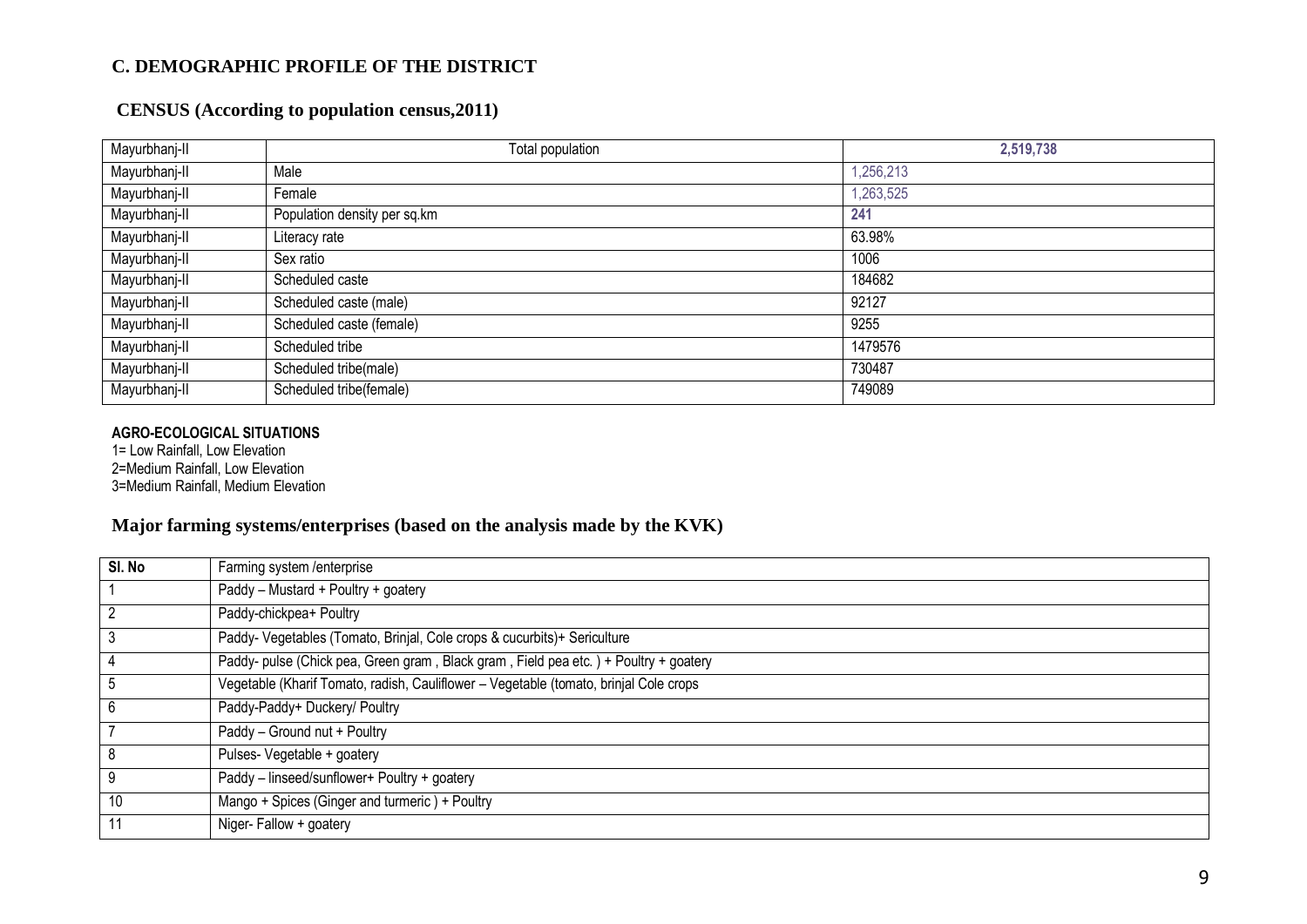#### **C. DEMOGRAPHIC PROFILE OF THE DISTRICT**

#### **CENSUS (According to population census,2011)**

| Mayurbhanj-II | Total population             | 2,519,738 |
|---------------|------------------------------|-----------|
| Mayurbhanj-II | Male                         | 1,256,213 |
| Mayurbhanj-II | Female                       | 1,263,525 |
| Mayurbhanj-II | Population density per sq.km | 241       |
| Mayurbhanj-II | Literacy rate                | 63.98%    |
| Mayurbhanj-II | Sex ratio                    | 1006      |
| Mayurbhanj-II | Scheduled caste              | 184682    |
| Mayurbhanj-II | Scheduled caste (male)       | 92127     |
| Mayurbhanj-II | Scheduled caste (female)     | 9255      |
| Mayurbhanj-II | Scheduled tribe              | 1479576   |
| Mayurbhanj-II | Scheduled tribe(male)        | 730487    |
| Mayurbhanj-II | Scheduled tribe(female)      | 749089    |

#### **AGRO-ECOLOGICAL SITUATIONS**

1= Low Rainfall, Low Elevation 2=Medium Rainfall, Low Elevation 3=Medium Rainfall, Medium Elevation

#### **Major farming systems/enterprises (based on the analysis made by the KVK)**

| SI. No         | Farming system /enterprise                                                            |
|----------------|---------------------------------------------------------------------------------------|
|                | Paddy - Mustard + Poultry + goatery                                                   |
|                | Paddy-chickpea+ Poultry                                                               |
| 3              | Paddy- Vegetables (Tomato, Brinjal, Cole crops & cucurbits)+ Sericulture              |
| 4              | Paddy- pulse (Chick pea, Green gram, Black gram, Field pea etc.) + Poultry + goatery  |
| 5              | Vegetable (Kharif Tomato, radish, Cauliflower - Vegetable (tomato, brinjal Cole crops |
| 6              | Paddy-Paddy+ Duckery/ Poultry                                                         |
| $\overline{7}$ | Paddy - Ground nut + Poultry                                                          |
| 8              | Pulses- Vegetable + goatery                                                           |
| 9              | Paddy - linseed/sunflower+ Poultry + goatery                                          |
| 10             | Mango + Spices (Ginger and turmeric) + Poultry                                        |
| 11             | Niger-Fallow + goatery                                                                |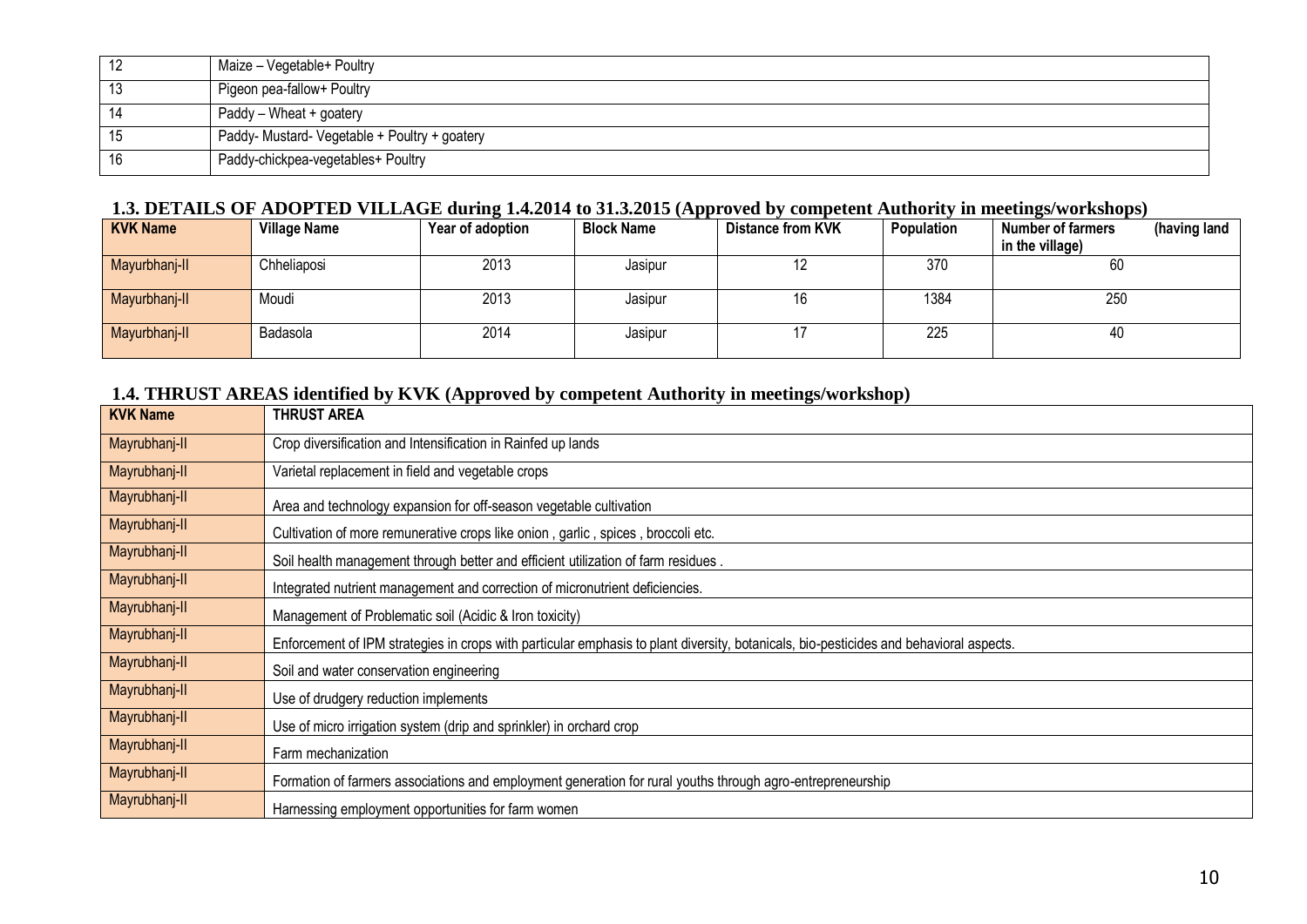|    | Maize - Vegetable+ Poultry                    |
|----|-----------------------------------------------|
| 13 | Pigeon pea-fallow+ Poultry                    |
| 14 | Paddy - Wheat + goatery                       |
| 15 | Paddy- Mustard- Vegetable + Poultry + goatery |
| 16 | Paddy-chickpea-vegetables+ Poultry            |

#### **1.3. DETAILS OF ADOPTED VILLAGE during 1.4.2014 to 31.3.2015 (Approved by competent Authority in meetings/workshops)**

| <b>KVK Name</b> | <b>Village Name</b> | Year of adoption | <b>Block Name</b> | <b>Distance from KVK</b> | Population | <b>Number of farmers</b><br>(having land |
|-----------------|---------------------|------------------|-------------------|--------------------------|------------|------------------------------------------|
|                 |                     |                  |                   |                          |            | in the village)                          |
| Mayurbhanj-II   | Chheliaposi         | 2013             | Jasipur           | L                        | 370        | 60                                       |
| Mayurbhanj-II   | Moudi               | 2013             | Jasipur           | 16                       | 1384       | 250                                      |
| Mayurbhanj-II   | Badasola            | 2014             | Jasipur           |                          | 225        | 40                                       |

#### **1.4. THRUST AREAS identified by KVK (Approved by competent Authority in meetings/workshop)**

| <b>KVK Name</b> | <b>THRUST AREA</b>                                                                                                                     |
|-----------------|----------------------------------------------------------------------------------------------------------------------------------------|
| Mayrubhanj-II   | Crop diversification and Intensification in Rainfed up lands                                                                           |
| Mayrubhanj-II   | Varietal replacement in field and vegetable crops                                                                                      |
| Mayrubhanj-II   | Area and technology expansion for off-season vegetable cultivation                                                                     |
| Mayrubhanj-II   | Cultivation of more remunerative crops like onion, garlic, spices, broccoli etc.                                                       |
| Mayrubhanj-II   | Soil health management through better and efficient utilization of farm residues.                                                      |
| Mayrubhanj-II   | Integrated nutrient management and correction of micronutrient deficiencies.                                                           |
| Mayrubhanj-II   | Management of Problematic soil (Acidic & Iron toxicity)                                                                                |
| Mayrubhanj-II   | Enforcement of IPM strategies in crops with particular emphasis to plant diversity, botanicals, bio-pesticides and behavioral aspects. |
| Mayrubhanj-II   | Soil and water conservation engineering                                                                                                |
| Mayrubhanj-II   | Use of drudgery reduction implements                                                                                                   |
| Mayrubhanj-II   | Use of micro irrigation system (drip and sprinkler) in orchard crop                                                                    |
| Mayrubhanj-II   | Farm mechanization                                                                                                                     |
| Mayrubhanj-II   | Formation of farmers associations and employment generation for rural youths through agro-entrepreneurship                             |
| Mayrubhanj-II   | Harnessing employment opportunities for farm women                                                                                     |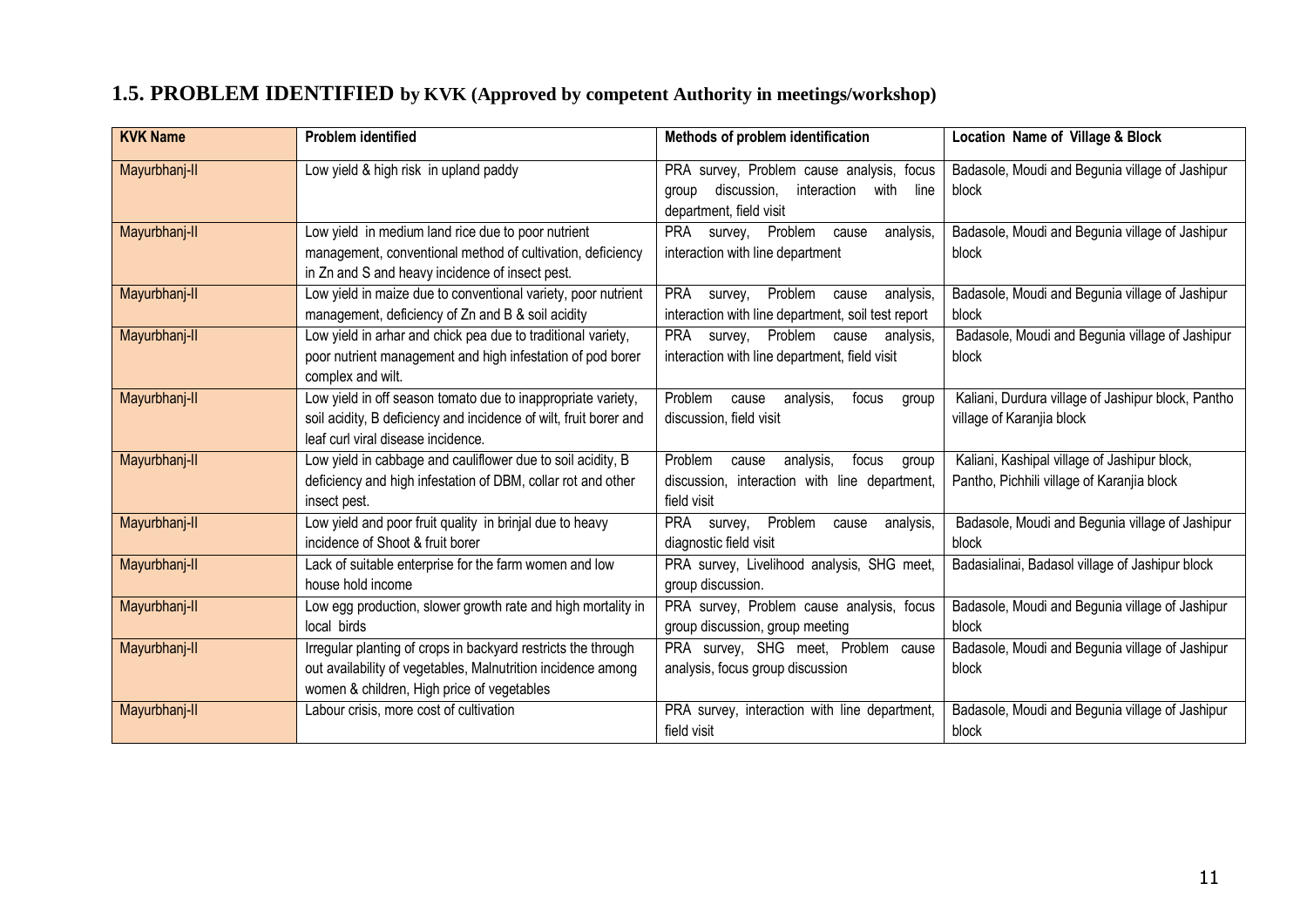## **1.5. PROBLEM IDENTIFIED by KVK (Approved by competent Authority in meetings/workshop)**

| <b>KVK Name</b> | <b>Problem identified</b>                                                                                                                                                   | Methods of problem identification                                                                                           | Location Name of Village & Block                                                           |
|-----------------|-----------------------------------------------------------------------------------------------------------------------------------------------------------------------------|-----------------------------------------------------------------------------------------------------------------------------|--------------------------------------------------------------------------------------------|
| Mayurbhanj-II   | Low yield & high risk in upland paddy                                                                                                                                       | PRA survey, Problem cause analysis, focus<br>interaction<br>discussion,<br>with<br>line<br>group<br>department, field visit | Badasole, Moudi and Begunia village of Jashipur<br>block                                   |
| Mayurbhanj-II   | Low yield in medium land rice due to poor nutrient<br>management, conventional method of cultivation, deficiency<br>in Zn and S and heavy incidence of insect pest.         | PRA survey, Problem<br>analysis,<br>cause<br>interaction with line department                                               | Badasole, Moudi and Begunia village of Jashipur<br>block                                   |
| Mayurbhanj-II   | Low yield in maize due to conventional variety, poor nutrient<br>management, deficiency of Zn and B & soil acidity                                                          | Problem cause<br>PRA<br>survey,<br>analysis,<br>interaction with line department, soil test report                          | Badasole, Moudi and Begunia village of Jashipur<br>block                                   |
| Mayurbhanj-II   | Low yield in arhar and chick pea due to traditional variety,<br>poor nutrient management and high infestation of pod borer<br>complex and wilt.                             | PRA survey, Problem cause analysis,<br>interaction with line department, field visit                                        | Badasole, Moudi and Begunia village of Jashipur<br>block                                   |
| Mayurbhanj-II   | Low yield in off season tomato due to inappropriate variety,<br>soil acidity, B deficiency and incidence of wilt, fruit borer and<br>leaf curl viral disease incidence.     | Problem<br>cause<br>analysis,<br>focus<br>group<br>discussion, field visit                                                  | Kaliani, Durdura village of Jashipur block, Pantho<br>village of Karanjia block            |
| Mayurbhanj-II   | Low yield in cabbage and cauliflower due to soil acidity, B<br>deficiency and high infestation of DBM, collar rot and other<br>insect pest.                                 | Problem<br>analysis,<br>focus<br>cause<br>group<br>discussion, interaction with line department,<br>field visit             | Kaliani, Kashipal village of Jashipur block,<br>Pantho, Pichhili village of Karanjia block |
| Mayurbhanj-II   | Low yield and poor fruit quality in brinjal due to heavy<br>incidence of Shoot & fruit borer                                                                                | Problem<br>PRA<br>survey,<br>analysis,<br>cause<br>diagnostic field visit                                                   | Badasole, Moudi and Begunia village of Jashipur<br>block                                   |
| Mayurbhanj-II   | Lack of suitable enterprise for the farm women and low<br>house hold income                                                                                                 | PRA survey, Livelihood analysis, SHG meet,<br>group discussion.                                                             | Badasialinai, Badasol village of Jashipur block                                            |
| Mayurbhanj-II   | Low egg production, slower growth rate and high mortality in<br>local birds                                                                                                 | PRA survey, Problem cause analysis, focus<br>group discussion, group meeting                                                | Badasole, Moudi and Begunia village of Jashipur<br>block                                   |
| Mayurbhanj-II   | Irregular planting of crops in backyard restricts the through<br>out availability of vegetables, Malnutrition incidence among<br>women & children, High price of vegetables | PRA survey, SHG meet, Problem cause<br>analysis, focus group discussion                                                     | Badasole, Moudi and Begunia village of Jashipur<br>block                                   |
| Mayurbhanj-II   | Labour crisis, more cost of cultivation                                                                                                                                     | PRA survey, interaction with line department,<br>field visit                                                                | Badasole, Moudi and Begunia village of Jashipur<br>block                                   |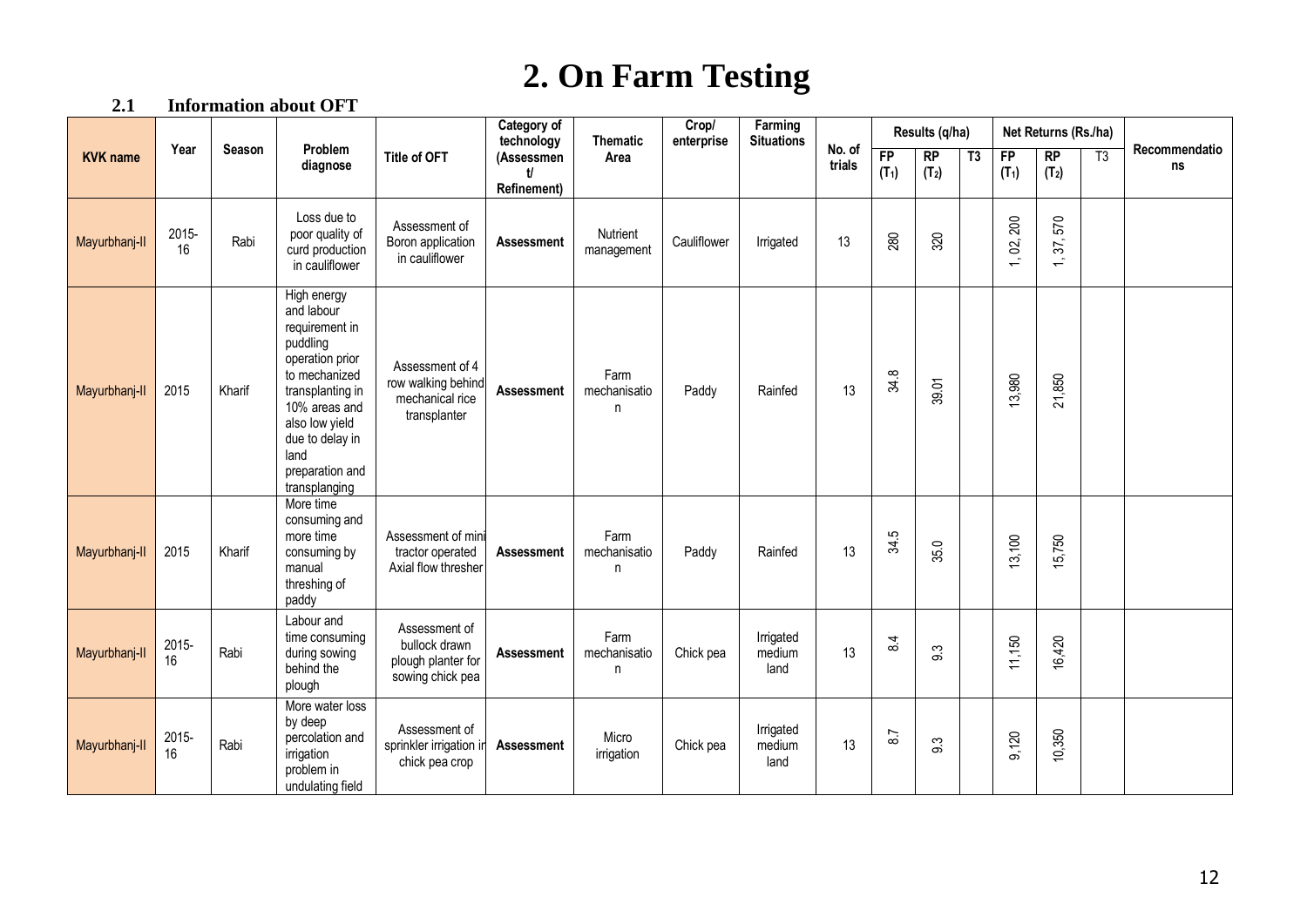## **2. On Farm Testing**

#### **2.1 Information about OFT**

|                 |             |        |                                                                                                                                                                                                                   |                                                                          | Category of<br>technology      | <b>Thematic</b>           | Crop/<br>enterprise | Farming<br><b>Situations</b> |                  |               | Results (q/ha)          |    |               | Net Returns (Rs./ha)    |    |                     |
|-----------------|-------------|--------|-------------------------------------------------------------------------------------------------------------------------------------------------------------------------------------------------------------------|--------------------------------------------------------------------------|--------------------------------|---------------------------|---------------------|------------------------------|------------------|---------------|-------------------------|----|---------------|-------------------------|----|---------------------|
| <b>KVK</b> name | Year        | Season | Problem<br>diagnose                                                                                                                                                                                               | <b>Title of OFT</b>                                                      | (Assessmen<br>H<br>Refinement) | Area                      |                     |                              | No. of<br>trials | FP<br>$(T_1)$ | RP<br>(T <sub>2</sub> ) | T3 | FP<br>$(T_1)$ | RP<br>(T <sub>2</sub> ) | T3 | Recommendatio<br>ns |
| Mayurbhanj-II   | 2015-<br>16 | Rabi   | Loss due to<br>poor quality of<br>curd production<br>in cauliflower                                                                                                                                               | Assessment of<br>Boron application<br>in cauliflower                     | <b>Assessment</b>              | Nutrient<br>management    | Cauliflower         | Irrigated                    | 13               | 280           | 320                     |    | 200<br>1, 02, | 570<br>1, 37,           |    |                     |
| Mayurbhanj-II   | 2015        | Kharif | High energy<br>and labour<br>requirement in<br>puddling<br>operation prior<br>to mechanized<br>transplanting in<br>10% areas and<br>also low yield<br>due to delay in<br>land<br>preparation and<br>transplanging | Assessment of 4<br>row walking behind<br>mechanical rice<br>transplanter | Assessment                     | Farm<br>mechanisatio<br>n | Paddy               | Rainfed                      | 13               | 34.8          | 39.01                   |    | 13,980        | 21,850                  |    |                     |
| Mayurbhanj-II   | 2015        | Kharif | More time<br>consuming and<br>more time<br>consuming by<br>manual<br>threshing of<br>paddy                                                                                                                        | Assessment of mini<br>tractor operated<br>Axial flow thresher            | <b>Assessment</b>              | Farm<br>mechanisatio<br>n | Paddy               | Rainfed                      | 13               | 34.5          | 35.0                    |    | 13,100        | 15,750                  |    |                     |
| Mayurbhanj-II   | 2015-<br>16 | Rabi   | Labour and<br>time consuming<br>during sowing<br>behind the<br>plough                                                                                                                                             | Assessment of<br>bullock drawn<br>plough planter for<br>sowing chick pea | Assessment                     | Farm<br>mechanisatio<br>n | Chick pea           | Irrigated<br>medium<br>land  | 13               | 84            | 9.3                     |    | 11,150        | 16,420                  |    |                     |
| Mayurbhanj-II   | 2015-<br>16 | Rabi   | More water loss<br>by deep<br>percolation and<br>irrigation<br>problem in<br>undulating field                                                                                                                     | Assessment of<br>sprinkler irrigation in<br>chick pea crop               | <b>Assessment</b>              | Micro<br>irrigation       | Chick pea           | Irrigated<br>medium<br>land  | 13               | 8.7           | က<br>တ                  |    | 9,120         | 10,350                  |    |                     |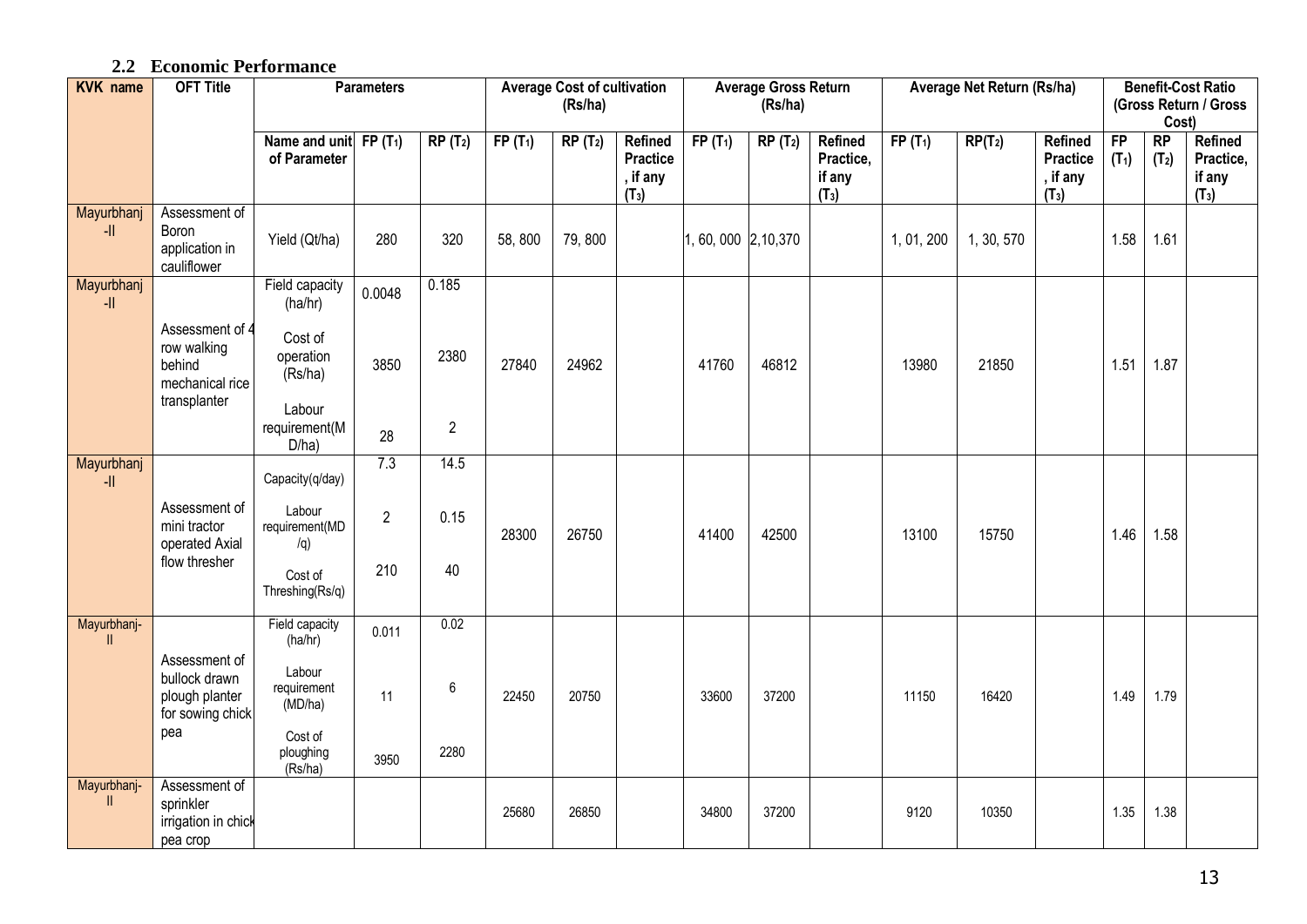#### **2.2 Economic Performance**

| <b>KVK</b> name             | <b>OFT Title</b>                                                     | <b>Parameters</b><br>Name and unit FP $(T_1)$<br>$RP(T_2)$ |                |                | <b>Average Cost of cultivation</b><br>(Rs/ha) |           |                                                          | Average Gross Return<br>(Rs/ha) | Average Net Return (Rs/ha) |                                           |            |            | <b>Benefit-Cost Ratio</b><br>(Gross Return / Gross<br>Cost)        |               |               |                                                     |
|-----------------------------|----------------------------------------------------------------------|------------------------------------------------------------|----------------|----------------|-----------------------------------------------|-----------|----------------------------------------------------------|---------------------------------|----------------------------|-------------------------------------------|------------|------------|--------------------------------------------------------------------|---------------|---------------|-----------------------------------------------------|
|                             |                                                                      | of Parameter                                               |                |                | $FP(T_1)$                                     | $RP(T_2)$ | <b>Refined</b><br><b>Practice</b><br>, if any<br>$(T_3)$ | $FP(T_1)$                       | $RP(T_2)$                  | Refined<br>Practice,<br>if any<br>$(T_3)$ | $FP(T_1)$  | $RP(T_2)$  | <b>Refined</b><br><b>Practice</b><br>, if any<br>(T <sub>3</sub> ) | FP<br>$(T_1)$ | RP<br>$(T_2)$ | Refined<br>Practice,<br>if any<br>(T <sub>3</sub> ) |
| Mayurbhanj<br>$\frac{1}{2}$ | Assessment of<br>Boron<br>application in<br>cauliflower              | Yield (Qt/ha)                                              | 280            | 320            | 58,800                                        | 79,800    |                                                          | 1, 60, 000 2, 10, 370           |                            |                                           | 1, 01, 200 | 1, 30, 570 |                                                                    | 1.58          | 1.61          |                                                     |
| Mayurbhanj<br>$\mathsf{H}$  |                                                                      | Field capacity<br>(ha/hr)                                  | 0.0048         | 0.185          |                                               |           |                                                          |                                 |                            |                                           |            |            |                                                                    |               |               |                                                     |
|                             | Assessment of 4<br>row walking<br>behind<br>mechanical rice          | Cost of<br>operation<br>(Rs/ha)                            | 3850           | 2380           | 27840                                         | 24962     |                                                          | 41760                           | 46812                      |                                           | 13980      | 21850      |                                                                    | 1.51          | 1.87          |                                                     |
|                             | transplanter                                                         | Labour<br>requirement(M<br>D/ha)                           | 28             | $\overline{2}$ |                                               |           |                                                          |                                 |                            |                                           |            |            |                                                                    |               |               |                                                     |
| Mayurbhanj<br>$\frac{1}{2}$ |                                                                      | Capacity(q/day)                                            | 7.3            | 14.5           |                                               |           |                                                          |                                 |                            |                                           |            |            |                                                                    |               |               |                                                     |
|                             | Assessment of<br>mini tractor<br>operated Axial                      | Labour<br>requirement(MD<br>/q)                            | $\overline{2}$ | 0.15           | 28300                                         | 26750     |                                                          | 41400                           | 42500                      |                                           | 13100      | 15750      |                                                                    | 1.46          | 1.58          |                                                     |
|                             | flow thresher                                                        | Cost of<br>Threshing(Rs/q)                                 | 210            | 40             |                                               |           |                                                          |                                 |                            |                                           |            |            |                                                                    |               |               |                                                     |
| Mayurbhanj-<br><b>II</b>    |                                                                      | Field capacity<br>(ha/hr)                                  | 0.011          | 0.02           |                                               |           |                                                          |                                 |                            |                                           |            |            |                                                                    |               |               |                                                     |
|                             | Assessment of<br>bullock drawn<br>plough planter<br>for sowing chick | Labour<br>requirement<br>(MD/ha)                           | 11             | $\,6\,$        | 22450                                         | 20750     |                                                          | 33600                           | 37200                      |                                           | 11150      | 16420      |                                                                    | 1.49          | 1.79          |                                                     |
|                             | pea                                                                  | Cost of<br>ploughing<br>(Rs/ha)                            | 3950           | 2280           |                                               |           |                                                          |                                 |                            |                                           |            |            |                                                                    |               |               |                                                     |
| Mayurbhanj-<br><b>II</b>    | Assessment of<br>sprinkler<br>irrigation in chick<br>pea crop        |                                                            |                |                | 25680                                         | 26850     |                                                          | 34800                           | 37200                      |                                           | 9120       | 10350      |                                                                    | 1.35          | 1.38          |                                                     |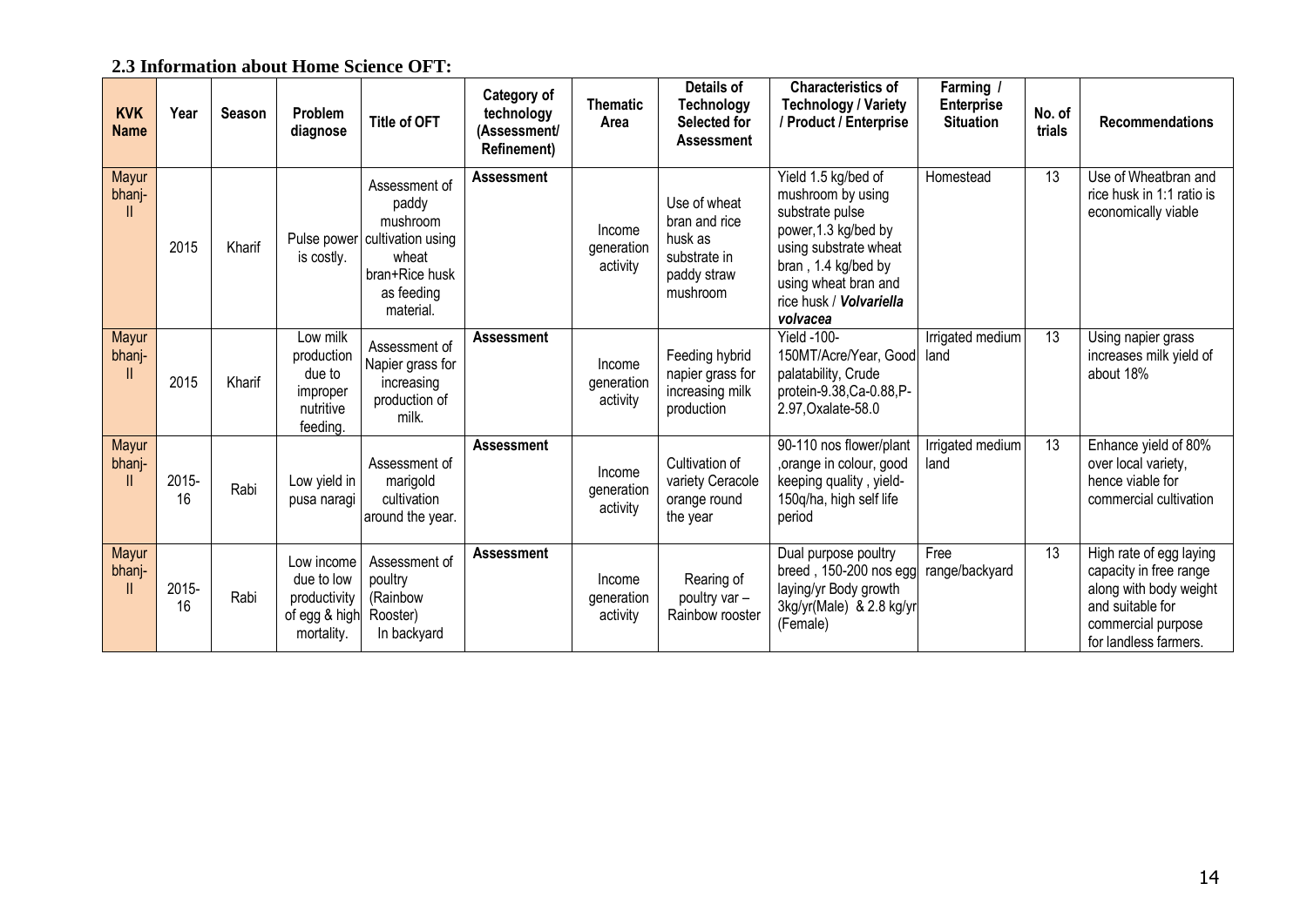|  | 2.3 Information about Home Science OFT: |  |  |
|--|-----------------------------------------|--|--|
|  |                                         |  |  |

| <b>KVK</b><br><b>Name</b> | Year        | <b>Season</b> | <b>Problem</b><br>diagnose                                              | <b>Title of OFT</b>                                                                                                       | Category of<br>technology<br>(Assessment/<br><b>Refinement)</b> | <b>Thematic</b><br>Area          | <b>Details of</b><br><b>Technology</b><br>Selected for<br><b>Assessment</b>         | <b>Characteristics of</b><br><b>Technology / Variety</b><br>/ Product / Enterprise                                                                                                                 | Farming /<br><b>Enterprise</b><br><b>Situation</b> | No. of<br>trials | <b>Recommendations</b>                                                                                                                         |
|---------------------------|-------------|---------------|-------------------------------------------------------------------------|---------------------------------------------------------------------------------------------------------------------------|-----------------------------------------------------------------|----------------------------------|-------------------------------------------------------------------------------------|----------------------------------------------------------------------------------------------------------------------------------------------------------------------------------------------------|----------------------------------------------------|------------------|------------------------------------------------------------------------------------------------------------------------------------------------|
| Mayur<br>bhanj-           | 2015        | Kharif        | is costly.                                                              | Assessment of<br>paddy<br>mushroom<br>Pulse power cultivation using<br>wheat<br>bran+Rice husk<br>as feeding<br>material. | <b>Assessment</b>                                               | Income<br>generation<br>activity | Use of wheat<br>bran and rice<br>husk as<br>substrate in<br>paddy straw<br>mushroom | Yield 1.5 kg/bed of<br>mushroom by using<br>substrate pulse<br>power, 1.3 kg/bed by<br>using substrate wheat<br>bran, 1.4 kg/bed by<br>using wheat bran and<br>rice husk / Volvariella<br>volvacea | Homestead                                          | $\overline{13}$  | Use of Wheatbran and<br>rice husk in 1:1 ratio is<br>economically viable                                                                       |
| Mayur<br>bhanj-           | 2015        | Kharif        | Low milk<br>production<br>due to<br>improper<br>nutritive<br>feeding.   | Assessment of<br>Napier grass for<br>increasing<br>production of<br>milk.                                                 | <b>Assessment</b>                                               | Income<br>generation<br>activity | Feeding hybrid<br>napier grass for<br>increasing milk<br>production                 | Yield -100-<br>150MT/Acre/Year, Good<br>palatability, Crude<br>protein-9.38, Ca-0.88, P-<br>2.97, Oxalate-58.0                                                                                     | Irrigated medium<br>land                           | $\overline{13}$  | Using napier grass<br>increases milk yield of<br>about 18%                                                                                     |
| Mayur<br>bhanj-           | 2015-<br>16 | Rabi          | Low yield in<br>pusa naragi                                             | Assessment of<br>marigold<br>cultivation<br>around the year.                                                              | <b>Assessment</b>                                               | Income<br>generation<br>activity | Cultivation of<br>variety Ceracole<br>orange round<br>the year                      | 90-110 nos flower/plant<br>orange in colour, good<br>keeping quality, yield-<br>150q/ha, high self life<br>period                                                                                  | Irrigated medium<br>land                           | $\overline{13}$  | Enhance yield of 80%<br>over local variety,<br>hence viable for<br>commercial cultivation                                                      |
| Mayur<br>bhanj-           | 2015-<br>16 | Rabi          | Low income<br>due to low<br>productivity<br>of egg & high<br>mortality. | Assessment of<br>poultry<br>(Rainbow<br>Rooster)<br>In backyard                                                           | <b>Assessment</b>                                               | Income<br>generation<br>activity | Rearing of<br>poultry var -<br>Rainbow rooster                                      | Dual purpose poultry<br>breed, 150-200 nos egg<br>laying/yr Body growth<br>3kg/yr(Male) & 2.8 kg/yr<br>(Female)                                                                                    | Free<br>range/backyard                             | 13               | High rate of egg laying<br>capacity in free range<br>along with body weight<br>and suitable for<br>commercial purpose<br>for landless farmers. |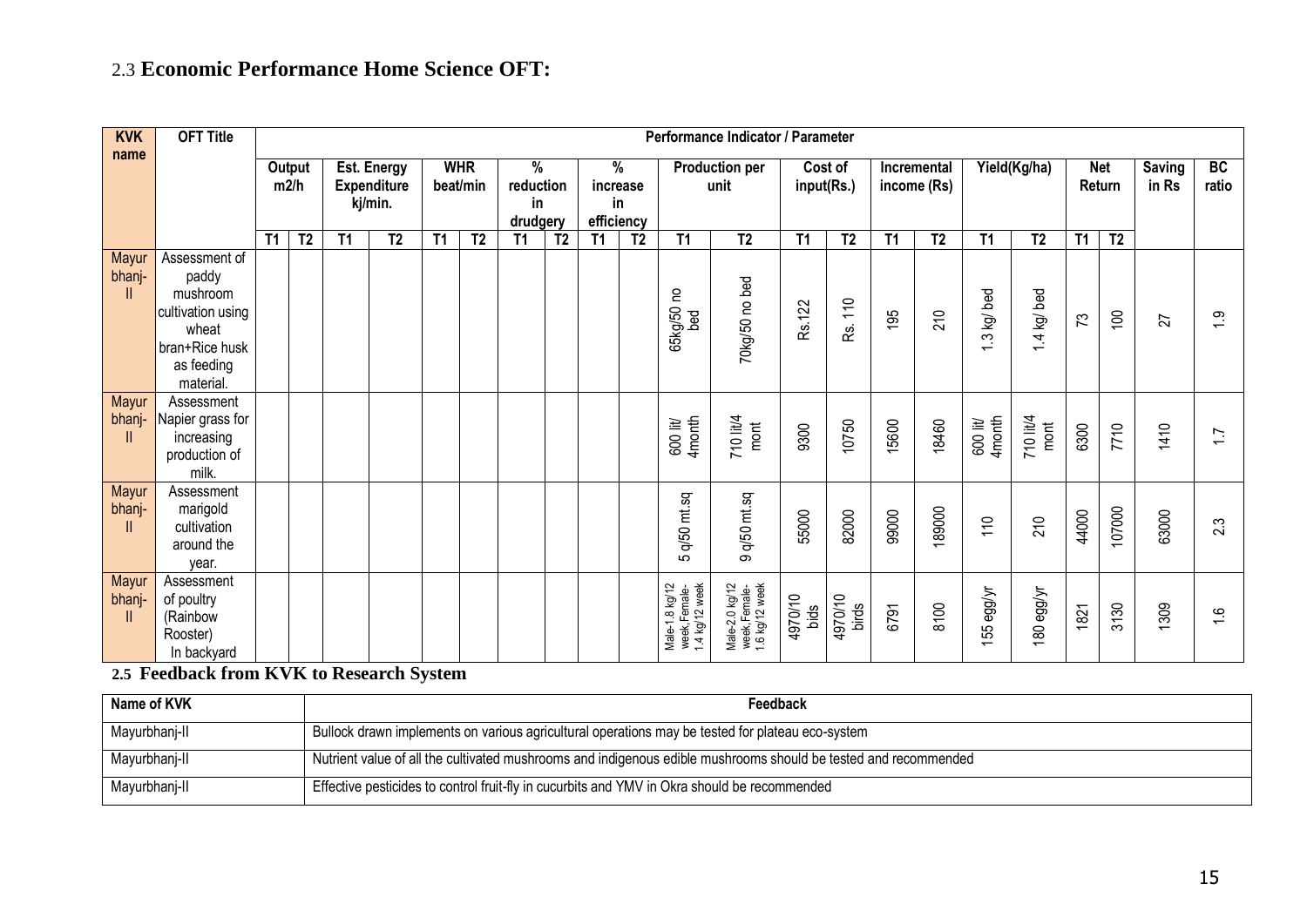## 2.3 **Economic Performance Home Science OFT:**

| <b>KVK</b><br>name    | <b>OFT Title</b>                                                                                              |           |                |           |                                                     |           |                        |                                  |                |                |                                    |                                                  | Performance Indicator / Parameter                |                 |                       |           |                            |                                        |                                        |                  |                      |                        |                 |
|-----------------------|---------------------------------------------------------------------------------------------------------------|-----------|----------------|-----------|-----------------------------------------------------|-----------|------------------------|----------------------------------|----------------|----------------|------------------------------------|--------------------------------------------------|--------------------------------------------------|-----------------|-----------------------|-----------|----------------------------|----------------------------------------|----------------------------------------|------------------|----------------------|------------------------|-----------------|
|                       |                                                                                                               |           | Output<br>m2/h |           | <b>Est. Energy</b><br><b>Expenditure</b><br>kj/min. |           | <b>WHR</b><br>beat/min | %<br>reduction<br>in<br>drudgery |                |                | %<br>increase<br>in.<br>efficiency |                                                  | <b>Production per</b><br>unit                    |                 | Cost of<br>input(Rs.) |           | Incremental<br>income (Rs) |                                        | Yield(Kg/ha)                           |                  | <b>Net</b><br>Return | <b>Saving</b><br>in Rs | BC<br>ratio     |
|                       |                                                                                                               | <b>T1</b> | T <sub>2</sub> | <b>T1</b> | T <sub>2</sub>                                      | <b>T1</b> | T <sub>2</sub>         | <b>T1</b>                        | T <sub>2</sub> | T <sub>1</sub> | T <sub>2</sub>                     | T1                                               | T <sub>2</sub>                                   | <b>T1</b>       | T <sub>2</sub>        | <b>T1</b> | T <sub>2</sub>             | <b>T1</b>                              | T <sub>2</sub>                         | <b>T1</b>        | T <sub>2</sub>       |                        |                 |
| Mayur<br>bhanj-       | Assessment of<br>paddy<br>mushroom<br>cultivation using<br>wheat<br>bran+Rice husk<br>as feeding<br>material. |           |                |           |                                                     |           |                        |                                  |                |                |                                    | 65kg/50 no<br>bed                                | 70kg/50 no bed                                   | Rs.122          | 10<br>ρg.             | 195       | 210                        | .3 kg/ bed<br>$\overline{\phantom{0}}$ | .4 kg/ bed<br>$\overline{\phantom{0}}$ | $\mathfrak{c}_1$ | $\overline{5}$       | 27                     | $\frac{5}{1}$   |
| Mayur<br>bhanj-<br>Ш  | Assessment<br>Napier grass for<br>increasing<br>production of<br>milk.                                        |           |                |           |                                                     |           |                        |                                  |                |                |                                    | 600 lit/<br>4month                               | 710 lit/4<br>$\mathsf{mont}$                     | 9300            | 10750                 | 15600     | 18460                      | 4 month<br>600 lit/                    | 710 lit/4<br>mont                      | 6300             | 7710                 | 1410                   | $\overline{11}$ |
| Mayur<br>bhanj-<br>Ш  | Assessment<br>marigold<br>cultivation<br>around the<br>year.                                                  |           |                |           |                                                     |           |                        |                                  |                |                |                                    | q/50 mt.sq<br>ഥ                                  | 9 q/50 mt.sq                                     | 55000           | 82000                 | 99000     | 189000                     | 10                                     | 210                                    | 44000            | 107000               | 63000                  | 2.3             |
| Mayur<br>bhanj-<br>11 | Assessment<br>of poultry<br>(Rainbow<br>Rooster)<br>In backyard                                               |           |                |           |                                                     |           |                        |                                  |                |                |                                    | Male-1.8 kg/12<br>week,Female-<br>1.4 kg/12 week | Male-2.0 kg/12<br>week,Female-<br>1.6 kg/12 week | 4970/10<br>bids | 4970/10<br>birds      | 6791      | 8100                       | 55 egg/yr                              | 180 egg/yr                             | 1821             | 3130                 | 1309                   | $\frac{6}{1}$   |

**2.5 Feedback from KVK to Research System**

| Name of KVK   | Feedback                                                                                                        |
|---------------|-----------------------------------------------------------------------------------------------------------------|
| Mayurbhanj-II | Bullock drawn implements on various agricultural operations may be tested for plateau eco-system                |
| Mayurbhanj-II | Nutrient value of all the cultivated mushrooms and indigenous edible mushrooms should be tested and recommended |
| Mayurbhanj-II | Effective pesticides to control fruit-fly in cucurbits and YMV in Okra should be recommended                    |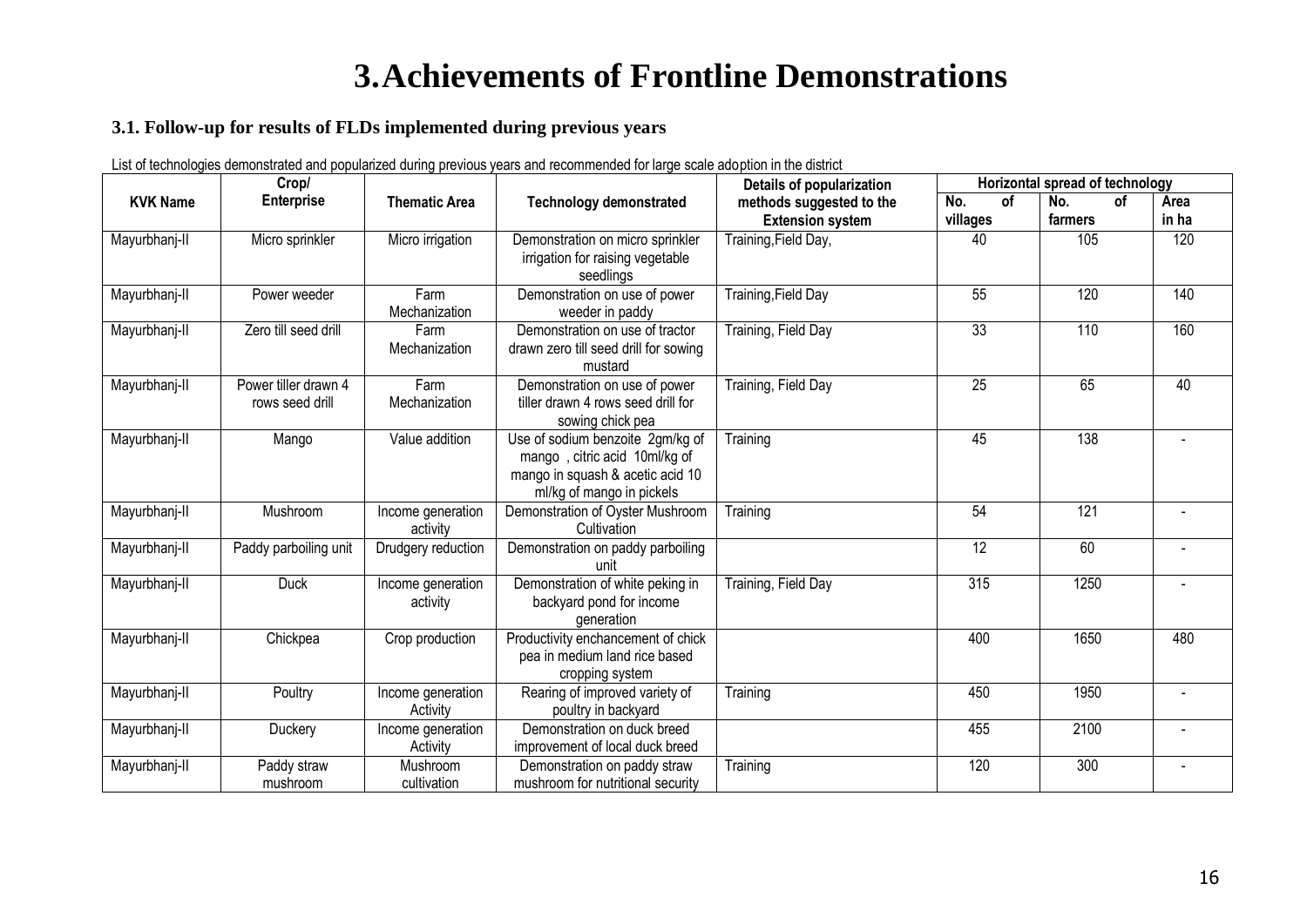## **3.Achievements of Frontline Demonstrations**

#### **3.1. Follow-up for results of FLDs implemented during previous years**

List of technologies demonstrated and popularized during previous years and recommended for large scale adoption in the district

| No.<br><b>Enterprise</b><br>οf<br>No.<br>οf<br><b>KVK Name</b><br>Area<br><b>Thematic Area</b><br><b>Technology demonstrated</b><br>methods suggested to the<br>villages<br>in ha<br><b>Extension system</b><br>farmers<br>120<br>Micro irrigation<br>Training, Field Day,<br>40<br>Mayurbhanj-II<br>Micro sprinkler<br>Demonstration on micro sprinkler<br>105<br>irrigation for raising vegetable<br>seedlings<br><b>Training, Field Day</b><br>140<br>Mayurbhanj-II<br>Farm<br>Demonstration on use of power<br>55<br>120<br>Power weeder<br>Mechanization<br>weeder in paddy | Crop/ |  | Details of popularization | Horizontal spread of technology |  |
|----------------------------------------------------------------------------------------------------------------------------------------------------------------------------------------------------------------------------------------------------------------------------------------------------------------------------------------------------------------------------------------------------------------------------------------------------------------------------------------------------------------------------------------------------------------------------------|-------|--|---------------------------|---------------------------------|--|
|                                                                                                                                                                                                                                                                                                                                                                                                                                                                                                                                                                                  |       |  |                           |                                 |  |
|                                                                                                                                                                                                                                                                                                                                                                                                                                                                                                                                                                                  |       |  |                           |                                 |  |
|                                                                                                                                                                                                                                                                                                                                                                                                                                                                                                                                                                                  |       |  |                           |                                 |  |
|                                                                                                                                                                                                                                                                                                                                                                                                                                                                                                                                                                                  |       |  |                           |                                 |  |
|                                                                                                                                                                                                                                                                                                                                                                                                                                                                                                                                                                                  |       |  |                           |                                 |  |
|                                                                                                                                                                                                                                                                                                                                                                                                                                                                                                                                                                                  |       |  |                           |                                 |  |
|                                                                                                                                                                                                                                                                                                                                                                                                                                                                                                                                                                                  |       |  |                           |                                 |  |
| 33<br>110<br>160<br>Training, Field Day<br>Mayurbhanj-II<br>Zero till seed drill<br>Demonstration on use of tractor<br>Farm                                                                                                                                                                                                                                                                                                                                                                                                                                                      |       |  |                           |                                 |  |
| Mechanization<br>drawn zero till seed drill for sowing                                                                                                                                                                                                                                                                                                                                                                                                                                                                                                                           |       |  |                           |                                 |  |
| mustard                                                                                                                                                                                                                                                                                                                                                                                                                                                                                                                                                                          |       |  |                           |                                 |  |
| 65<br>Demonstration on use of power<br>Training, Field Day<br>$\overline{25}$<br>40<br>Mayurbhanj-II<br>Power tiller drawn 4<br>Farm                                                                                                                                                                                                                                                                                                                                                                                                                                             |       |  |                           |                                 |  |
| Mechanization<br>tiller drawn 4 rows seed drill for<br>rows seed drill                                                                                                                                                                                                                                                                                                                                                                                                                                                                                                           |       |  |                           |                                 |  |
| sowing chick pea                                                                                                                                                                                                                                                                                                                                                                                                                                                                                                                                                                 |       |  |                           |                                 |  |
| 138<br>Value addition<br>Training<br>45<br>Mayurbhanj-II<br>Use of sodium benzoite 2gm/kg of<br>Mango                                                                                                                                                                                                                                                                                                                                                                                                                                                                            |       |  |                           |                                 |  |
| mango, citric acid 10ml/kg of                                                                                                                                                                                                                                                                                                                                                                                                                                                                                                                                                    |       |  |                           |                                 |  |
| mango in squash & acetic acid 10                                                                                                                                                                                                                                                                                                                                                                                                                                                                                                                                                 |       |  |                           |                                 |  |
| ml/kg of mango in pickels                                                                                                                                                                                                                                                                                                                                                                                                                                                                                                                                                        |       |  |                           |                                 |  |
| 121<br>54<br>Mayurbhanj-II<br>Mushroom<br>Demonstration of Oyster Mushroom<br>Income generation<br>Training                                                                                                                                                                                                                                                                                                                                                                                                                                                                      |       |  |                           |                                 |  |
| Cultivation<br>activity                                                                                                                                                                                                                                                                                                                                                                                                                                                                                                                                                          |       |  |                           |                                 |  |
| 12<br>60<br>Mayurbhanj-II<br>Paddy parboiling unit<br>Drudgery reduction<br>Demonstration on paddy parboiling                                                                                                                                                                                                                                                                                                                                                                                                                                                                    |       |  |                           |                                 |  |
| unit<br>315<br>1250<br><b>Duck</b>                                                                                                                                                                                                                                                                                                                                                                                                                                                                                                                                               |       |  |                           |                                 |  |
| Demonstration of white peking in<br>Training, Field Day<br>Mayurbhanj-II<br>Income generation                                                                                                                                                                                                                                                                                                                                                                                                                                                                                    |       |  |                           |                                 |  |
| backyard pond for income<br>activity                                                                                                                                                                                                                                                                                                                                                                                                                                                                                                                                             |       |  |                           |                                 |  |
| generation<br>1650<br>480<br>Mayurbhanj-II<br>Productivity enchancement of chick<br>400<br>Chickpea                                                                                                                                                                                                                                                                                                                                                                                                                                                                              |       |  |                           |                                 |  |
| Crop production<br>pea in medium land rice based                                                                                                                                                                                                                                                                                                                                                                                                                                                                                                                                 |       |  |                           |                                 |  |
| cropping system                                                                                                                                                                                                                                                                                                                                                                                                                                                                                                                                                                  |       |  |                           |                                 |  |
| 1950<br>Poultry<br>Rearing of improved variety of<br>450<br>Mayurbhanj-II<br>Income generation<br>Training                                                                                                                                                                                                                                                                                                                                                                                                                                                                       |       |  |                           |                                 |  |
| Activity<br>poultry in backyard                                                                                                                                                                                                                                                                                                                                                                                                                                                                                                                                                  |       |  |                           |                                 |  |
| 2100<br>455<br>Mayurbhanj-II<br>Duckery<br>Demonstration on duck breed<br>Income generation                                                                                                                                                                                                                                                                                                                                                                                                                                                                                      |       |  |                           |                                 |  |
| improvement of local duck breed<br>Activity                                                                                                                                                                                                                                                                                                                                                                                                                                                                                                                                      |       |  |                           |                                 |  |
| Demonstration on paddy straw<br>120<br>300<br>Mayurbhanj-II<br>Paddy straw<br>Training<br>Mushroom                                                                                                                                                                                                                                                                                                                                                                                                                                                                               |       |  |                           |                                 |  |
| mushroom for nutritional security<br>cultivation<br>mushroom                                                                                                                                                                                                                                                                                                                                                                                                                                                                                                                     |       |  |                           |                                 |  |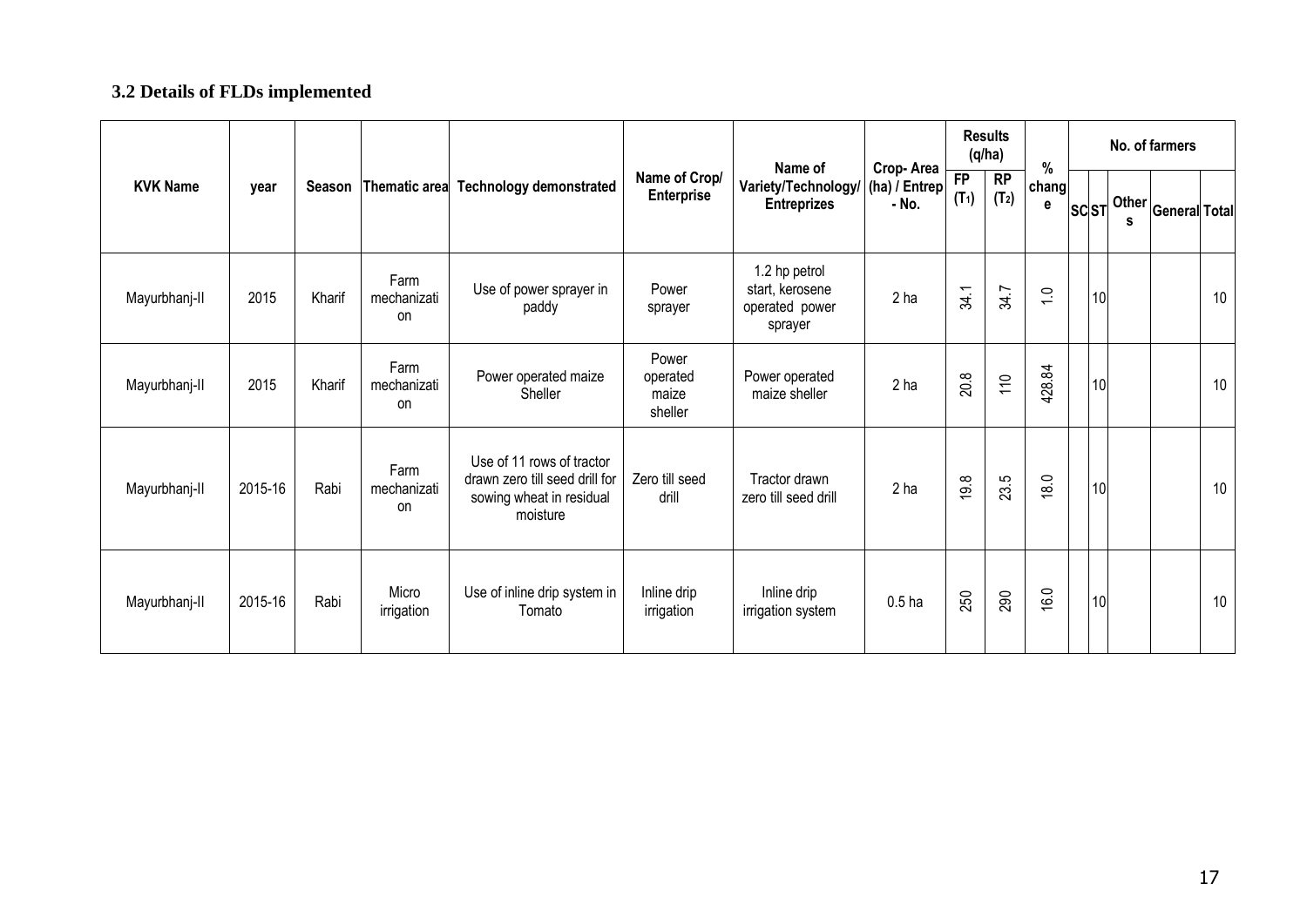### **3.2 Details of FLDs implemented**

|                 |         |        |                                  |                                                                                                     |                                       | Name of                                                       |                                     |               | <b>Results</b><br>(q/ha) | $\%$           |             | No. of farmers                                   |    |
|-----------------|---------|--------|----------------------------------|-----------------------------------------------------------------------------------------------------|---------------------------------------|---------------------------------------------------------------|-------------------------------------|---------------|--------------------------|----------------|-------------|--------------------------------------------------|----|
| <b>KVK Name</b> | year    | Season | Thematic area                    | <b>Technology demonstrated</b>                                                                      | Name of Crop/<br><b>Enterprise</b>    | Variety/Technology/<br><b>Entreprizes</b>                     | Crop-Area<br>(ha) / Entrep<br>- No. | FP<br>$(T_1)$ | RP<br>$(T_2)$            | chang<br>e     | <b>SCST</b> | .∤ Other <mark>General</mark> Total <sup>l</sup> |    |
| Mayurbhanj-II   | 2015    | Kharif | Farm<br>mechanizati<br>on        | Use of power sprayer in<br>paddy                                                                    | Power<br>sprayer                      | 1.2 hp petrol<br>start, kerosene<br>operated power<br>sprayer | 2 <sub>ha</sub>                     | 34.1          | 34.7                     | $\overline{C}$ | 10          |                                                  | 10 |
| Mayurbhanj-II   | 2015    | Kharif | Farm<br>mechanizati<br>on        | Power operated maize<br>Sheller                                                                     | Power<br>operated<br>maize<br>sheller | Power operated<br>maize sheller                               | 2 <sub>ha</sub>                     | 20.8          | 110                      | 428.84         | 10          |                                                  | 10 |
| Mayurbhanj-II   | 2015-16 | Rabi   | Farm<br>mechanizati<br><b>on</b> | Use of 11 rows of tractor<br>drawn zero till seed drill for<br>sowing wheat in residual<br>moisture | Zero till seed<br>drill               | Tractor drawn<br>zero till seed drill                         | 2 <sub>ha</sub>                     | 19.8          | 23.5                     | 18.0           | 10          |                                                  | 10 |
| Mayurbhanj-II   | 2015-16 | Rabi   | Micro<br>irrigation              | Use of inline drip system in<br>Tomato                                                              | Inline drip<br>irrigation             | Inline drip<br>irrigation system                              | 0.5 <sub>ha</sub>                   | 250           | 290                      | 16.0           | 10          |                                                  | 10 |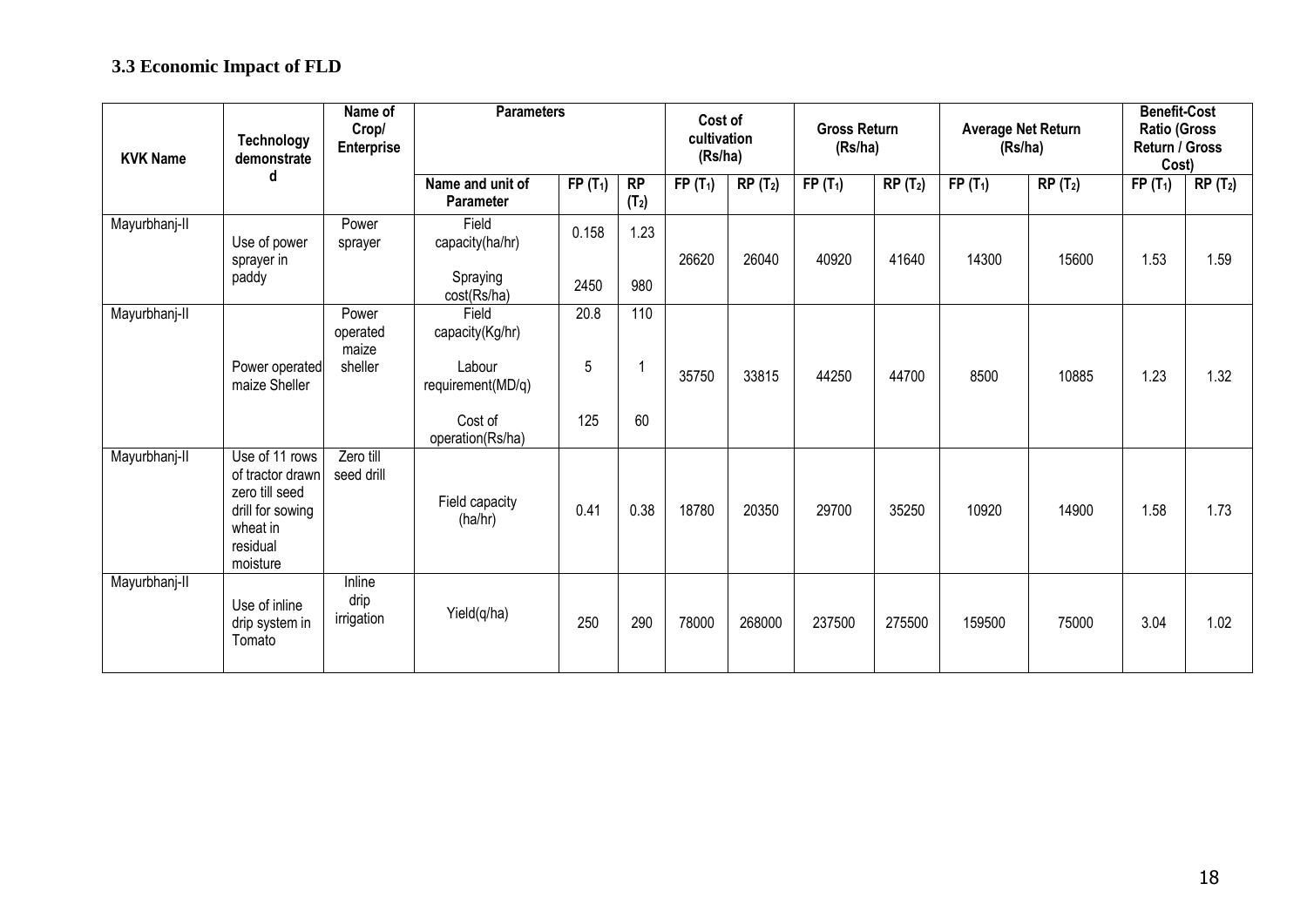## **3.3 Economic Impact of FLD**

| <b>KVK Name</b> | <b>Technology</b><br>demonstrate                                                                             | Name of<br>Crop/<br><b>Enterprise</b> | <b>Parameters</b>                                                                      |                  |                         | Cost of<br>cultivation<br>(Rs/ha) |           | <b>Gross Return</b><br>(Rs/ha) |                                        | <b>Average Net Return</b><br>(Rs/ha) |           | <b>Benefit-Cost</b><br><b>Ratio (Gross</b><br>Return / Gross<br>Cost) |           |  |
|-----------------|--------------------------------------------------------------------------------------------------------------|---------------------------------------|----------------------------------------------------------------------------------------|------------------|-------------------------|-----------------------------------|-----------|--------------------------------|----------------------------------------|--------------------------------------|-----------|-----------------------------------------------------------------------|-----------|--|
|                 | d                                                                                                            |                                       | Name and unit of<br><b>Parameter</b>                                                   | $FP(T_1)$        | RP<br>(T <sub>2</sub> ) | $FP(T_1)$                         | $RP(T_2)$ | $FP(T_1)$                      | $\overline{\mathsf{RP}}(\mathsf{T}_2)$ | $FP(T_1)$                            | $RP(T_2)$ | $FP(T_1)$                                                             | $RP(T_2)$ |  |
| Mayurbhanj-II   | Use of power<br>sprayer in<br>paddy                                                                          | Power<br>sprayer                      | Field<br>capacity(ha/hr)<br>Spraying<br>cost(Rs/ha)                                    | 0.158<br>2450    | 1.23<br>980             | 26620                             | 26040     | 40920                          | 41640                                  | 14300                                | 15600     | 1.53                                                                  | 1.59      |  |
| Mayurbhanj-II   | Power operated<br>maize Sheller                                                                              | Power<br>operated<br>maize<br>sheller | Field<br>capacity(Kg/hr)<br>Labour<br>requirement(MD/q)<br>Cost of<br>operation(Rs/ha) | 20.8<br>5<br>125 | 110<br>60               | 35750                             | 33815     | 44250                          | 44700                                  | 8500                                 | 10885     | 1.23                                                                  | 1.32      |  |
| Mayurbhanj-II   | Use of 11 rows<br>of tractor drawn<br>zero till seed<br>drill for sowing<br>wheat in<br>residual<br>moisture | Zero till<br>seed drill               | Field capacity<br>(ha/hr)                                                              | 0.41             | 0.38                    | 18780                             | 20350     | 29700                          | 35250                                  | 10920                                | 14900     | 1.58                                                                  | 1.73      |  |
| Mayurbhanj-II   | Use of inline<br>drip system in<br>Tomato                                                                    | Inline<br>drip<br>irrigation          | Yield(q/ha)                                                                            | 250              | 290                     | 78000                             | 268000    | 237500                         | 275500                                 | 159500                               | 75000     | 3.04                                                                  | 1.02      |  |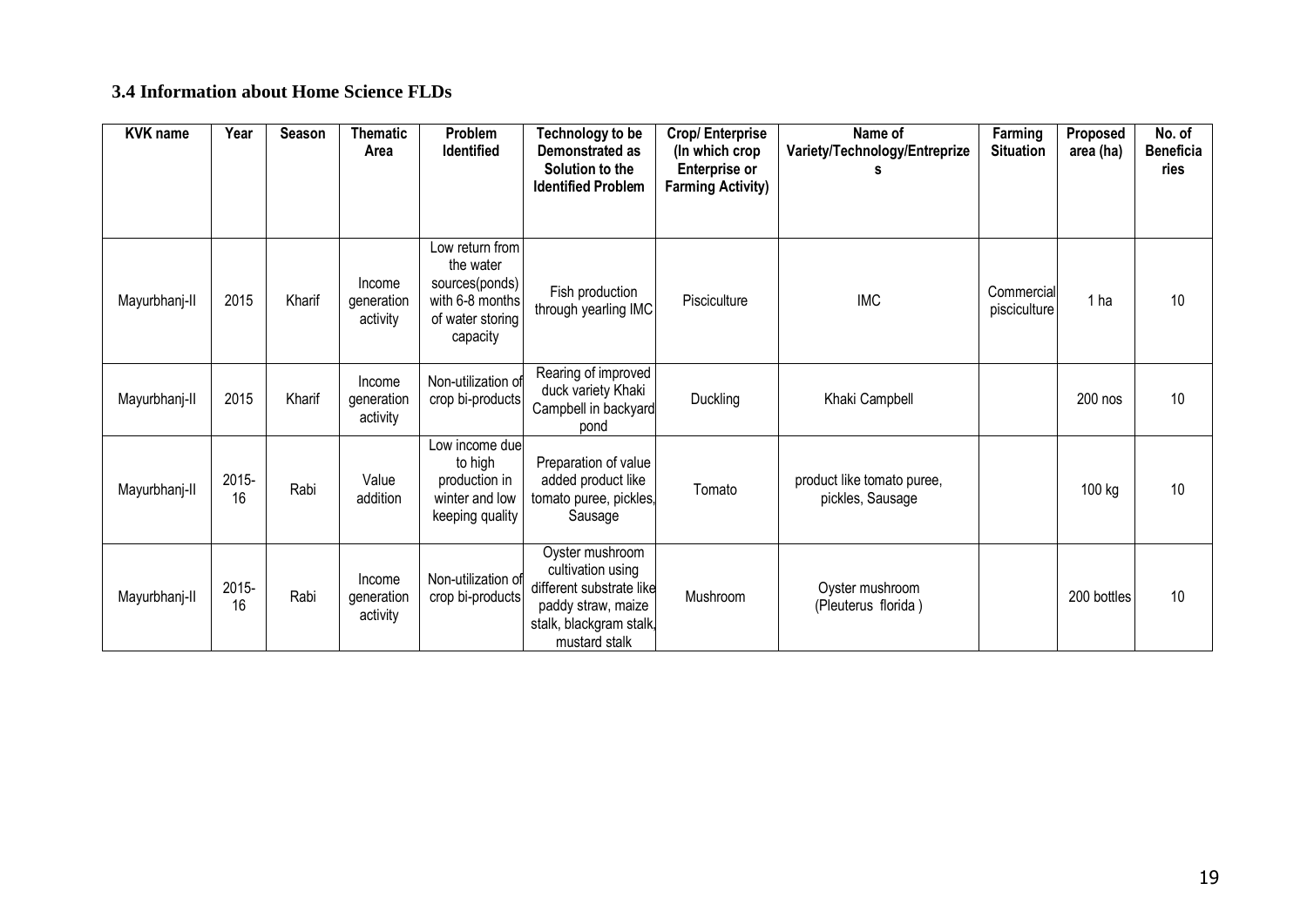#### **3.4 Information about Home Science FLDs**

| <b>KVK name</b> | Year        | <b>Season</b> | <b>Thematic</b><br>Area          | Problem<br><b>Identified</b>                                                                      | Technology to be<br>Demonstrated as<br>Solution to the<br><b>Identified Problem</b>                                                | <b>Crop/Enterprise</b><br>(In which crop<br><b>Enterprise or</b><br><b>Farming Activity)</b> | Name of<br>Variety/Technology/Entreprize       | Farming<br><b>Situation</b> | Proposed<br>area (ha) | No. of<br><b>Beneficia</b><br>ries |
|-----------------|-------------|---------------|----------------------------------|---------------------------------------------------------------------------------------------------|------------------------------------------------------------------------------------------------------------------------------------|----------------------------------------------------------------------------------------------|------------------------------------------------|-----------------------------|-----------------------|------------------------------------|
|                 |             |               |                                  |                                                                                                   |                                                                                                                                    |                                                                                              |                                                |                             |                       |                                    |
| Mayurbhanj-II   | 2015        | Kharif        | Income<br>generation<br>activity | Low return from<br>the water<br>sources(ponds)<br>with 6-8 months<br>of water storing<br>capacity | Fish production<br>through yearling IMC                                                                                            | Pisciculture                                                                                 | <b>IMC</b>                                     | Commercial<br>pisciculture  | 1 ha                  | 10                                 |
| Mayurbhanj-II   | 2015        | Kharif        | Income<br>generation<br>activity | Non-utilization of<br>crop bi-products                                                            | Rearing of improved<br>duck variety Khaki<br>Campbell in backyard<br>pond                                                          | Duckling                                                                                     | Khaki Campbell                                 |                             | 200 nos               | 10                                 |
| Mayurbhanj-II   | 2015-<br>16 | Rabi          | Value<br>addition                | Low income due<br>to high<br>production in<br>winter and low<br>keeping quality                   | Preparation of value<br>added product like<br>tomato puree, pickles,<br>Sausage                                                    | Tomato                                                                                       | product like tomato puree,<br>pickles, Sausage |                             | 100 kg                | 10                                 |
| Mayurbhanj-II   | 2015-<br>16 | Rabi          | Income<br>generation<br>activity | Non-utilization of<br>crop bi-products                                                            | Oyster mushroom<br>cultivation using<br>different substrate like<br>paddy straw, maize<br>stalk, blackgram stalk,<br>mustard stalk | Mushroom                                                                                     | Oyster mushroom<br>(Pleuterus florida)         |                             | 200 bottles           | 10                                 |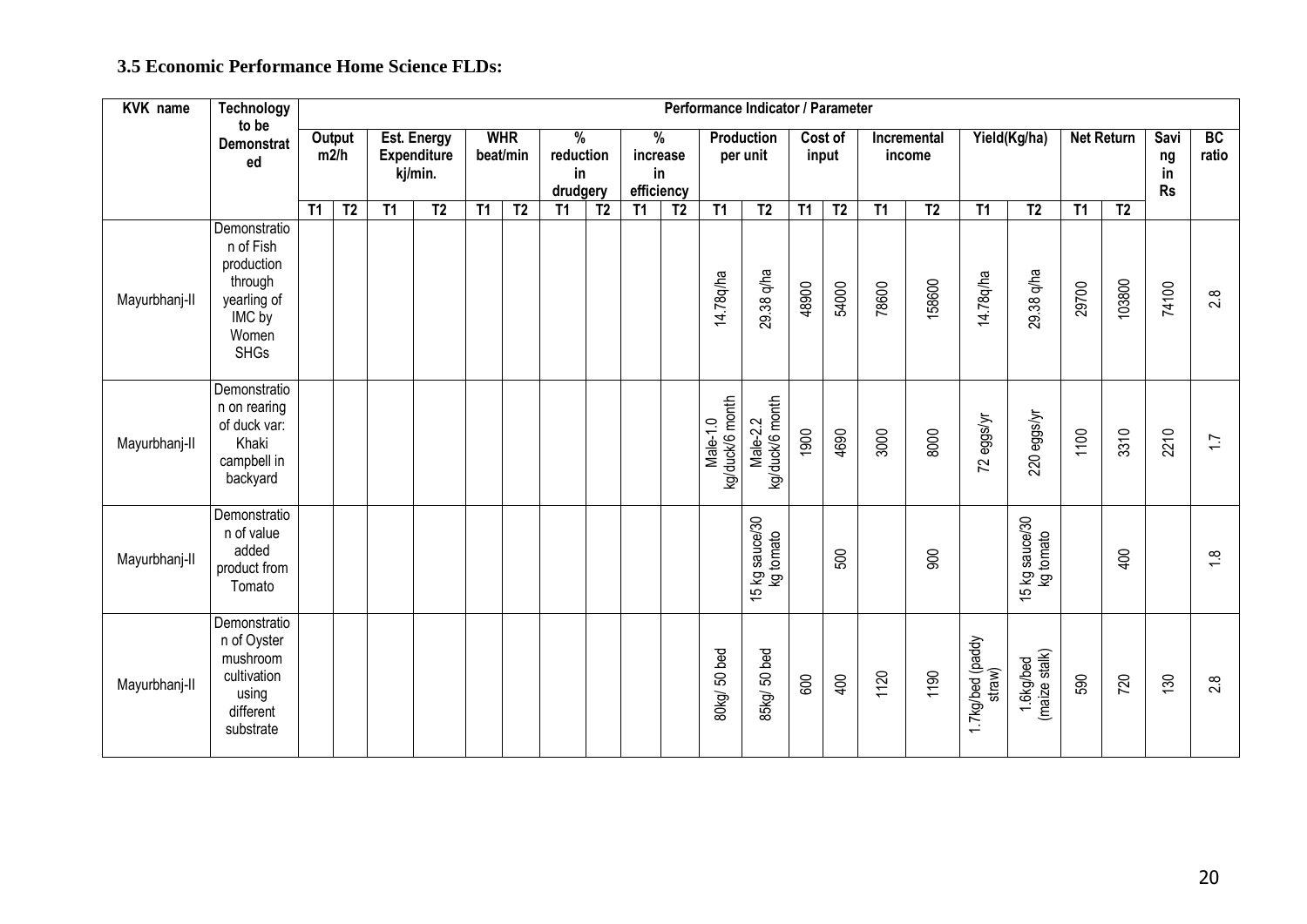#### **3.5 Economic Performance Home Science FLDs:**

| <b>KVK</b> name | Technology                                                                                          | Performance Indicator / Parameter |                |    |                                              |    |                                                                        |    |                                               |    |                |                               |                             |                  |                       |       |                |                            |                                                |                   |                               |             |                  |
|-----------------|-----------------------------------------------------------------------------------------------------|-----------------------------------|----------------|----|----------------------------------------------|----|------------------------------------------------------------------------|----|-----------------------------------------------|----|----------------|-------------------------------|-----------------------------|------------------|-----------------------|-------|----------------|----------------------------|------------------------------------------------|-------------------|-------------------------------|-------------|------------------|
|                 | to be<br><b>Demonstrat</b><br>ed                                                                    |                                   | Output<br>m2/h |    | Est. Energy<br><b>Expenditure</b><br>kj/min. |    | <b>WHR</b><br>$\frac{9}{6}$<br>beat/min<br>reduction<br>in<br>drudgery |    | $\frac{9}{6}$<br>increase<br>in<br>efficiency |    |                | <b>Production</b><br>per unit |                             | Cost of<br>input | Incremental<br>income |       | Yield(Kg/ha)   |                            |                                                | <b>Net Return</b> | Savi<br>ng<br>in<br><b>Rs</b> | BC<br>ratio |                  |
|                 |                                                                                                     | T1                                | T <sub>2</sub> | T1 | T <sub>2</sub>                               | T1 | T <sub>2</sub>                                                         | T1 | $\overline{12}$                               | T1 | T <sub>2</sub> | T1                            | T <sub>2</sub>              | T1               | T <sub>2</sub>        | T1    | T <sub>2</sub> | T1                         | T <sub>2</sub>                                 | $\overline{11}$   | T <sub>2</sub>                |             |                  |
| Mayurbhanj-II   | Demonstratio<br>n of Fish<br>production<br>through<br>yearling of<br>IMC by<br>Women<br><b>SHGs</b> |                                   |                |    |                                              |    |                                                                        |    |                                               |    |                | 14.78q/ha                     | 29.38 q/ha                  | 48900            | 54000                 | 78600 | 158600         | 14.78q/ha                  | 29.38 q/ha                                     | 29700             | 103800                        | 74100       | 2.8              |
| Mayurbhanj-II   | Demonstratio<br>n on rearing<br>of duck var:<br>Khaki<br>campbell in<br>backyard                    |                                   |                |    |                                              |    |                                                                        |    |                                               |    |                | kg/duck/6 month<br>Male-1.0   | kg/duck/6 month<br>Male-2.2 | 1900             | 4690                  | 3000  | 8000           | 72 eggs/yr                 | 220 eggs/yr                                    | 1100              | 3310                          | 2210        | $\overline{1.7}$ |
| Mayurbhanj-II   | Demonstratio<br>n of value<br>added<br>product from<br>Tomato                                       |                                   |                |    |                                              |    |                                                                        |    |                                               |    |                |                               | 15 kg sauce/30<br>kg tomato |                  | 500                   |       | g              |                            | 5 kg sauce/30<br>kg tomato<br>15 <sub>kg</sub> |                   | $rac{1}{2}$                   |             | $\frac{8}{1}$    |
| Mayurbhanj-II   | Demonstratio<br>n of Oyster<br>mushroom<br>cultivation<br>using<br>different<br>substrate           |                                   |                |    |                                              |    |                                                                        |    |                                               |    |                | BOkg/50 bed                   | 85kg/ 50 bed                | $600\,$          | 400                   | 1120  | 1190           | 1.7kg/bed (paddy<br>straw) | 1.6kg/bed<br>(maize stalk)                     | 590               | 720                           | 130         | 2.8              |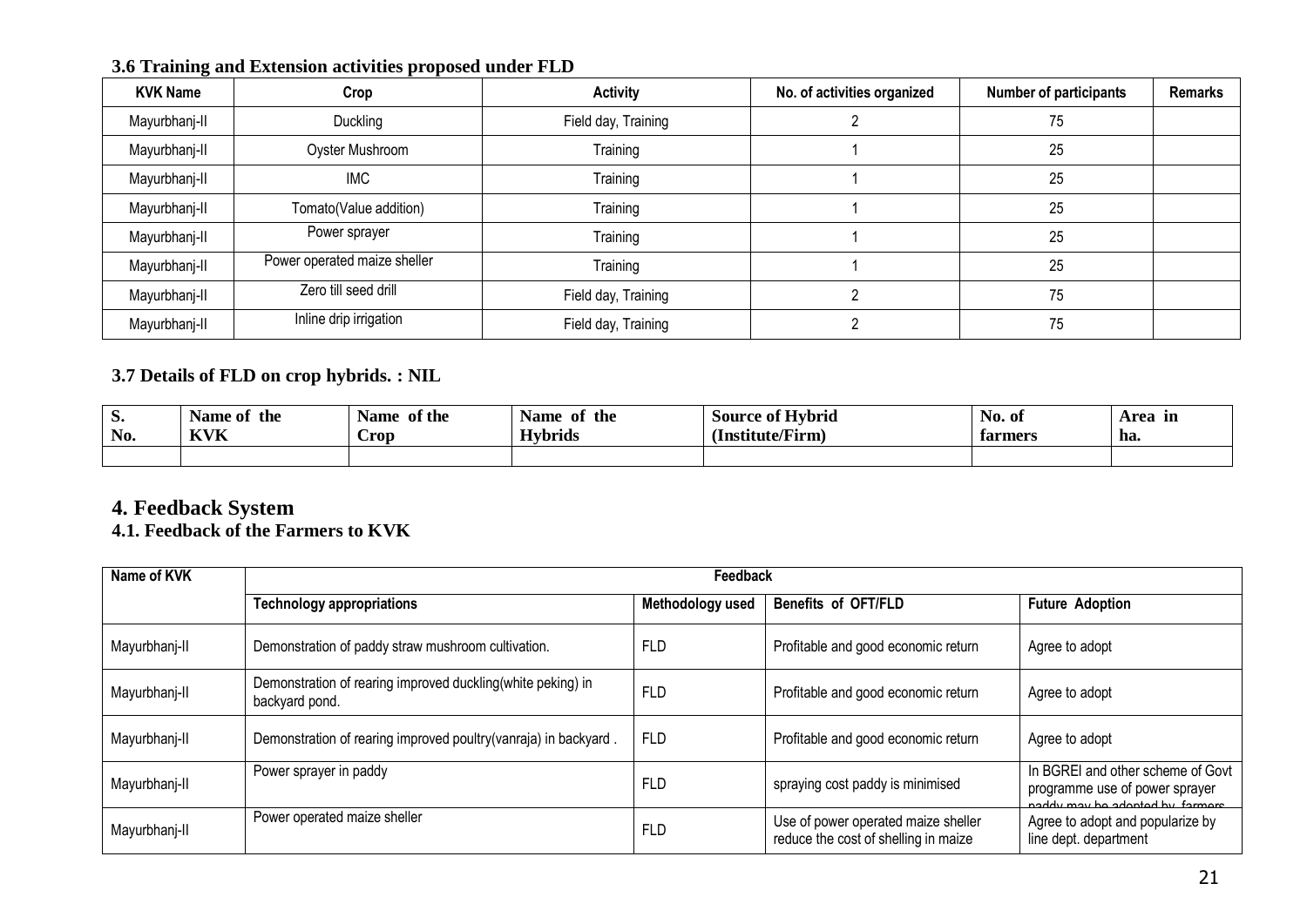| <b>KVK Name</b> | Crop                         | <b>Activity</b>     | No. of activities organized | <b>Number of participants</b> | <b>Remarks</b> |
|-----------------|------------------------------|---------------------|-----------------------------|-------------------------------|----------------|
| Mayurbhanj-II   | Duckling                     | Field day, Training |                             | 75                            |                |
| Mayurbhanj-II   | Oyster Mushroom              | Training            |                             | 25                            |                |
| Mayurbhanj-II   | <b>IMC</b>                   | Training            |                             | 25                            |                |
| Mayurbhanj-II   | Tomato(Value addition)       | Training            |                             | 25                            |                |
| Mayurbhanj-II   | Power sprayer                | Training            |                             | 25                            |                |
| Mayurbhanj-II   | Power operated maize sheller | Training            |                             | 25                            |                |
| Mayurbhanj-II   | Zero till seed drill         | Field day, Training |                             | 75                            |                |
| Mayurbhanj-II   | Inline drip irrigation       | Field day, Training |                             | 75                            |                |

**3.6 Training and Extension activities proposed under FLD**

#### **3.7 Details of FLD on crop hybrids. : NIL**

| $\mathbf{D} \bullet$<br>No. | the<br>Name of<br><b>KVK</b> | of the<br><b>Name</b><br>Crop | the<br>Name<br>- of<br><b>Hybrids</b> | <b>Source of Hybrid</b><br>(Institute/Firm) | No. of<br>farmers | Area<br>- In<br>ha. |
|-----------------------------|------------------------------|-------------------------------|---------------------------------------|---------------------------------------------|-------------------|---------------------|
|                             |                              |                               |                                       |                                             |                   |                     |

#### **4. Feedback System**

#### **4.1. Feedback of the Farmers to KVK**

| Name of KVK   |                                                                               | Feedback         |                                                                             |                                                                                                        |
|---------------|-------------------------------------------------------------------------------|------------------|-----------------------------------------------------------------------------|--------------------------------------------------------------------------------------------------------|
|               | <b>Technology appropriations</b>                                              | Methodology used | <b>Benefits of OFT/FLD</b>                                                  | <b>Future Adoption</b>                                                                                 |
| Mayurbhanj-II | Demonstration of paddy straw mushroom cultivation.                            | <b>FLD</b>       | Profitable and good economic return                                         | Agree to adopt                                                                                         |
| Mayurbhanj-II | Demonstration of rearing improved duckling(white peking) in<br>backyard pond. | <b>FLD</b>       | Profitable and good economic return                                         | Agree to adopt                                                                                         |
| Mayurbhanj-II | Demonstration of rearing improved poultry(vanraja) in backyard.               | <b>FLD</b>       | Profitable and good economic return                                         | Agree to adopt                                                                                         |
| Mayurbhanj-II | Power sprayer in paddy                                                        | <b>FLD</b>       | spraying cost paddy is minimised                                            | In BGREI and other scheme of Govt<br>programme use of power sprayer<br>naddy may ho adopted by formers |
| Mayurbhanj-II | Power operated maize sheller                                                  | <b>FLD</b>       | Use of power operated maize sheller<br>reduce the cost of shelling in maize | Agree to adopt and popularize by<br>line dept. department                                              |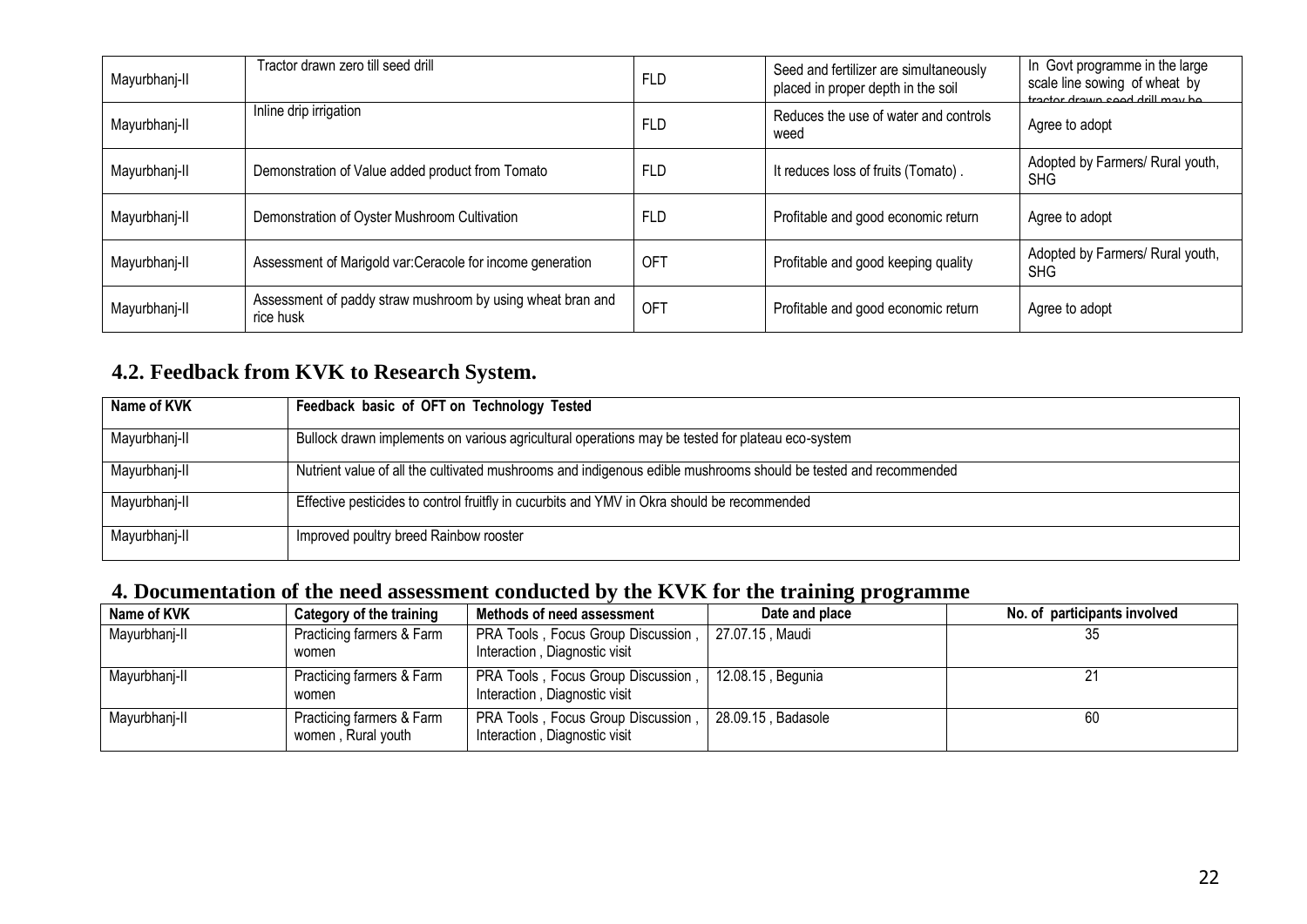| Mayurbhanj-II | Tractor drawn zero till seed drill                                      | <b>FLD</b>      | Seed and fertilizer are simultaneously<br>placed in proper depth in the soil | In Govt programme in the large<br>scale line sowing of wheat by<br>tractor drawn sood drill may be |
|---------------|-------------------------------------------------------------------------|-----------------|------------------------------------------------------------------------------|----------------------------------------------------------------------------------------------------|
| Mayurbhanj-II | Inline drip irrigation                                                  | <b>FLD</b>      | Reduces the use of water and controls<br>weed                                | Agree to adopt                                                                                     |
| Mayurbhanj-II | Demonstration of Value added product from Tomato                        | <b>FLD</b>      | It reduces loss of fruits (Tomato).                                          | Adopted by Farmers/ Rural youth,<br><b>SHG</b>                                                     |
| Mayurbhanj-II | Demonstration of Oyster Mushroom Cultivation                            | <b>FLD</b>      | Profitable and good economic return                                          | Agree to adopt                                                                                     |
| Mayurbhanj-II | Assessment of Marigold var: Ceracole for income generation              | <b>OFT</b>      | Profitable and good keeping quality                                          | Adopted by Farmers/ Rural youth,<br><b>SHG</b>                                                     |
| Mayurbhanj-II | Assessment of paddy straw mushroom by using wheat bran and<br>rice husk | OF <sub>1</sub> | Profitable and good economic return                                          | Agree to adopt                                                                                     |

## **4.2. Feedback from KVK to Research System.**

| Name of KVK   | Feedback basic of OFT on Technology Tested                                                                      |
|---------------|-----------------------------------------------------------------------------------------------------------------|
| Mayurbhanj-II | Bullock drawn implements on various agricultural operations may be tested for plateau eco-system                |
| Mayurbhanj-II | Nutrient value of all the cultivated mushrooms and indigenous edible mushrooms should be tested and recommended |
| Mayurbhanj-II | Effective pesticides to control fruitfly in cucurbits and YMV in Okra should be recommended                     |
| Mayurbhanj-II | Improved poultry breed Rainbow rooster                                                                          |

## **4. Documentation of the need assessment conducted by the KVK for the training programme**

| Name of KVK   | Category of the training                        | Methods of need assessment                                                          | Date and place     | No. of participants involved |
|---------------|-------------------------------------------------|-------------------------------------------------------------------------------------|--------------------|------------------------------|
| Mayurbhanj-II | Practicing farmers & Farm<br>women              | PRA Tools, Focus Group Discussion, 27.07.15, Maudi<br>Interaction, Diagnostic visit |                    |                              |
| Mayurbhanj-II | Practicing farmers & Farm<br>women              | PRA Tools, Focus Group Discussion,  <br>Interaction, Diagnostic visit               | 12.08.15, Begunia  |                              |
| Mayurbhanj-II | Practicing farmers & Farm<br>women, Rural youth | PRA Tools, Focus Group Discussion,<br>Interaction, Diagnostic visit                 | 28.09.15, Badasole | 60                           |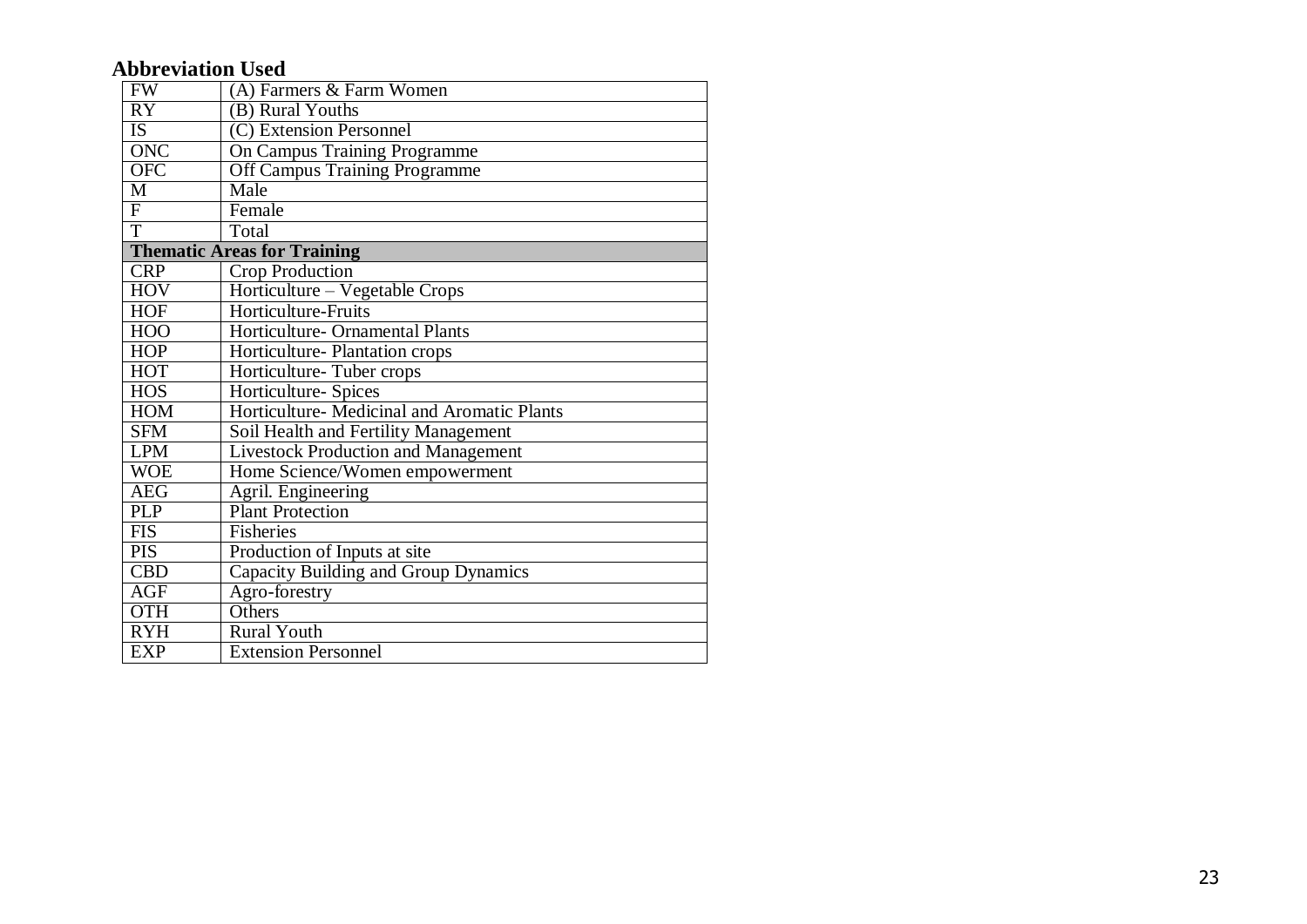## **Abbreviation Used**

| <b>FW</b>               | (A) Farmers & Farm Women                    |
|-------------------------|---------------------------------------------|
| $\overline{RY}$         | (B) Rural Youths                            |
| IS <sup>1</sup>         | (C) Extension Personnel                     |
| ONC                     | On Campus Training Programme                |
| <b>OFC</b>              | <b>Off Campus Training Programme</b>        |
| M                       | Male                                        |
| $\overline{\mathrm{F}}$ | Female                                      |
| $\overline{T}$          | Total                                       |
|                         | <b>Thematic Areas for Training</b>          |
| <b>CRP</b>              | Crop Production                             |
| <b>HOV</b>              | Horticulture - Vegetable Crops              |
| <b>HOF</b>              | Horticulture-Fruits                         |
| <b>HOO</b>              | Horticulture- Ornamental Plants             |
| <b>HOP</b>              | Horticulture- Plantation crops              |
| <b>HOT</b>              | Horticulture-Tuber crops                    |
| <b>HOS</b>              | Horticulture- Spices                        |
| <b>HOM</b>              | Horticulture- Medicinal and Aromatic Plants |
| <b>SFM</b>              | Soil Health and Fertility Management        |
| <b>LPM</b>              | <b>Livestock Production and Management</b>  |
| <b>WOE</b>              | Home Science/Women empowerment              |
| <b>AEG</b>              | Agril. Engineering                          |
| <b>PLP</b>              | <b>Plant Protection</b>                     |
| <b>FIS</b>              | <b>Fisheries</b>                            |
| <b>PIS</b>              | Production of Inputs at site                |
| <b>CBD</b>              | Capacity Building and Group Dynamics        |
| <b>AGF</b>              | Agro-forestry                               |
| <b>OTH</b>              | Others                                      |
| <b>RYH</b>              | <b>Rural Youth</b>                          |
| <b>EXP</b>              | <b>Extension Personnel</b>                  |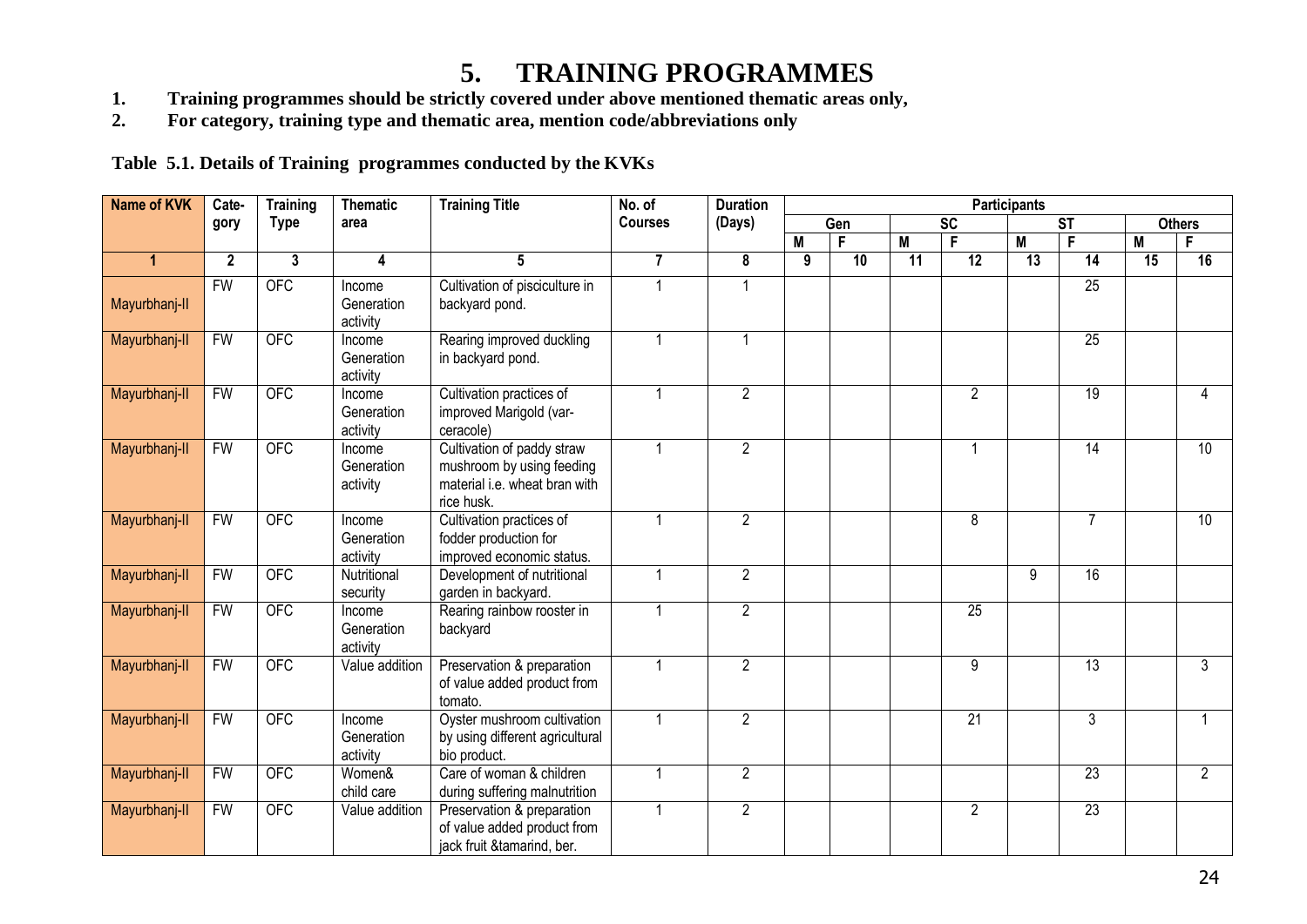## **5. TRAINING PROGRAMMES**

- **1. Training programmes should be strictly covered under above mentioned thematic areas only,<br>
2. For category, training type and thematic area, mention code/abbreviations only**
- **2. For category, training type and thematic area, mention code/abbreviations only**

**Table 5.1. Details of Training programmes conducted by the KVKs**

| <b>Name of KVK</b> | Cate-        | Training    | <b>Thematic</b>                  | <b>Training Title</b>                                                                                  | No. of         | <b>Duration</b> | <b>Participants</b> |                 |    |                 |    |                        |    |                 |
|--------------------|--------------|-------------|----------------------------------|--------------------------------------------------------------------------------------------------------|----------------|-----------------|---------------------|-----------------|----|-----------------|----|------------------------|----|-----------------|
|                    | gory         | <b>Type</b> | area                             |                                                                                                        | <b>Courses</b> | (Days)          |                     | Gen             |    | <b>SC</b>       |    | $\overline{\text{ST}}$ |    | <b>Others</b>   |
|                    |              |             |                                  |                                                                                                        |                |                 | M                   | F               | M  | F               | M  | F                      | M  | F               |
| $\mathbf{1}$       | $\mathbf{2}$ | 3           | 4                                | 5                                                                                                      | $\overline{7}$ | 8               | 9                   | $\overline{10}$ | 11 | $\overline{12}$ | 13 | 14                     | 15 | 16              |
| Mayurbhanj-II      | <b>FW</b>    | <b>OFC</b>  | Income<br>Generation<br>activity | Cultivation of pisciculture in<br>backyard pond.                                                       |                | $\mathbf 1$     |                     |                 |    |                 |    | $\overline{25}$        |    |                 |
| Mayurbhanj-II      | <b>FW</b>    | <b>OFC</b>  | Income<br>Generation<br>activity | Rearing improved duckling<br>in backyard pond.                                                         |                | $\mathbf{1}$    |                     |                 |    |                 |    | $\overline{25}$        |    |                 |
| Mayurbhanj-II      | <b>FW</b>    | <b>OFC</b>  | Income<br>Generation<br>activity | Cultivation practices of<br>improved Marigold (var-<br>ceracole)                                       |                | $\overline{2}$  |                     |                 |    | $\overline{2}$  |    | 19                     |    | 4               |
| Mayurbhanj-II      | <b>FW</b>    | <b>OFC</b>  | Income<br>Generation<br>activity | Cultivation of paddy straw<br>mushroom by using feeding<br>material i.e. wheat bran with<br>rice husk. |                | $\overline{2}$  |                     |                 |    | 1               |    | 14                     |    | $\overline{10}$ |
| Mayurbhanj-II      | <b>FW</b>    | <b>OFC</b>  | Income<br>Generation<br>activity | Cultivation practices of<br>fodder production for<br>improved economic status.                         |                | $\overline{2}$  |                     |                 |    | $\overline{8}$  |    | $\overline{7}$         |    | 10              |
| Mayurbhanj-II      | <b>FW</b>    | <b>OFC</b>  | Nutritional<br>security          | Development of nutritional<br>garden in backyard.                                                      |                | $\overline{2}$  |                     |                 |    |                 | 9  | 16                     |    |                 |
| Mayurbhanj-II      | <b>FW</b>    | OFC         | Income<br>Generation<br>activity | Rearing rainbow rooster in<br>backyard                                                                 |                | $\overline{2}$  |                     |                 |    | 25              |    |                        |    |                 |
| Mayurbhanj-II      | <b>FW</b>    | <b>OFC</b>  | Value addition                   | Preservation & preparation<br>of value added product from<br>tomato.                                   |                | $\overline{2}$  |                     |                 |    | $\overline{9}$  |    | 13                     |    | $\overline{3}$  |
| Mayurbhanj-II      | <b>FW</b>    | <b>OFC</b>  | Income<br>Generation<br>activity | Oyster mushroom cultivation<br>by using different agricultural<br>bio product.                         |                | $\overline{2}$  |                     |                 |    | 21              |    | 3                      |    |                 |
| Mayurbhanj-II      | <b>FW</b>    | <b>OFC</b>  | Women&<br>child care             | Care of woman & children<br>during suffering malnutrition                                              |                | $\overline{2}$  |                     |                 |    |                 |    | 23                     |    | $\overline{2}$  |
| Mayurbhanj-II      | <b>FW</b>    | <b>OFC</b>  | Value addition                   | Preservation & preparation<br>of value added product from<br>jack fruit &tamarind, ber.                |                | $\overline{2}$  |                     |                 |    | $\overline{2}$  |    | 23                     |    |                 |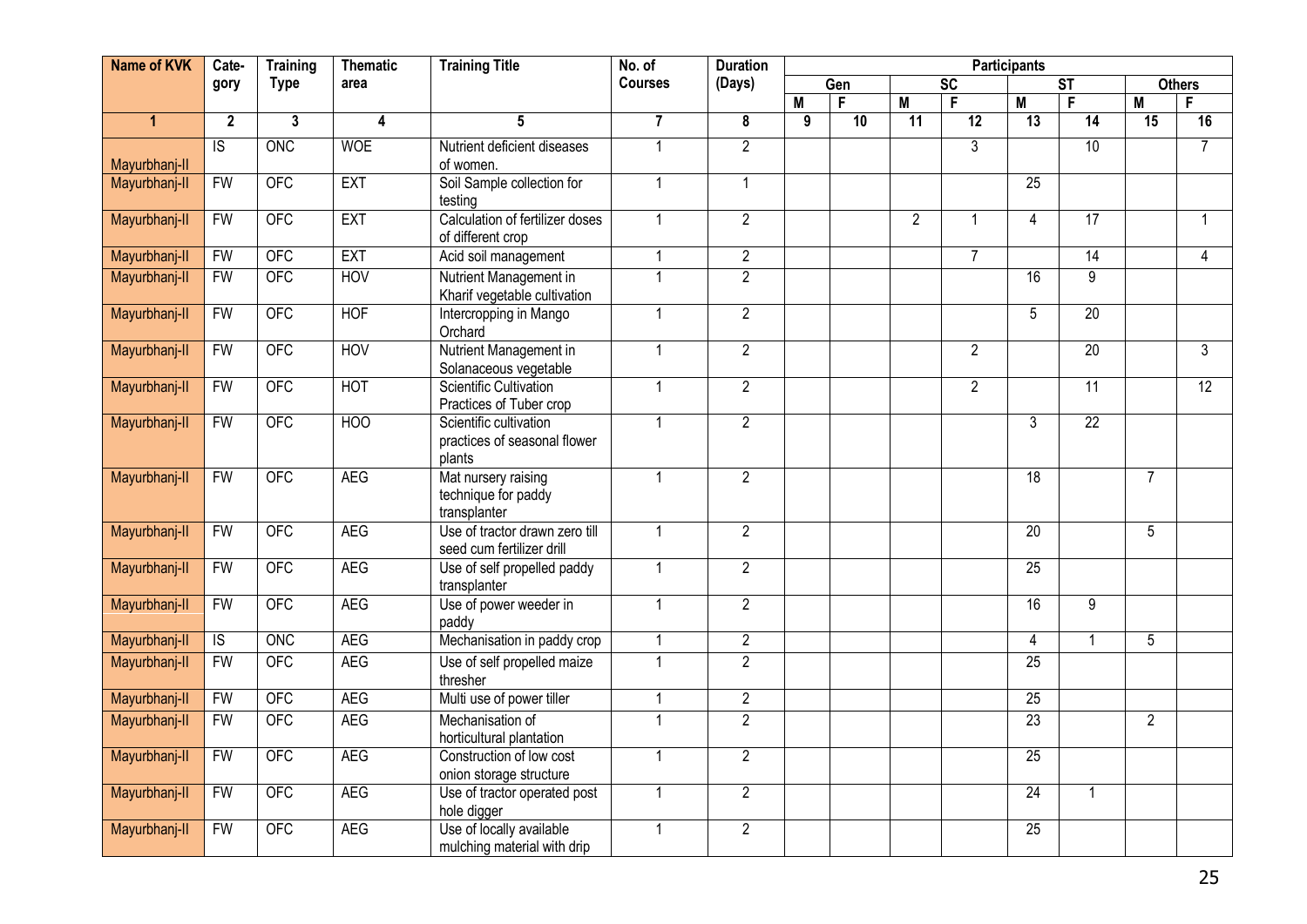| <b>Name of KVK</b> | Cate-          | <b>Training</b> | <b>Thematic</b>  | <b>Training Title</b>                                            | No. of               | <b>Duration</b> | <b>Participants</b> |     |                 |                 |                 |                        |                 |                 |
|--------------------|----------------|-----------------|------------------|------------------------------------------------------------------|----------------------|-----------------|---------------------|-----|-----------------|-----------------|-----------------|------------------------|-----------------|-----------------|
|                    | gory           | <b>Type</b>     | area             |                                                                  | <b>Courses</b>       | (Days)          |                     | Gen |                 | $\overline{SC}$ |                 | $\overline{\text{ST}}$ |                 | <b>Others</b>   |
|                    |                |                 |                  |                                                                  |                      |                 | $\overline{M}$      | F   | M               | F               | $\overline{M}$  | F                      | M               | F               |
| $\mathbf{1}$       | $\mathbf{2}$   | $\mathbf{3}$    | 4                | $5\phantom{.0}$                                                  | $\overline{7}$       | 8               | $\overline{9}$      | 10  | $\overline{11}$ | 12              | 13              | 14                     | $\overline{15}$ | 16              |
|                    | $\overline{S}$ | <b>ONC</b>      | <b>WOE</b>       | Nutrient deficient diseases                                      | $\mathbf{1}$         | $\overline{2}$  |                     |     |                 | $\overline{3}$  |                 | 10                     |                 | $\overline{7}$  |
| Mayurbhanj-II      |                |                 |                  | of women.                                                        |                      |                 |                     |     |                 |                 |                 |                        |                 |                 |
| Mayurbhanj-II      | <b>FW</b>      | <b>OFC</b>      | <b>EXT</b>       | Soil Sample collection for<br>testing                            | $\mathbf{1}$         | $\mathbf{1}$    |                     |     |                 |                 | $\overline{25}$ |                        |                 |                 |
| Mayurbhanj-II      | FW             | <b>OFC</b>      | <b>EXT</b>       | Calculation of fertilizer doses<br>of different crop             | $\mathbf 1$          | $\overline{2}$  |                     |     | $\overline{2}$  | -1              | $\overline{4}$  | 17                     |                 |                 |
| Mayurbhanj-II      | <b>FW</b>      | <b>OFC</b>      | <b>EXT</b>       | Acid soil management                                             |                      | $\overline{2}$  |                     |     |                 | $\overline{7}$  |                 | 14                     |                 | $\overline{4}$  |
| Mayurbhanj-II      | <b>FW</b>      | <b>OFC</b>      | HOV              | Nutrient Management in<br>Kharif vegetable cultivation           | 1                    | $\overline{2}$  |                     |     |                 |                 | $\overline{16}$ | $\overline{9}$         |                 |                 |
| Mayurbhanj-II      | <b>FW</b>      | <b>OFC</b>      | <b>HOF</b>       | Intercropping in Mango<br>Orchard                                | -1                   | $\overline{2}$  |                     |     |                 |                 | $5\overline{)}$ | 20                     |                 |                 |
| Mayurbhanj-II      | FW             | <b>OFC</b>      | <b>HOV</b>       | Nutrient Management in<br>Solanaceous vegetable                  | $\mathbf{1}$         | $\overline{2}$  |                     |     |                 | 2               |                 | $\overline{20}$        |                 | 3               |
| Mayurbhanj-II      | <b>FW</b>      | OFC             | <b>HOT</b>       | <b>Scientific Cultivation</b><br>Practices of Tuber crop         |                      | $\overline{2}$  |                     |     |                 | $\overline{2}$  |                 | $\overline{11}$        |                 | $\overline{12}$ |
| Mayurbhanj-II      | <b>FW</b>      | <b>OFC</b>      | H <sub>O</sub> O | Scientific cultivation<br>practices of seasonal flower<br>plants | $\overline{1}$       | $\overline{2}$  |                     |     |                 |                 | $\overline{3}$  | $\overline{22}$        |                 |                 |
| Mayurbhanj-II      | <b>FW</b>      | <b>OFC</b>      | <b>AEG</b>       | Mat nursery raising<br>technique for paddy<br>transplanter       | $\mathbf 1$          | $\overline{2}$  |                     |     |                 |                 | $\overline{18}$ |                        | $\overline{7}$  |                 |
| Mayurbhanj-II      | <b>FW</b>      | <b>OFC</b>      | <b>AEG</b>       | Use of tractor drawn zero till<br>seed cum fertilizer drill      | $\blacktriangleleft$ | $\overline{2}$  |                     |     |                 |                 | 20              |                        | $\overline{5}$  |                 |
| Mayurbhanj-II      | <b>FW</b>      | <b>OFC</b>      | <b>AEG</b>       | Use of self propelled paddy<br>transplanter                      |                      | $\overline{2}$  |                     |     |                 |                 | 25              |                        |                 |                 |
| Mayurbhanj-II      | <b>FW</b>      | <b>OFC</b>      | <b>AEG</b>       | Use of power weeder in<br>paddy                                  | $\mathbf{1}$         | $\overline{2}$  |                     |     |                 |                 | $\overline{16}$ | 9                      |                 |                 |
| Mayurbhanj-II      | $\overline{S}$ | ONC             | <b>AEG</b>       | Mechanisation in paddy crop                                      | $\mathbf{1}$         | $\overline{2}$  |                     |     |                 |                 | $\overline{4}$  | $\overline{1}$         | $\overline{5}$  |                 |
| Mayurbhanj-II      | FW             | <b>OFC</b>      | <b>AEG</b>       | Use of self propelled maize<br>thresher                          | $\mathbf{1}$         | $\overline{2}$  |                     |     |                 |                 | $\overline{25}$ |                        |                 |                 |
| Mayurbhanj-II      | <b>FW</b>      | <b>OFC</b>      | <b>AEG</b>       | Multi use of power tiller                                        |                      | $\overline{2}$  |                     |     |                 |                 | 25              |                        |                 |                 |
| Mayurbhanj-II      | <b>FW</b>      | <b>OFC</b>      | <b>AEG</b>       | Mechanisation of<br>horticultural plantation                     | $\blacktriangleleft$ | $\overline{2}$  |                     |     |                 |                 | 23              |                        | $\overline{2}$  |                 |
| Mayurbhanj-II      | <b>FW</b>      | <b>OFC</b>      | <b>AEG</b>       | Construction of low cost<br>onion storage structure              | $\mathbf{1}$         | $\overline{2}$  |                     |     |                 |                 | 25              |                        |                 |                 |
| Mayurbhanj-II      | <b>FW</b>      | <b>OFC</b>      | <b>AEG</b>       | Use of tractor operated post<br>hole digger                      |                      | $\overline{2}$  |                     |     |                 |                 | $\overline{24}$ | $\overline{1}$         |                 |                 |
| Mayurbhanj-II      | <b>FW</b>      | <b>OFC</b>      | <b>AEG</b>       | Use of locally available<br>mulching material with drip          | $\blacktriangleleft$ | $\overline{2}$  |                     |     |                 |                 | 25              |                        |                 |                 |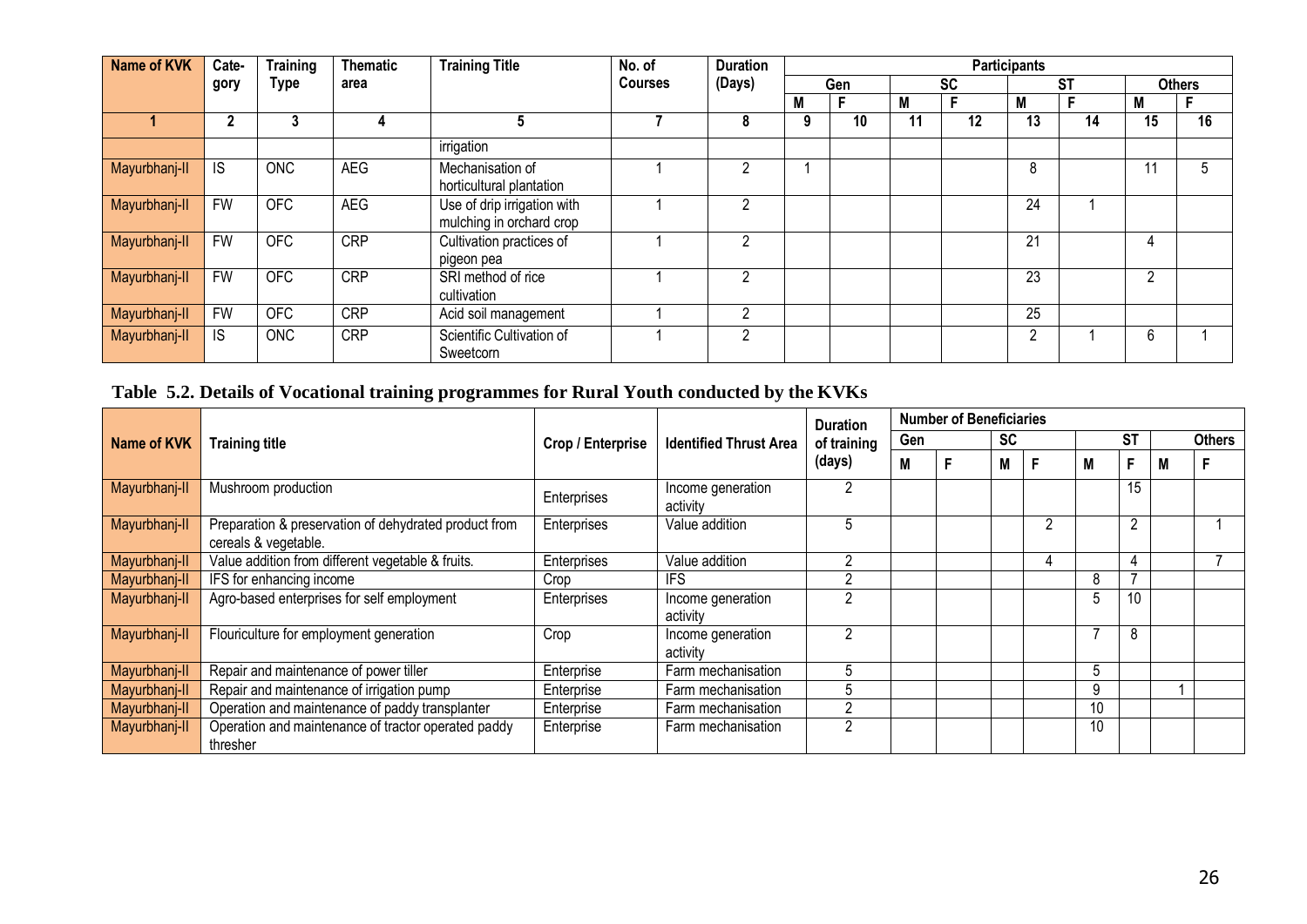| <b>Name of KVK</b> | Cate-        | <b>Training</b> | <b>Thematic</b> | <b>Training Title</b>                                   | No. of         | <b>Duration</b> | <b>Participants</b> |     |           |    |           |    |    |               |
|--------------------|--------------|-----------------|-----------------|---------------------------------------------------------|----------------|-----------------|---------------------|-----|-----------|----|-----------|----|----|---------------|
|                    | gory         | <b>Type</b>     | area            |                                                         | <b>Courses</b> | (Days)          |                     | Gen | <b>SC</b> |    | <b>ST</b> |    |    | <b>Others</b> |
|                    |              |                 |                 |                                                         |                |                 | M                   |     | M         |    | M         |    | M  |               |
|                    | $\mathbf{2}$ | 3               | 4               | 5                                                       |                | 8               | 9                   | 10  | 11        | 12 | 13        | 14 | 15 | 16            |
|                    |              |                 |                 | irrigation                                              |                |                 |                     |     |           |    |           |    |    |               |
| Mayurbhanj-II      | IS           | <b>ONC</b>      | <b>AEG</b>      | Mechanisation of<br>horticultural plantation            |                | 2               |                     |     |           |    | 8         |    |    |               |
| Mayurbhanj-II      | <b>FW</b>    | <b>OFC</b>      | <b>AEG</b>      | Use of drip irrigation with<br>mulching in orchard crop |                | 2               |                     |     |           |    | 24        |    |    |               |
| Mayurbhanj-II      | <b>FW</b>    | <b>OFC</b>      | <b>CRP</b>      | Cultivation practices of<br>pigeon pea                  |                | 2               |                     |     |           |    | 21        |    |    |               |
| Mayurbhanj-II      | <b>FW</b>    | <b>OFC</b>      | <b>CRP</b>      | SRI method of rice<br>cultivation                       |                | 2               |                     |     |           |    | 23        |    | っ  |               |
| Mayurbhanj-II      | <b>FW</b>    | <b>OFC</b>      | <b>CRP</b>      | Acid soil management                                    |                | っ               |                     |     |           |    | 25        |    |    |               |
| Mayurbhanj-II      | IS           | <b>ONC</b>      | <b>CRP</b>      | Scientific Cultivation of<br>Sweetcorn                  |                | $\overline{2}$  |                     |     |           |    | 2         |    | 6  |               |

## **Table 5.2. Details of Vocational training programmes for Rural Youth conducted by the KVKs**

|               |                                                                               |                   |                               | <b>Duration</b> | <b>Number of Beneficiaries</b> |  |           |   |    |                |   |               |
|---------------|-------------------------------------------------------------------------------|-------------------|-------------------------------|-----------------|--------------------------------|--|-----------|---|----|----------------|---|---------------|
| Name of KVK   | <b>Training title</b>                                                         | Crop / Enterprise | <b>Identified Thrust Area</b> | of training     | Gen                            |  | <b>SC</b> |   |    | <b>ST</b>      |   | <b>Others</b> |
|               |                                                                               |                   |                               | (days)          | М                              |  | Μ         |   | М  | F              | M |               |
| Mayurbhanj-II | Mushroom production                                                           | Enterprises       | Income generation<br>activity |                 |                                |  |           |   |    | 15             |   |               |
| Mayurbhanj-II | Preparation & preservation of dehydrated product from<br>cereals & vegetable. | Enterprises       | Value addition                | ۰.              |                                |  |           |   |    | $\overline{2}$ |   |               |
| Mayurbhanj-II | Value addition from different vegetable & fruits.                             | Enterprises       | Value addition                | っ               |                                |  |           | 4 |    |                |   |               |
| Mayurbhanj-II | IFS for enhancing income                                                      | Crop              | <b>IFS</b>                    | ົ               |                                |  |           |   | 8  |                |   |               |
| Mayurbhanj-II | Agro-based enterprises for self employment                                    | Enterprises       | Income generation<br>activity | ົ               |                                |  |           |   |    | 10             |   |               |
| Mayurbhanj-II | Flouriculture for employment generation                                       | Crop              | Income generation<br>activity | $\mathcal{P}$   |                                |  |           |   |    | 8              |   |               |
| Mayurbhanj-II | Repair and maintenance of power tiller                                        | Enterprise        | Farm mechanisation            | 5               |                                |  |           |   | 5  |                |   |               |
| Mayurbhanj-II | Repair and maintenance of irrigation pump                                     | Enterprise        | Farm mechanisation            | 5               |                                |  |           |   | 9  |                |   |               |
| Mayurbhanj-II | Operation and maintenance of paddy transplanter                               | Enterprise        | Farm mechanisation            | റ               |                                |  |           |   | 10 |                |   |               |
| Mayurbhanj-II | Operation and maintenance of tractor operated paddy<br>thresher               | Enterprise        | Farm mechanisation            | 2               |                                |  |           |   | 10 |                |   |               |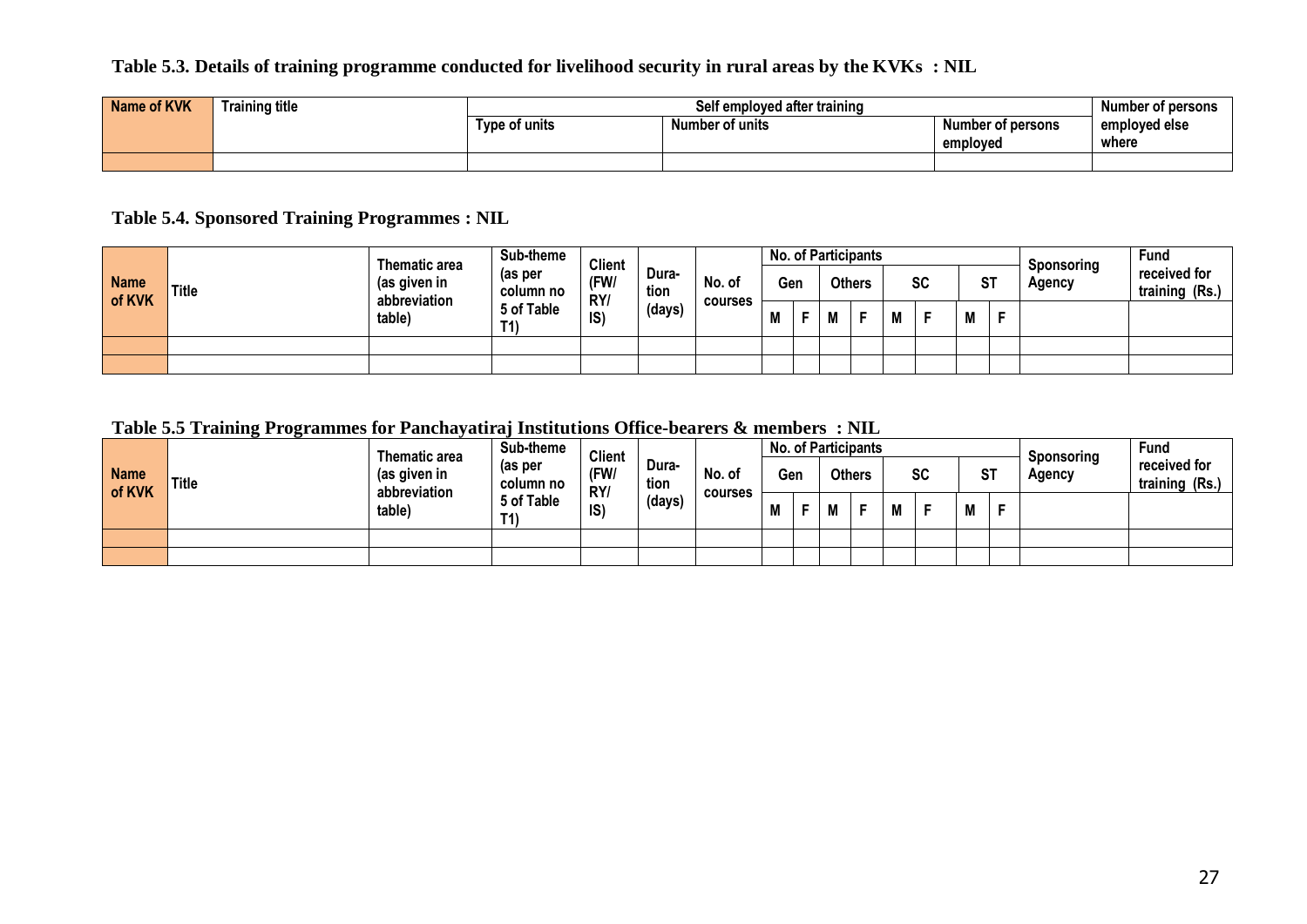#### **Table 5.3. Details of training programme conducted for livelihood security in rural areas by the KVKs : NIL**

| <b>Name of KVK</b> | <b>Training title</b> |               | Self employed after training |               |       |  |  |  |  |  |  |
|--------------------|-----------------------|---------------|------------------------------|---------------|-------|--|--|--|--|--|--|
|                    |                       | Type of units | Number of persons            | emploved else |       |  |  |  |  |  |  |
|                    |                       |               |                              | employed      | where |  |  |  |  |  |  |
|                    |                       |               |                              |               |       |  |  |  |  |  |  |

#### **Table 5.4. Sponsored Training Programmes : NIL**

|                       |              | Thematic area                | Sub-theme<br><b>Client</b> |             |               | <b>No. of Participants</b> |     |  |    |               |   |           | Sponsoring | Fund   |                                |
|-----------------------|--------------|------------------------------|----------------------------|-------------|---------------|----------------------------|-----|--|----|---------------|---|-----------|------------|--------|--------------------------------|
| <b>Name</b><br>of KVK | <b>Title</b> | (as given in<br>abbreviation | (as per<br>column no       | (FW/<br>RY/ | Dura-<br>tion | No. of<br>courses          | Gen |  |    | <b>Others</b> |   | <b>SC</b> | ST         | Agency | received for<br>training (Rs.) |
|                       |              | table)                       | 5 of Table<br>T1           | S           | (days)        |                            | M   |  | IV |               | M |           | M          |        |                                |
|                       |              |                              |                            |             |               |                            |     |  |    |               |   |           |            |        |                                |
|                       |              |                              |                            |             |               |                            |     |  |    |               |   |           |            |        |                                |

#### **Table 5.5 Training Programmes for Panchayatiraj Institutions Office-bearers & members : NIL**

| <b>Name</b><br>of KVK | <b>Title</b> | Thematic area<br>(as given in<br>abbreviation | Sub-theme<br>(as per<br>column no | <b>Client</b><br>(FW/ | Dura-<br>tion<br>RY/ |         | No. of | Gen |  | No. of Participants<br><b>Others</b> |  | <b>SC</b> | <b>ST</b> |  | Sponsoring<br>Agency | Fund<br>received for<br>training (Rs.) |
|-----------------------|--------------|-----------------------------------------------|-----------------------------------|-----------------------|----------------------|---------|--------|-----|--|--------------------------------------|--|-----------|-----------|--|----------------------|----------------------------------------|
|                       |              | table)                                        | 5 of Table<br>T1                  | S                     | (days)               | courses | - NE   | M   |  | M                                    |  | M         | Е         |  |                      |                                        |
|                       |              |                                               |                                   |                       |                      |         |        |     |  |                                      |  |           |           |  |                      |                                        |
|                       |              |                                               |                                   |                       |                      |         |        |     |  |                                      |  |           |           |  |                      |                                        |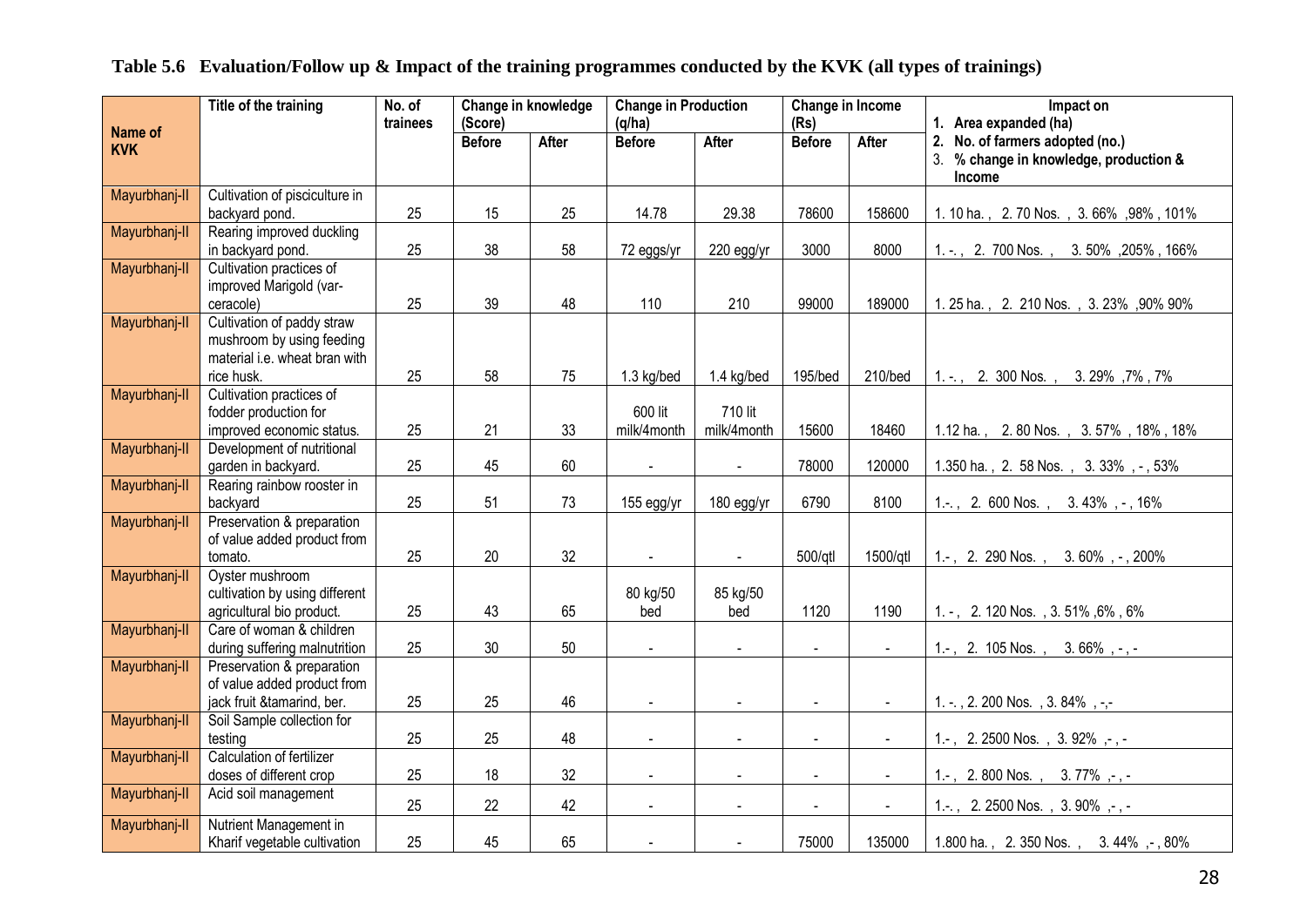### **Table 5.6 Evaluation/Follow up & Impact of the training programmes conducted by the KVK (all types of trainings)**

|                       | Title of the training                                            | No. of<br>trainees | (Score)       | Change in knowledge | <b>Change in Production</b><br>(q/ha) |                             | Change in Income<br>(Rs) |                | Impact on<br>1. Area expanded (ha)                         |
|-----------------------|------------------------------------------------------------------|--------------------|---------------|---------------------|---------------------------------------|-----------------------------|--------------------------|----------------|------------------------------------------------------------|
| Name of<br><b>KVK</b> |                                                                  |                    | <b>Before</b> | After               | <b>Before</b>                         | <b>After</b>                | <b>Before</b>            | <b>After</b>   | 2. No. of farmers adopted (no.)                            |
|                       |                                                                  |                    |               |                     |                                       |                             |                          |                | 3.<br>% change in knowledge, production &<br><b>Income</b> |
| Mayurbhanj-II         | Cultivation of pisciculture in                                   |                    |               |                     |                                       |                             |                          |                |                                                            |
|                       | backyard pond.                                                   | 25                 | 15            | 25                  | 14.78                                 | 29.38                       | 78600                    | 158600         | 1. 10 ha., 2. 70 Nos., 3. 66%, 98%, 101%                   |
| Mayurbhanj-II         | Rearing improved duckling<br>in backyard pond.                   | 25                 | 38            | 58                  | 72 eggs/yr                            | 220 egg/yr                  | 3000                     | 8000           | 1. -., 2. 700 Nos., 3. 50%, 205%, 166%                     |
| Mayurbhanj-II         | Cultivation practices of<br>improved Marigold (var-<br>ceracole) | 25                 | 39            | 48                  | 110                                   | 210                         | 99000                    | 189000         | 1.25 ha., 2. 210 Nos., 3.23%, 90% 90%                      |
| Mayurbhanj-II         | Cultivation of paddy straw                                       |                    |               |                     |                                       |                             |                          |                |                                                            |
|                       | mushroom by using feeding                                        |                    |               |                     |                                       |                             |                          |                |                                                            |
|                       | material i.e. wheat bran with                                    |                    |               |                     |                                       |                             |                          |                |                                                            |
|                       | rice husk.                                                       | 25                 | 58            | 75                  | 1.3 kg/bed                            | 1.4 kg/bed                  | 195/bed                  | 210/bed        | 1. -., 2. 300 Nos., 3. 29%, 7%, 7%                         |
| Mayurbhanj-II         | Cultivation practices of                                         |                    |               |                     | 600 lit                               | 710 lit                     |                          |                |                                                            |
|                       | fodder production for<br>improved economic status.               | 25                 | 21            | 33                  | milk/4month                           | milk/4month                 | 15600                    | 18460          | 1.12 ha., 2.80 Nos., 3.57%, 18%, 18%                       |
| Mayurbhanj-II         | Development of nutritional                                       |                    |               |                     |                                       |                             |                          |                |                                                            |
|                       | garden in backyard.                                              | 25                 | 45            | 60                  |                                       |                             | 78000                    | 120000         | 1.350 ha., 2. 58 Nos., 3.33%, -, 53%                       |
| Mayurbhanj-II         | Rearing rainbow rooster in                                       |                    |               |                     |                                       |                             |                          |                |                                                            |
|                       | backyard                                                         | 25                 | 51            | 73                  | 155 egg/yr                            | 180 egg/yr                  | 6790                     | 8100           | 1.-., 2. 600 Nos., 3.43%, -, 16%                           |
| Mayurbhanj-II         | Preservation & preparation<br>of value added product from        |                    |               |                     |                                       |                             |                          |                |                                                            |
|                       | tomato.                                                          | 25                 | 20            | 32                  | $\blacksquare$                        | $\omega$ .                  | 500/gtl                  | 1500/qtl       | 1.-, 2. 290 Nos., 3.60%, -, 200%                           |
| Mayurbhanj-II         | Oyster mushroom                                                  |                    |               |                     |                                       |                             |                          |                |                                                            |
|                       | cultivation by using different                                   |                    |               |                     | 80 kg/50                              | 85 kg/50                    |                          |                |                                                            |
|                       | agricultural bio product.                                        | 25                 | 43            | 65                  | bed                                   | bed                         | 1120                     | 1190           | 1. -, 2. 120 Nos., 3. 51%, 6%, 6%                          |
| Mayurbhanj-II         | Care of woman & children                                         |                    |               |                     |                                       |                             |                          |                |                                                            |
| Mayurbhanj-II         | during suffering malnutrition<br>Preservation & preparation      | 25                 | 30            | 50                  | $\omega$                              | $\mathcal{L}^{\mathcal{L}}$ | $\omega$                 | $\sim$         | 1.-, 2. 105 Nos., 3. 66%, -, -                             |
|                       | of value added product from                                      |                    |               |                     |                                       |                             |                          |                |                                                            |
|                       | jack fruit &tamarind, ber.                                       | 25                 | 25            | 46                  | $\blacksquare$                        | $\blacksquare$              | $\blacksquare$           |                | 1. -., 2. 200 Nos., 3. 84%, -,-                            |
| Mayurbhanj-II         | Soil Sample collection for                                       |                    |               |                     |                                       |                             |                          |                |                                                            |
|                       | testing                                                          | 25                 | 25            | 48                  | $\blacksquare$                        | $\blacksquare$              | $\blacksquare$           | $\sim$         | 1.-, 2.2500 Nos., 3.92%, -, -                              |
| Mayurbhanj-II         | Calculation of fertilizer                                        |                    |               |                     |                                       |                             |                          |                |                                                            |
|                       | doses of different crop                                          | 25                 | 18            | 32                  | $\blacksquare$                        | $\sim$                      | $\sim$                   | $\blacksquare$ | 1.-, 2.800 Nos., 3.77%,-,-                                 |
| Mayurbhanj-II         | Acid soil management                                             | 25                 | 22            | 42                  | $\blacksquare$                        | $\ddot{\phantom{a}}$        | $\sim$                   | $\blacksquare$ | 1.-., 2.2500 Nos., 3.90%, -, -                             |
| Mayurbhanj-II         | Nutrient Management in                                           |                    |               |                     |                                       |                             |                          |                |                                                            |
|                       | Kharif vegetable cultivation                                     | 25                 | 45            | 65                  |                                       |                             | 75000                    | 135000         | 1.800 ha., 2.350 Nos., 3.44%, -, 80%                       |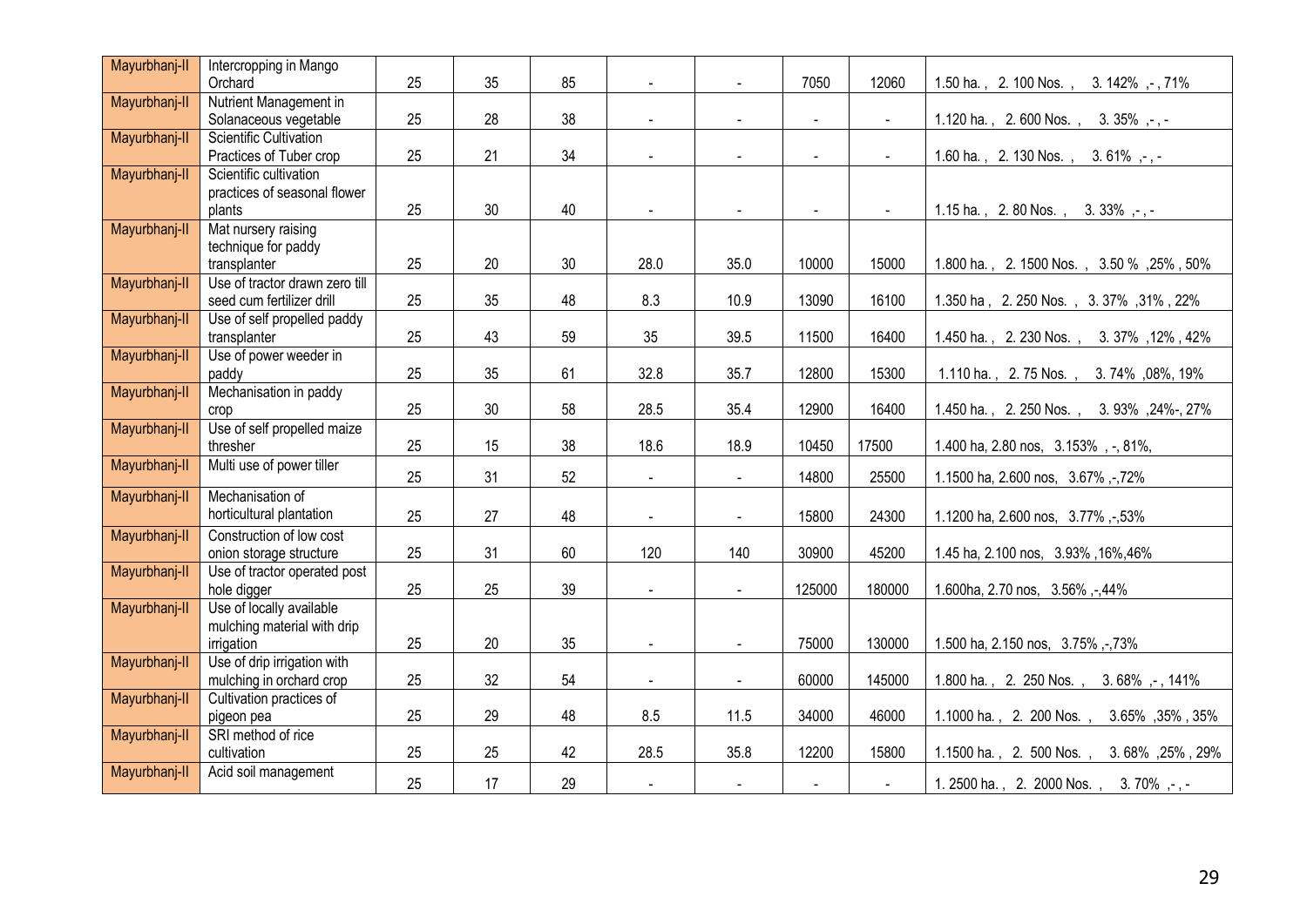| Mayurbhanj-II | Intercropping in Mango                                 |    |                 |    |                |                |                |               |                                            |
|---------------|--------------------------------------------------------|----|-----------------|----|----------------|----------------|----------------|---------------|--------------------------------------------|
|               | Orchard                                                | 25 | 35              | 85 |                |                | 7050           | 12060         | 1.50 ha., 2.100 Nos.,<br>3. 142%, -, 71%   |
| Mayurbhanj-II | Nutrient Management in                                 |    |                 |    |                |                |                |               |                                            |
|               | Solanaceous vegetable                                  | 25 | 28              | 38 |                |                | $\overline{a}$ | $\mathbf{r}$  | 1.120 ha., 2.600 Nos., 3.35%,-,-           |
| Mayurbhanj-II | <b>Scientific Cultivation</b>                          |    |                 |    |                |                |                |               |                                            |
|               | Practices of Tuber crop                                | 25 | 21              | 34 | $\blacksquare$ |                | $\blacksquare$ | $\Delta \phi$ | 1.60 ha., 2.130 Nos.,<br>$3.61\%$ , , .    |
| Mayurbhanj-II | Scientific cultivation<br>practices of seasonal flower |    |                 |    |                |                |                |               |                                            |
|               | plants                                                 | 25 | 30              | 40 | $\blacksquare$ |                | $\sim$         |               | 1.15 ha., 2.80 Nos., 3.33%,-,-             |
| Mayurbhanj-II | Mat nursery raising                                    |    |                 |    |                |                |                |               |                                            |
|               | technique for paddy                                    |    |                 |    |                |                |                |               |                                            |
|               | transplanter                                           | 25 | 20              | 30 | 28.0           | 35.0           | 10000          | 15000         | 1.800 ha., 2.1500 Nos., 3.50 %, 25%, 50%   |
| Mayurbhanj-II | Use of tractor drawn zero till                         |    |                 |    |                |                |                |               |                                            |
|               | seed cum fertilizer drill                              | 25 | 35              | 48 | 8.3            | 10.9           | 13090          | 16100         | 1.350 ha, 2.250 Nos., 3.37%, 31%, 22%      |
| Mayurbhanj-II | Use of self propelled paddy                            |    |                 |    |                |                |                |               |                                            |
|               | transplanter                                           | 25 | 43              | 59 | 35             | 39.5           | 11500          | 16400         | 1.450 ha., 2.230 Nos., 3.37%, 12%, 42%     |
| Mayurbhanj-II | Use of power weeder in                                 |    |                 |    |                |                |                |               |                                            |
|               | paddy                                                  | 25 | 35              | 61 | 32.8           | 35.7           | 12800          | 15300         | 1.110 ha., 2.75 Nos.,<br>3.74%,08%,19%     |
| Mayurbhanj-II | Mechanisation in paddy                                 |    |                 |    |                |                |                |               |                                            |
|               | crop                                                   | 25 | 30 <sup>°</sup> | 58 | 28.5           | 35.4           | 12900          | 16400         | 1.450 ha., 2.250 Nos.,<br>3.93%, 24%-, 27% |
| Mayurbhanj-II | Use of self propelled maize                            |    |                 |    |                |                |                |               |                                            |
|               | thresher                                               | 25 | 15              | 38 | 18.6           | 18.9           | 10450          | 17500         | 1.400 ha, 2.80 nos, 3.153%, -, 81%,        |
| Mayurbhanj-II | Multi use of power tiller                              | 25 | 31              | 52 | $\omega$       | $\blacksquare$ | 14800          | 25500         | 1.1500 ha, 2.600 nos, 3.67%,-,72%          |
| Mayurbhanj-II | Mechanisation of                                       |    |                 |    |                |                |                |               |                                            |
|               | horticultural plantation                               | 25 | 27              | 48 |                | $\blacksquare$ | 15800          | 24300         | 1.1200 ha, 2.600 nos, 3.77%,-53%           |
| Mayurbhanj-II | Construction of low cost                               |    |                 |    |                |                |                |               |                                            |
|               | onion storage structure                                | 25 | 31              | 60 | 120            | 140            | 30900          | 45200         | 1.45 ha, 2.100 nos, 3.93%, 16%, 46%        |
| Mayurbhanj-II | Use of tractor operated post                           |    |                 |    |                |                |                |               |                                            |
|               | hole digger                                            | 25 | 25              | 39 | $\blacksquare$ | $\sim$         | 125000         | 180000        | 1.600ha, 2.70 nos, 3.56%,-,44%             |
| Mayurbhanj-II | Use of locally available                               |    |                 |    |                |                |                |               |                                            |
|               | mulching material with drip                            |    | 20              | 35 |                |                | 75000          | 130000        |                                            |
| Mayurbhanj-II | irrigation<br>Use of drip irrigation with              | 25 |                 |    | $\sim$         | $\blacksquare$ |                |               | 1.500 ha, 2.150 nos, 3.75%,-73%            |
|               | mulching in orchard crop                               | 25 | 32              | 54 | $\blacksquare$ | $\blacksquare$ | 60000          | 145000        | 1.800 ha., 2. 250 Nos., 3.68%,-, 141%      |
| Mayurbhanj-II | Cultivation practices of                               |    |                 |    |                |                |                |               |                                            |
|               | pigeon pea                                             | 25 | 29              | 48 | 8.5            | $11.5$         | 34000          | 46000         | 1.1000 ha., 2. 200 Nos., 3.65%, 35%, 35%   |
| Mayurbhanj-II | SRI method of rice                                     |    |                 |    |                |                |                |               |                                            |
|               | cultivation                                            | 25 | 25              | 42 | 28.5           | 35.8           | 12200          | 15800         | 1.1500 ha., 2. 500 Nos., 3.68%, 25%, 29%   |
| Mayurbhanj-II | Acid soil management                                   |    |                 |    |                |                |                |               |                                            |
|               |                                                        | 25 | 17              | 29 | $\sim$         | $\blacksquare$ | $\blacksquare$ | $\sim$        | 1. 2500 ha., 2. 2000 Nos., 3. 70%, -, -    |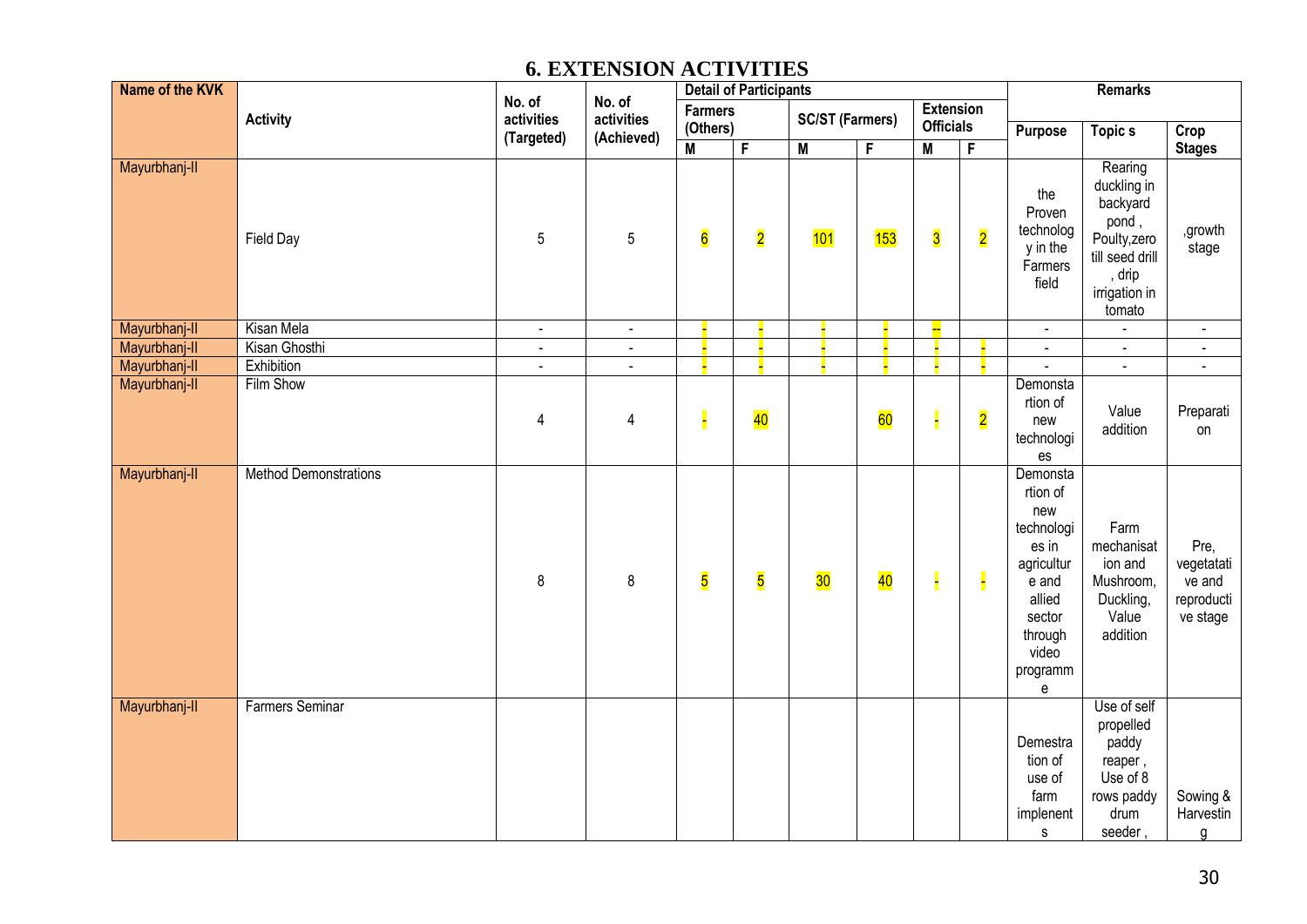### **6. EXTENSION ACTIVITIES**

| Name of the KVK |                              |                      |                      | <b>Detail of Participants</b> |                         |                         |     |                                      |                         | <b>Remarks</b>                                                                                                                                                              |                                                                                                                     |                                                        |  |
|-----------------|------------------------------|----------------------|----------------------|-------------------------------|-------------------------|-------------------------|-----|--------------------------------------|-------------------------|-----------------------------------------------------------------------------------------------------------------------------------------------------------------------------|---------------------------------------------------------------------------------------------------------------------|--------------------------------------------------------|--|
|                 | <b>Activity</b>              | No. of<br>activities | No. of<br>activities | <b>Farmers</b><br>(Others)    |                         | <b>SC/ST (Farmers)</b>  |     | <b>Extension</b><br><b>Officials</b> |                         |                                                                                                                                                                             |                                                                                                                     |                                                        |  |
|                 |                              | (Targeted)           | (Achieved)           | $\overline{\mathsf{M}}$       | F                       | $\overline{\mathsf{M}}$ | F   | $\overline{\mathsf{M}}$              | $\overline{F}$          | Purpose                                                                                                                                                                     | <b>Topics</b>                                                                                                       | Crop<br><b>Stages</b>                                  |  |
| Mayurbhanj-II   | Field Day                    | $\mathbf 5$          | $\mathbf 5$          | $6\overline{6}$               | $\overline{\mathbf{2}}$ | 101                     | 153 | $\overline{\mathbf{3}}$              | $\overline{\mathbf{2}}$ | the<br>Proven<br>technolog<br>y in the<br>Farmers<br>field                                                                                                                  | Rearing<br>duckling in<br>backyard<br>pond,<br>Poulty, zero<br>till seed drill<br>, drip<br>irrigation in<br>tomato | ,growth<br>stage                                       |  |
| Mayurbhanj-II   | Kisan Mela                   | $\blacksquare$       | $\blacksquare$       |                               |                         |                         |     | L.                                   |                         | $\blacksquare$                                                                                                                                                              | $\blacksquare$                                                                                                      | $\blacksquare$                                         |  |
| Mayurbhanj-II   | Kisan Ghosthi                | $\blacksquare$       | $\blacksquare$       |                               |                         |                         |     |                                      |                         | $\blacksquare$                                                                                                                                                              | $\blacksquare$                                                                                                      | $\blacksquare$                                         |  |
| Mayurbhanj-II   | Exhibition                   | $\blacksquare$       | $\blacksquare$       |                               |                         |                         |     |                                      |                         |                                                                                                                                                                             | $\Box$                                                                                                              | $\blacksquare$                                         |  |
| Mayurbhanj-II   | Film Show                    | 4                    | 4                    |                               | 40                      |                         | 60  |                                      | $\overline{\mathbf{2}}$ | Demonsta<br>rtion of<br>new<br>technologi<br>es                                                                                                                             | Value<br>addition                                                                                                   | Preparati<br>on                                        |  |
| Mayurbhanj-II   | <b>Method Demonstrations</b> | 8                    | $\,8\,$              | $\overline{\mathbf{5}}$       | $\overline{\mathbf{5}}$ | 30                      | 40  | H                                    | E                       | Demonsta<br>rtion of<br>new<br>technologi<br>es in<br>agricultur<br>e and<br>allied<br>sector<br>through<br>video<br>programm<br>$\mathsf{e}% _{0}\left( \mathsf{e}\right)$ | Farm<br>mechanisat<br>ion and<br>Mushroom,<br>Duckling,<br>Value<br>addition                                        | Pre,<br>vegetatati<br>ve and<br>reproducti<br>ve stage |  |
| Mayurbhanj-II   | <b>Farmers Seminar</b>       |                      |                      |                               |                         |                         |     |                                      |                         | Demestra<br>tion of<br>use of<br>farm<br>implenent<br>$\mathsf{s}$                                                                                                          | Use of self<br>propelled<br>paddy<br>reaper,<br>Use of 8<br>rows paddy<br>drum<br>seeder,                           | Sowing &<br>Harvestin<br>g                             |  |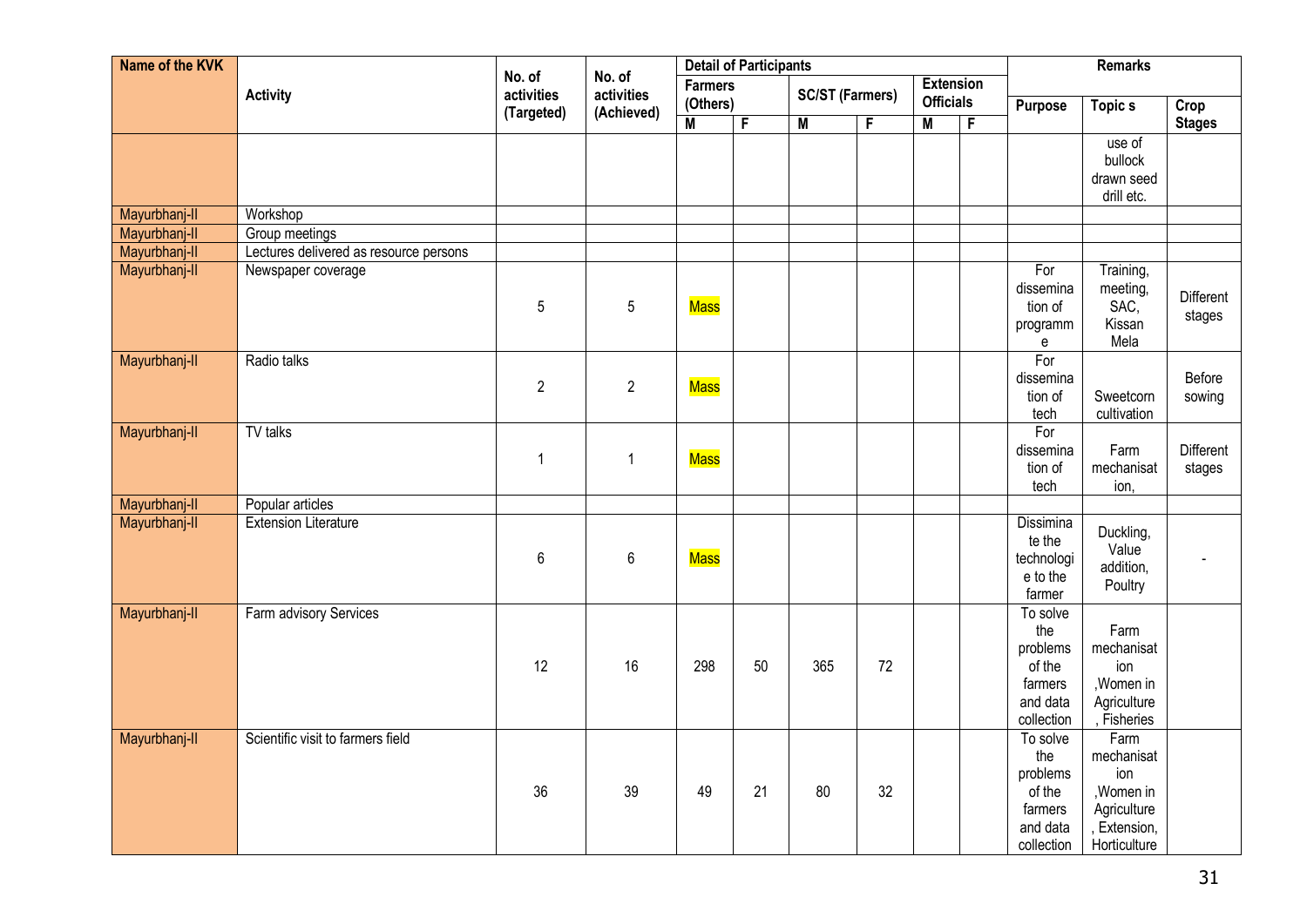| Name of the KVK |                                        |                      |                      | <b>Detail of Participants</b> |    |                         |    | <b>Remarks</b>                       |                |                                                                            |                                                                                        |                     |
|-----------------|----------------------------------------|----------------------|----------------------|-------------------------------|----|-------------------------|----|--------------------------------------|----------------|----------------------------------------------------------------------------|----------------------------------------------------------------------------------------|---------------------|
|                 | <b>Activity</b>                        | No. of<br>activities | No. of<br>activities | <b>Farmers</b><br>(Others)    |    | <b>SC/ST (Farmers)</b>  |    | <b>Extension</b><br><b>Officials</b> |                | <b>Purpose</b>                                                             | <b>Topics</b>                                                                          | Crop                |
|                 |                                        | (Targeted)           | (Achieved)           | M                             | F  | $\overline{\mathsf{M}}$ | F  | $\overline{M}$                       | $\overline{F}$ |                                                                            |                                                                                        | <b>Stages</b>       |
|                 |                                        |                      |                      |                               |    |                         |    |                                      |                |                                                                            | use of<br>bullock<br>drawn seed<br>drill etc.                                          |                     |
| Mayurbhanj-II   | Workshop                               |                      |                      |                               |    |                         |    |                                      |                |                                                                            |                                                                                        |                     |
| Mayurbhanj-II   | Group meetings                         |                      |                      |                               |    |                         |    |                                      |                |                                                                            |                                                                                        |                     |
| Mayurbhanj-II   | Lectures delivered as resource persons |                      |                      |                               |    |                         |    |                                      |                |                                                                            |                                                                                        |                     |
| Mayurbhanj-II   | Newspaper coverage                     | 5                    | 5                    | <b>Mass</b>                   |    |                         |    |                                      |                | For<br>dissemina<br>tion of<br>programm<br>е                               | Training,<br>meeting,<br>SAC,<br>Kissan<br>Mela                                        | Different<br>stages |
| Mayurbhanj-II   | Radio talks                            | $\overline{2}$       | $\overline{2}$       | <b>Mass</b>                   |    |                         |    |                                      |                | For<br>dissemina<br>tion of<br>tech                                        | Sweetcorn<br>cultivation                                                               | Before<br>sowing    |
| Mayurbhanj-II   | TV talks                               | $\mathbf{1}$         | 1                    | <b>Mass</b>                   |    |                         |    |                                      |                | For<br>dissemina<br>tion of<br>tech                                        | Farm<br>mechanisat<br>ion,                                                             | Different<br>stages |
| Mayurbhanj-II   | Popular articles                       |                      |                      |                               |    |                         |    |                                      |                |                                                                            |                                                                                        |                     |
| Mayurbhanj-II   | <b>Extension Literature</b>            | 6                    | $\,6\,$              | Mass                          |    |                         |    |                                      |                | Dissimina<br>te the<br>technologi<br>e to the<br>farmer                    | Duckling,<br>Value<br>addition,<br>Poultry                                             |                     |
| Mayurbhanj-II   | Farm advisory Services                 | 12                   | 16                   | 298                           | 50 | 365                     | 72 |                                      |                | To solve<br>the<br>problems<br>of the<br>farmers<br>and data<br>collection | Farm<br>mechanisat<br>ion<br>, Women in<br>Agriculture<br>, Fisheries                  |                     |
| Mayurbhanj-II   | Scientific visit to farmers field      | 36                   | 39                   | 49                            | 21 | 80                      | 32 |                                      |                | To solve<br>the<br>problems<br>of the<br>farmers<br>and data<br>collection | Farm<br>mechanisat<br>ion<br>, Women in<br>Agriculture<br>, Extension,<br>Horticulture |                     |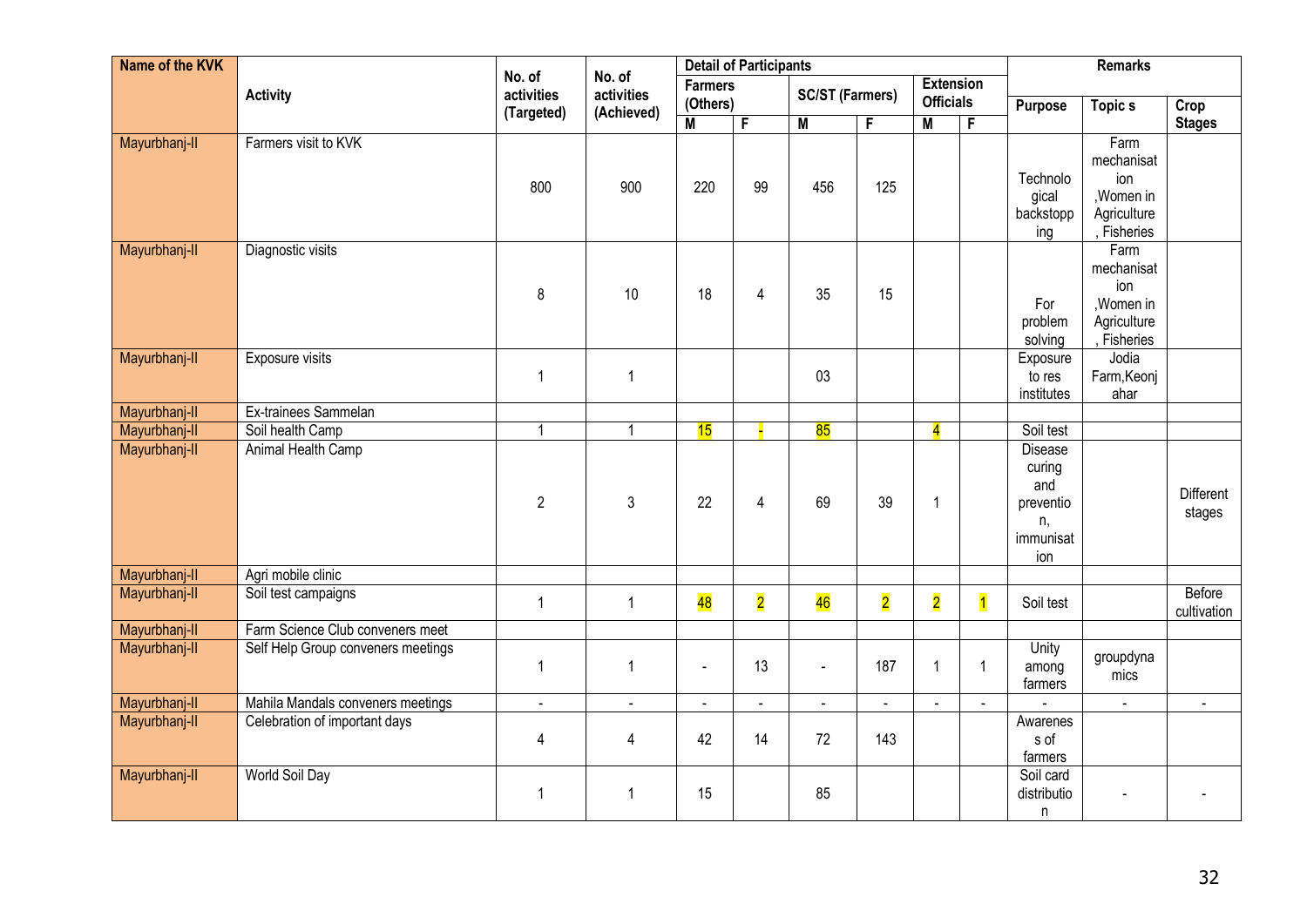| Name of the KVK |                                    |                      | <b>Detail of Participants</b> |                            |                         |                          |                         |                                      |                | <b>Remarks</b>                                                         |                                                                       |                       |
|-----------------|------------------------------------|----------------------|-------------------------------|----------------------------|-------------------------|--------------------------|-------------------------|--------------------------------------|----------------|------------------------------------------------------------------------|-----------------------------------------------------------------------|-----------------------|
|                 | <b>Activity</b>                    | No. of<br>activities | No. of<br>activities          | <b>Farmers</b><br>(Others) |                         | <b>SC/ST (Farmers)</b>   |                         | <b>Extension</b><br><b>Officials</b> |                |                                                                        |                                                                       |                       |
|                 |                                    | (Targeted)           | (Achieved)                    | M                          | F                       | $\overline{M}$           | F                       | M                                    | F              | Purpose                                                                | <b>Topics</b>                                                         | Crop<br><b>Stages</b> |
| Mayurbhanj-II   | Farmers visit to KVK               | 800                  | 900                           | 220                        | 99                      | 456                      | 125                     |                                      |                | Technolo<br>gical<br>backstopp<br>ing                                  | Farm<br>mechanisat<br>ion<br>, Women in<br>Agriculture<br>, Fisheries |                       |
| Mayurbhanj-II   | Diagnostic visits                  | 8                    | 10                            | 18                         | 4                       | 35                       | 15                      |                                      |                | For<br>problem<br>solving                                              | Farm<br>mechanisat<br>ion<br>, Women in<br>Agriculture<br>, Fisheries |                       |
| Mayurbhanj-II   | Exposure visits                    | 1                    | $\mathbf{1}$                  |                            |                         | 03                       |                         |                                      |                | Exposure<br>to res<br>institutes                                       | Jodia<br>Farm, Keonj<br>ahar                                          |                       |
| Mayurbhanj-II   | Ex-trainees Sammelan               |                      |                               |                            |                         |                          |                         |                                      |                |                                                                        |                                                                       |                       |
| Mayurbhanj-II   | Soil health Camp                   | 1                    | $\mathbf{1}$                  | 15                         |                         | 85                       |                         | $\overline{\mathbf{4}}$              |                | Soil test                                                              |                                                                       |                       |
| Mayurbhanj-II   | Animal Health Camp                 | $\overline{2}$       | 3                             | 22                         | $\overline{4}$          | 69                       | 39                      | 1                                    |                | <b>Disease</b><br>curing<br>and<br>preventio<br>n,<br>immunisat<br>ion |                                                                       | Different<br>stages   |
| Mayurbhanj-II   | Agri mobile clinic                 |                      |                               |                            |                         |                          |                         |                                      |                |                                                                        |                                                                       |                       |
| Mayurbhanj-II   | Soil test campaigns                | $\mathbf{1}$         | $\mathbf{1}$                  | 48                         | $\overline{\mathbf{2}}$ | 46                       | $\overline{\mathbf{2}}$ | $\overline{\mathbf{2}}$              | $\overline{1}$ | Soil test                                                              |                                                                       | Before<br>cultivation |
| Mayurbhanj-II   | Farm Science Club conveners meet   |                      |                               |                            |                         |                          |                         |                                      |                |                                                                        |                                                                       |                       |
| Mayurbhanj-II   | Self Help Group conveners meetings | 1                    | 1                             | $\overline{a}$             | 13                      |                          | 187                     | 1                                    | $\mathbf{1}$   | Unity<br>among<br>farmers                                              | groupdyna<br>mics                                                     |                       |
| Mayurbhanj-II   | Mahila Mandals conveners meetings  | $\blacksquare$       | $\blacksquare$                | $\blacksquare$             | $\blacksquare$          | $\overline{\phantom{a}}$ | $\mathbf{r}$            | $\sim$                               |                |                                                                        | $\omega$                                                              | $\mathbf{r}$          |
| Mayurbhanj-II   | Celebration of important days      | 4                    | 4                             | 42                         | 14                      | 72                       | 143                     |                                      |                | Awarenes<br>s of<br>farmers                                            |                                                                       |                       |
| Mayurbhanj-II   | World Soil Day                     | 1                    | 1                             | 15                         |                         | 85                       |                         |                                      |                | Soil card<br>distributio<br>n                                          |                                                                       |                       |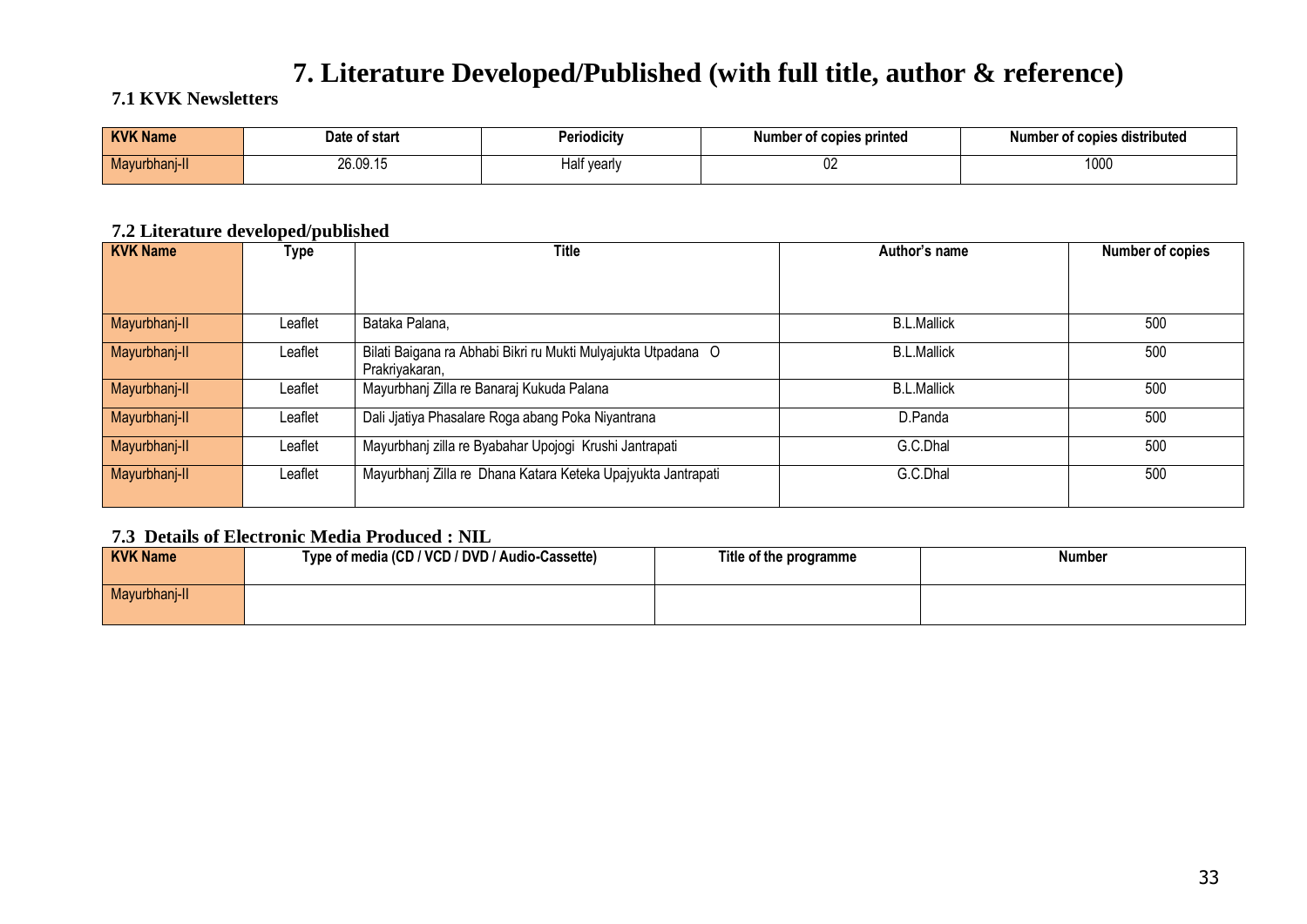## **7. Literature Developed/Published (with full title, author & reference)**

#### **7.1 KVK Newsletters**

| <b>KVK Na</b><br><b>Name</b> | Date of start | .<br>Periodicitv        | Number of copies printed | t copies distributed. |
|------------------------------|---------------|-------------------------|--------------------------|-----------------------|
| Mayurbhanj-II                | 26.09.15      | ∵vearly<br>- - -<br>1dl | $\sim$<br>V4             | 1000                  |

#### **7.2 Literature developed/published**

| <b>KVK Name</b> | Type    | <b>Title</b>                                                                    | Author's name      | Number of copies |
|-----------------|---------|---------------------------------------------------------------------------------|--------------------|------------------|
|                 |         |                                                                                 |                    |                  |
| Mayurbhanj-II   | Leaflet | Bataka Palana,                                                                  | <b>B.L.Mallick</b> | 500              |
| Mayurbhanj-II   | Leaflet | Bilati Baigana ra Abhabi Bikri ru Mukti Mulyajukta Utpadana O<br>Prakriyakaran, | <b>B.L.Mallick</b> | 500              |
| Mayurbhanj-II   | Leaflet | Mayurbhanj Zilla re Banaraj Kukuda Palana                                       | <b>B.L.Mallick</b> | 500              |
| Mayurbhanj-II   | Leaflet | Dali Jjatiya Phasalare Roga abang Poka Niyantrana                               | D.Panda            | 500              |
| Mayurbhanj-II   | Leaflet | Mayurbhanj zilla re Byabahar Upojogi Krushi Jantrapati                          | G.C.Dhal           | 500              |
| Mayurbhanj-II   | Leaflet | Mayurbhanj Zilla re Dhana Katara Keteka Upajyukta Jantrapati                    | G.C.Dhal           | 500              |

#### **7.3 Details of Electronic Media Produced : NIL**

| <b>KVK Name</b> | Type of media (CD / VCD / DVD / Audio-Cassette) | Title of the programme | Number |
|-----------------|-------------------------------------------------|------------------------|--------|
| Mayurbhanj-II   |                                                 |                        |        |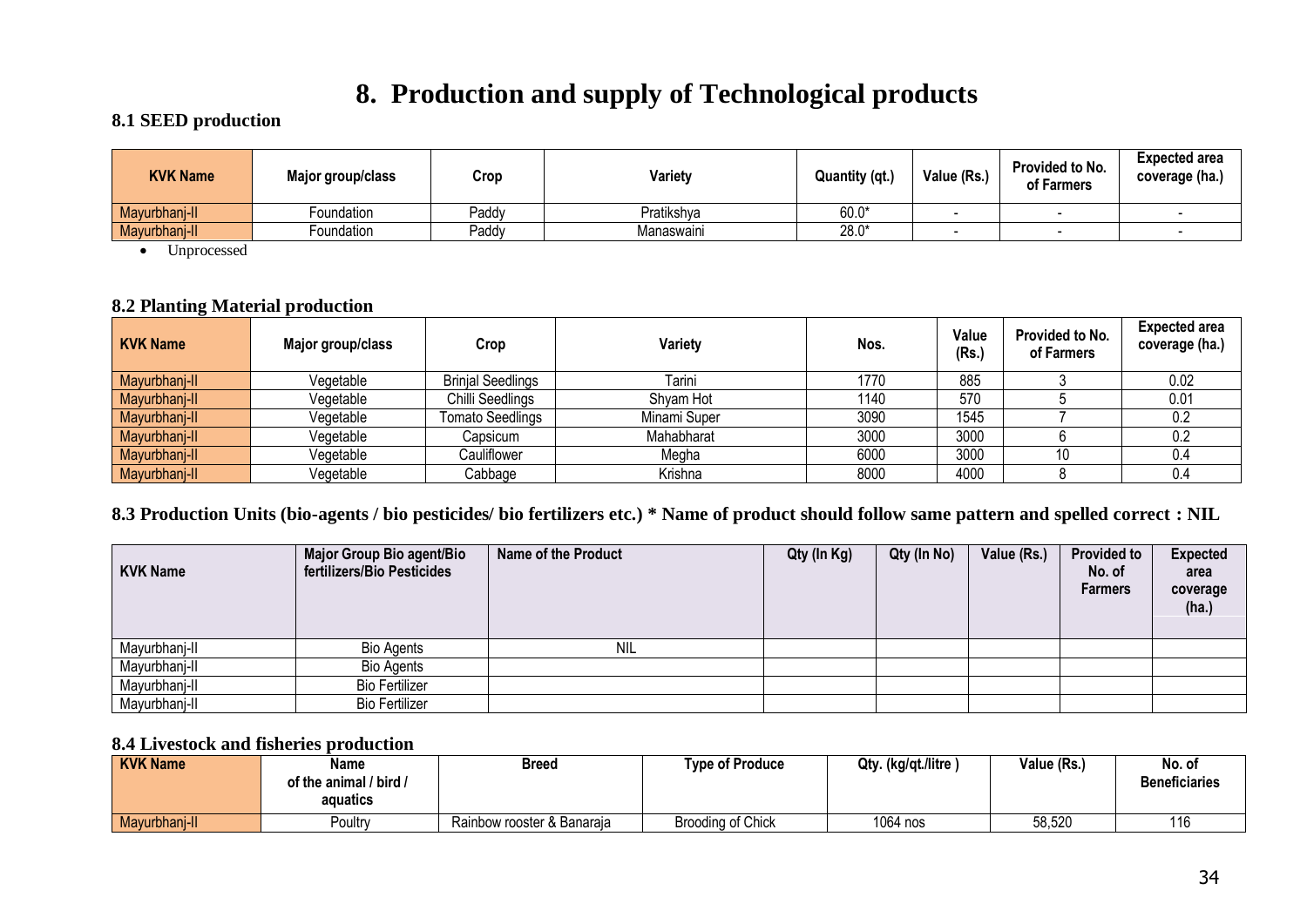## **8. Production and supply of Technological products**

#### **8.1 SEED production**

| <b>KVK Name</b> | Major group/class | Crop  | Variety    | Quantity (qt.) | Value (Rs.) | Provided to No.<br>of Farmers | <b>Expected area</b><br>coverage (ha.) |
|-----------------|-------------------|-------|------------|----------------|-------------|-------------------------------|----------------------------------------|
| Mayurbhanj-II   | Foundation        | Paddy | Pratikshya | $60.0*$        |             |                               |                                        |
| Mayurbhanj-II   | Foundation        | Paddy | Manaswaini | $28.0*$        | -           | -                             |                                        |

• Unprocessed

#### **8.2 Planting Material production**

| <b>KVK Name</b> | Major group/class | Crop                     | Varietv      | Nos. | Value<br>(Rs.) | Provided to No.<br>of Farmers | <b>Expected area</b><br>coverage (ha.) |
|-----------------|-------------------|--------------------------|--------------|------|----------------|-------------------------------|----------------------------------------|
| Mayurbhanj-II   | Vegetable         | <b>Brinjal Seedlings</b> | Tarini       | 1770 | 885            |                               | 0.02                                   |
| Mayurbhanj-II   | Vegetable         | Chilli Seedlings         | Shvam Hot    | 1140 | 570            |                               | 0.01                                   |
| Mayurbhanj-II   | Vegetable         | Tomato Seedlings         | Minami Super | 3090 | 1545           |                               | 0.2                                    |
| Mayurbhanj-II   | Vegetable         | Capsicum                 | Mahabharat   | 3000 | 3000           |                               | 0.2                                    |
| Mayurbhanj-II   | Vegetable         | Cauliflower              | Megha        | 6000 | 3000           | 10                            | 0.4                                    |
| Mayurbhanj-II   | Vegetable         | Cabbage                  | Krishna      | 8000 | 4000           |                               | 0.4                                    |

#### **8.3 Production Units (bio-agents / bio pesticides/ bio fertilizers etc.) \* Name of product should follow same pattern and spelled correct : NIL**

| <b>KVK Name</b> | Major Group Bio agent/Bio<br>fertilizers/Bio Pesticides | Name of the Product | Qty (In Kg) | Qty (In No) | Value (Rs.) | <b>Provided to</b><br>No. of<br><b>Farmers</b> | <b>Expected</b><br>area<br>coverage<br>(ha.) |
|-----------------|---------------------------------------------------------|---------------------|-------------|-------------|-------------|------------------------------------------------|----------------------------------------------|
| Mayurbhanj-II   | <b>Bio Agents</b>                                       | <b>NIL</b>          |             |             |             |                                                |                                              |
| Mayurbhanj-II   | <b>Bio Agents</b>                                       |                     |             |             |             |                                                |                                              |
| Mayurbhanj-II   | <b>Bio Fertilizer</b>                                   |                     |             |             |             |                                                |                                              |
| Mayurbhanj-II   | <b>Bio Fertilizer</b>                                   |                     |             |             |             |                                                |                                              |

#### **8.4 Livestock and fisheries production**

| <b>KVK Name</b> | Name                   | <b>Breed</b>               | <b>Type of Produce</b> | Qty. (kg/qt./litre) | Value (Rs.) | No. of               |
|-----------------|------------------------|----------------------------|------------------------|---------------------|-------------|----------------------|
|                 | of the animal / bird / |                            |                        |                     |             | <b>Beneficiaries</b> |
|                 | aguatics               |                            |                        |                     |             |                      |
| Mayurbhanj-II   | Poultrv                | Rainbow rooster & Banaraia | Brooding of Chick      | 1064 nos            | 58,520      | 116                  |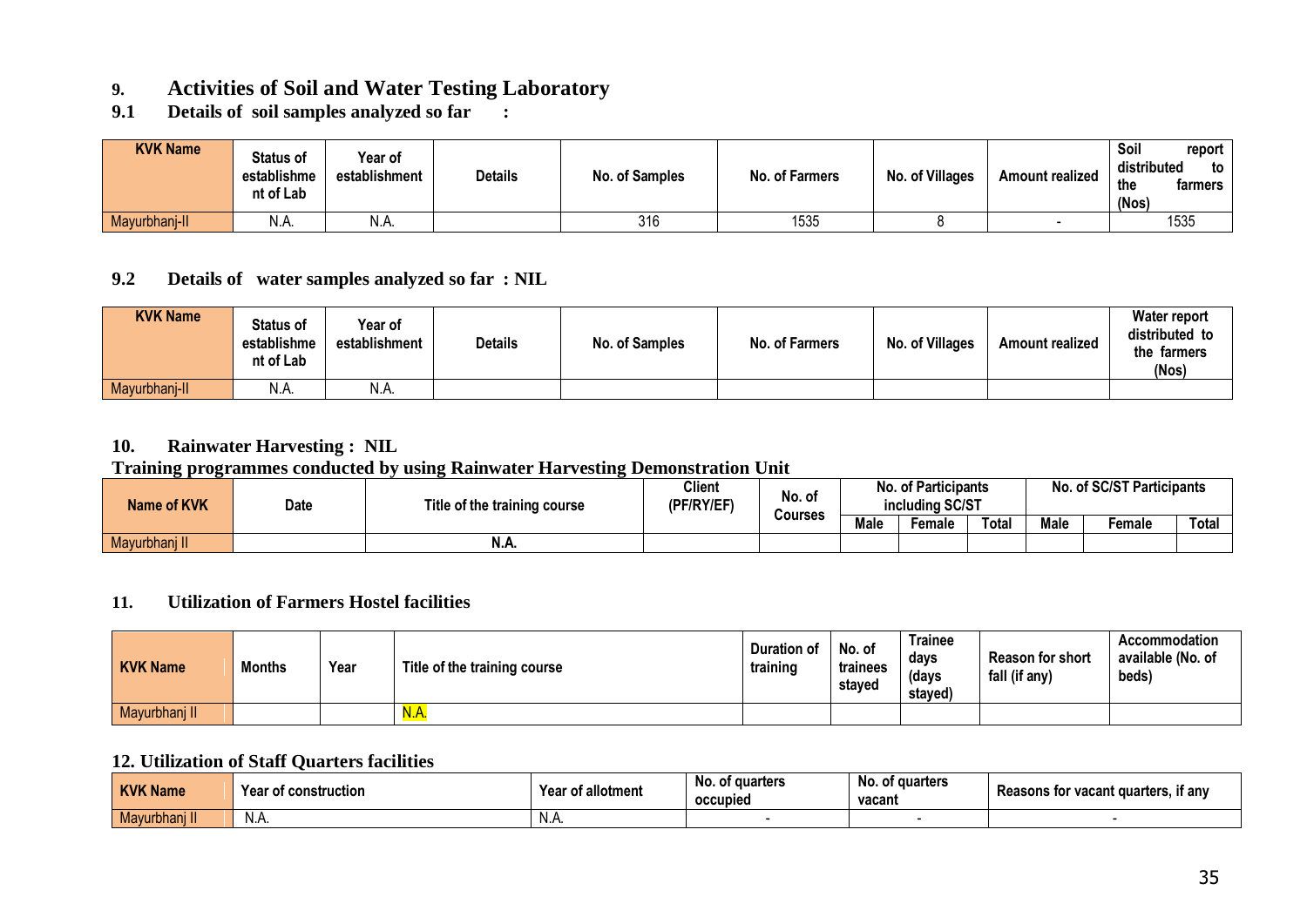### **9. Activities of Soil and Water Testing Laboratory**

**9.1 Details of soil samples analyzed so far :**

| <b>KVK Name</b> | <b>Status of</b><br>establishme<br>nt of Lab | <b>Year of</b><br>establishment | <b>Details</b> | No. of Samples | No. of Farmers | No. of Villages | <b>Amount realized</b> | Soil<br>report<br>distributed<br>to<br>the<br>farmers<br>(Nos) |
|-----------------|----------------------------------------------|---------------------------------|----------------|----------------|----------------|-----------------|------------------------|----------------------------------------------------------------|
| Mayurbhanj-II   | N.A.                                         | N.A.                            |                | 316            | 1535           |                 |                        | 1535                                                           |

#### **9.2 Details of water samples analyzed so far : NIL**

| <b>KVK Name</b> | <b>Status of</b><br>establishme<br>nt of Lab | Year of<br>establishment | <b>Details</b> | No. of Samples | No. of Farmers | No. of Villages | <b>Amount realized</b> | <b>Water report</b><br>distributed to<br>the farmers<br>(Nos) |
|-----------------|----------------------------------------------|--------------------------|----------------|----------------|----------------|-----------------|------------------------|---------------------------------------------------------------|
| Mayurbhanj-II   | N.A.                                         | N.A.                     |                |                |                |                 |                        |                                                               |

#### **10. Rainwater Harvesting : NIL**

#### **Training programmes conducted by using Rainwater Harvesting Demonstration Unit**

| ___<br><b>Name of KVK</b> | <b>Date</b> | Title of the training course | <b>Client</b><br>(PF/RY/EF) | No. of<br>Courses | <b>No. of Participants</b><br>including SC/ST |        |       | No. of SC/ST Participants |        |       |
|---------------------------|-------------|------------------------------|-----------------------------|-------------------|-----------------------------------------------|--------|-------|---------------------------|--------|-------|
|                           |             |                              |                             |                   | <b>Male</b>                                   | Female | Total | <b>Male</b>               | ≂emale | Total |
| Mayurbhanj II             |             | N.A.                         |                             |                   |                                               |        |       |                           |        |       |

#### **11. Utilization of Farmers Hostel facilities**

| <b>KVK Name</b> | <b>Months</b> | Year | Title of the training course | Duration of<br>training | No. of<br>trainees<br>staved | Trainee<br>days<br>(days<br>staved) | <b>Reason for short</b><br>fall (if any) | Accommodation<br>available (No. of<br>beds) |
|-----------------|---------------|------|------------------------------|-------------------------|------------------------------|-------------------------------------|------------------------------------------|---------------------------------------------|
| Mayurbhanj II   |               |      | <u>N.A.</u>                  |                         |                              |                                     |                                          |                                             |

#### **12. Utilization of Staff Quarters facilities**

| <b>KVK Name</b> | Yeaı<br>r of construction | Year of allotment | No. of quarters<br>occupied | No. of quarters<br>vacant | . if anv<br><b>Reasons for vacant quarters.</b> |
|-----------------|---------------------------|-------------------|-----------------------------|---------------------------|-------------------------------------------------|
| Mayurbhanj II   | N.A.                      | N.A               |                             |                           |                                                 |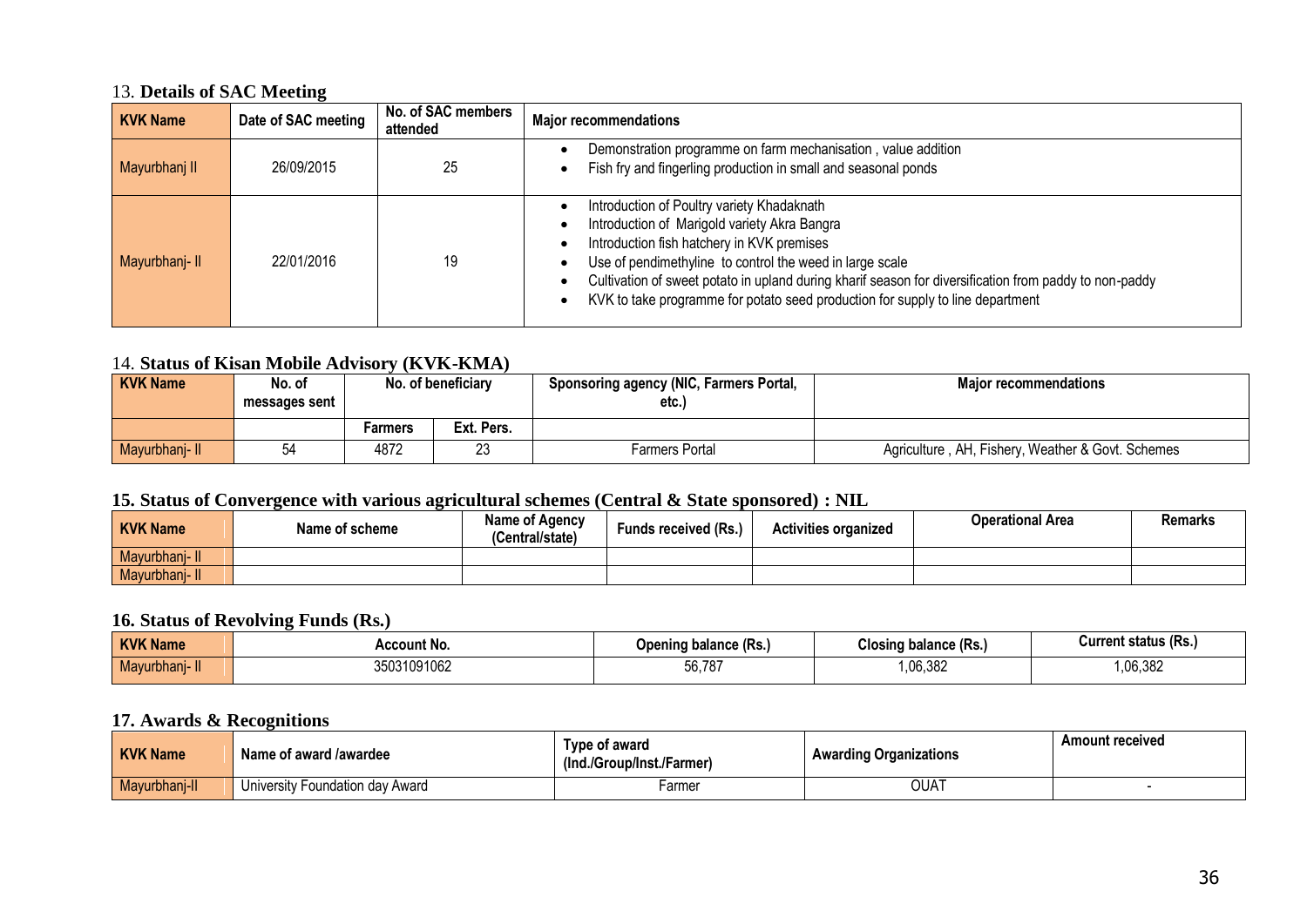#### 13. **Details of SAC Meeting**

| <b>KVK Name</b> | Date of SAC meeting | No. of SAC members<br>attended | <b>Major recommendations</b>                                                                                                                                                                                                                                                                                                                                                                     |
|-----------------|---------------------|--------------------------------|--------------------------------------------------------------------------------------------------------------------------------------------------------------------------------------------------------------------------------------------------------------------------------------------------------------------------------------------------------------------------------------------------|
| Mayurbhanj II   | 26/09/2015          | 25                             | Demonstration programme on farm mechanisation, value addition<br>Fish fry and fingerling production in small and seasonal ponds                                                                                                                                                                                                                                                                  |
| Mayurbhanj-II   | 22/01/2016          | 19                             | Introduction of Poultry variety Khadaknath<br>Introduction of Marigold variety Akra Bangra<br>Introduction fish hatchery in KVK premises<br>Use of pendimethyline to control the weed in large scale<br>Cultivation of sweet potato in upland during kharif season for diversification from paddy to non-paddy<br>KVK to take programme for potato seed production for supply to line department |

#### 14. **Status of Kisan Mobile Advisory (KVK-KMA)**

| <b>KVK Name</b> | No. of<br>messages sent | No. of beneficiary |            | <b>Sponsoring agency (NIC, Farmers Portal,</b><br>etc | <b>Maior recommendations</b>                      |
|-----------------|-------------------------|--------------------|------------|-------------------------------------------------------|---------------------------------------------------|
|                 |                         | Farmers            | Ext. Pers. |                                                       |                                                   |
| Mayurbhanj-II   | 54                      | 4872               | ົດ<br>∠ے   | Farmers Portal                                        | Agriculture, AH, Fishery, Weather & Govt. Schemes |

#### **15. Status of Convergence with various agricultural schemes (Central & State sponsored) : NIL**

| <b>KVK Name</b> | Name of scheme | Name of Agency<br>(Central/state) | <b>Funds received (Rs.)</b> | <b>Activities organized</b> | <b>Operational Area</b> | <b>Remarks</b> |
|-----------------|----------------|-----------------------------------|-----------------------------|-----------------------------|-------------------------|----------------|
| Mayurbhanj- I.  |                |                                   |                             |                             |                         |                |
| Mayurbhanj-II   |                |                                   |                             |                             |                         |                |

#### **16. Status of Revolving Funds (Rs.)**

| <b>KVKN</b><br><b>Name</b> | <b>CCOUN</b><br>: No | (KS.)<br>Opening balance i | Closing balance (Rs.) | Current status (Rs. |
|----------------------------|----------------------|----------------------------|-----------------------|---------------------|
| .<br>aviidili 7<br>uavur.  | 31091062<br>wuu      | 56,787                     | .06.382               | 06,382              |

#### **17. Awards & Recognitions**

| <b>KVK Name</b> | Name of award /awardee             | Type of award<br>(Ind./Group/Inst./Farmer) | <b>Awarding Organizations</b> | <b>Amount received</b> |
|-----------------|------------------------------------|--------------------------------------------|-------------------------------|------------------------|
| Mayurbhanj-II   | Foundation dav Award<br>Universit∖ | -armer                                     | OUAT                          |                        |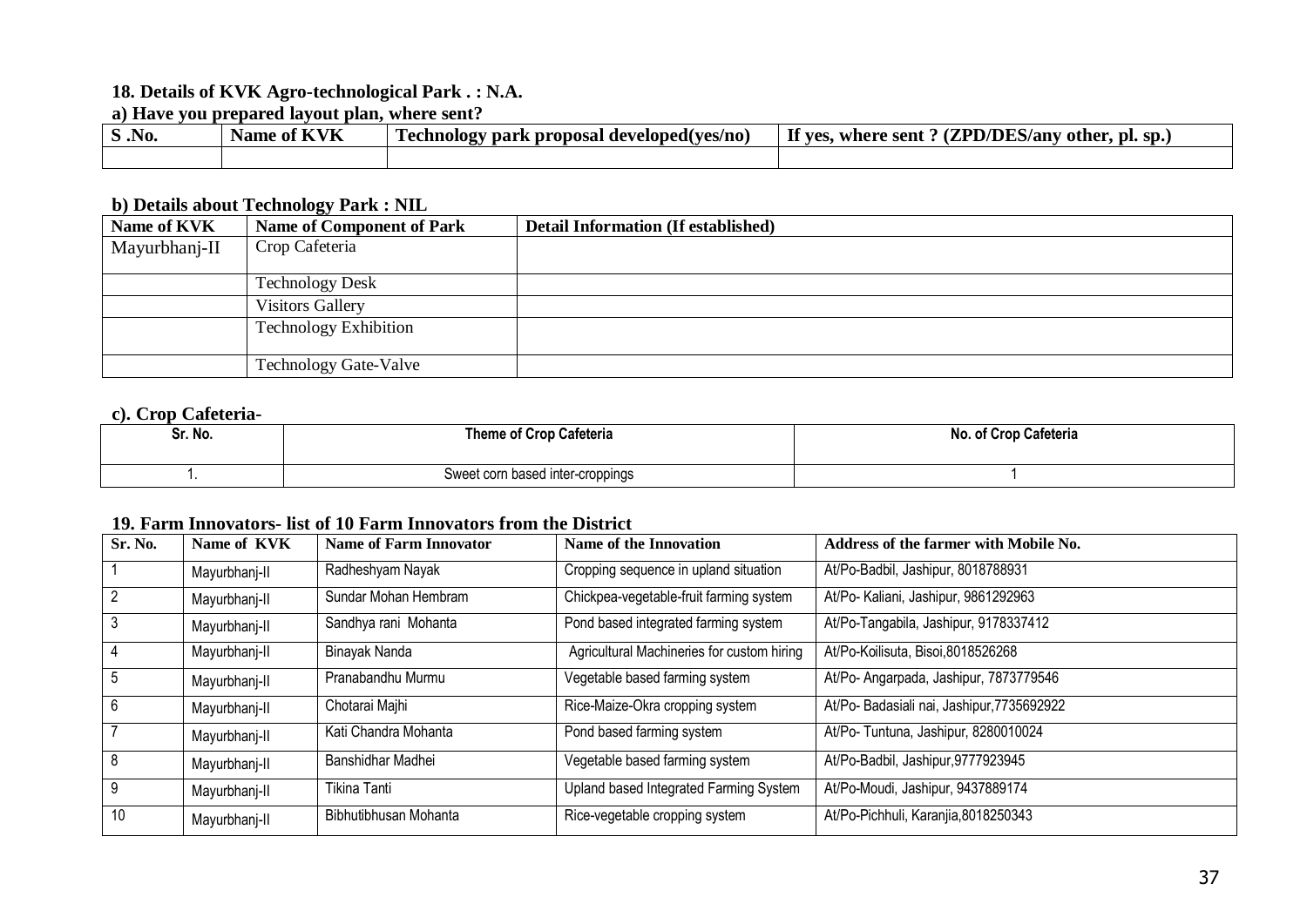#### **18. Details of KVK Agro-technological Park . : N.A.**

#### **a) Have you prepared layout plan, where sent?**

| $\vert$ S .No. | Name of KVK | Technology park proposal developed (ves/no) | If yes,<br>s, where sent ? $(ZPD/DES/any$ other, pl. sp.) |
|----------------|-------------|---------------------------------------------|-----------------------------------------------------------|
|                |             |                                             |                                                           |

#### **b) Details about Technology Park : NIL**

| Name of KVK   | <b>Name of Component of Park</b> | <b>Detail Information (If established)</b> |
|---------------|----------------------------------|--------------------------------------------|
| Mayurbhanj-II | Crop Cafeteria                   |                                            |
|               |                                  |                                            |
|               | <b>Technology Desk</b>           |                                            |
|               | <b>Visitors Gallery</b>          |                                            |
|               | <b>Technology Exhibition</b>     |                                            |
|               | <b>Technology Gate-Valve</b>     |                                            |

#### **c). Crop Cafeteria-**

| Sr. No. | Theme of Crop Cafeteria          | <b>Crop Cafeteria</b><br>No. |
|---------|----------------------------------|------------------------------|
|         | Sweet corn based inter-croppings |                              |

#### **19. Farm Innovators- list of 10 Farm Innovators from the District**

| Sr. No. | Name of KVK   | <b>Name of Farm Innovator</b> | Name of the Innovation                     | Address of the farmer with Mobile No.     |
|---------|---------------|-------------------------------|--------------------------------------------|-------------------------------------------|
|         | Mayurbhanj-II | Radheshyam Nayak              | Cropping sequence in upland situation      | At/Po-Badbil, Jashipur, 8018788931        |
|         | Mayurbhanj-II | Sundar Mohan Hembram          | Chickpea-vegetable-fruit farming system    | At/Po- Kaliani, Jashipur, 9861292963      |
|         | Mayurbhanj-II | Sandhya rani Mohanta          | Pond based integrated farming system       | At/Po-Tangabila, Jashipur, 9178337412     |
|         | Mayurbhanj-II | Binayak Nanda                 | Agricultural Machineries for custom hiring | At/Po-Koilisuta, Bisoi, 8018526268        |
| 5       | Mayurbhanj-II | Pranabandhu Murmu             | Vegetable based farming system             | At/Po- Angarpada, Jashipur, 7873779546    |
| 6       | Mayurbhanj-II | Chotarai Majhi                | Rice-Maize-Okra cropping system            | At/Po-Badasiali nai, Jashipur, 7735692922 |
|         | Mayurbhanj-II | Kati Chandra Mohanta          | Pond based farming system                  | At/Po- Tuntuna, Jashipur, 8280010024      |
| 8       | Mayurbhanj-II | Banshidhar Madhei             | Vegetable based farming system             | At/Po-Badbil, Jashipur, 9777923945        |
| 9       | Mayurbhanj-II | Tikina Tanti                  | Upland based Integrated Farming System     | At/Po-Moudi, Jashipur, 9437889174         |
| 10      | Mayurbhanj-II | Bibhutibhusan Mohanta         | Rice-vegetable cropping system             | At/Po-Pichhuli, Karanjia, 8018250343      |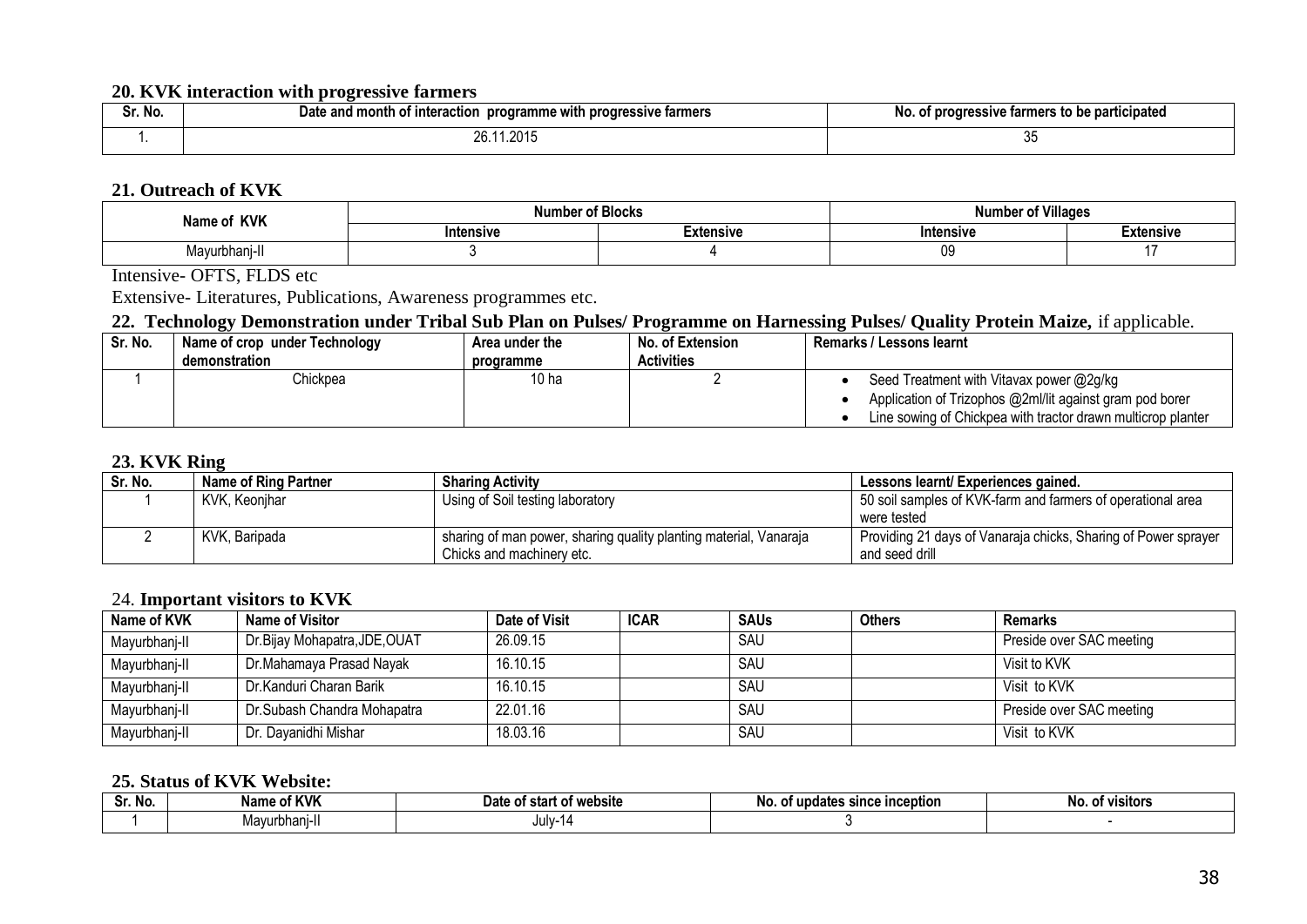#### **20. KVK interaction with progressive farmers**

| Sr. No. | and month of<br>e with progressive farmers<br>programme<br>Date<br>r interaction | f progressive farmers to be participated<br>טוו |
|---------|----------------------------------------------------------------------------------|-------------------------------------------------|
|         | .2015<br>' . ب                                                                   | v                                               |

#### **21. Outreach of KVK**

| <b>KVK</b><br>Name of | <br>Number | r of Villages<br><b>∙of Blocks</b><br>Number |                  |           |
|-----------------------|------------|----------------------------------------------|------------------|-----------|
|                       | Intensive  | Extensive                                    | <b>Intensive</b> | ≟xtensive |
| .<br>Mayurbhanı-II    |            |                                              | υIJ              |           |

Intensive- OFTS, FLDS etc

Extensive- Literatures, Publications, Awareness programmes etc.

#### 22. Technology Demonstration under Tribal Sub Plan on Pulses/ Programme on Harnessing Pulses/ Quality Protein Maize, if applicable.

| Sr. No. | Name of crop under Technology | Area under the | No. of Extension  | <b>Remarks / Lessons learnt</b>                              |
|---------|-------------------------------|----------------|-------------------|--------------------------------------------------------------|
|         | demonstration                 | programme      | <b>Activities</b> |                                                              |
|         | Chickpea                      | 10 ha          |                   | Seed Treatment with Vitavax power @2g/kg                     |
|         |                               |                |                   | Application of Trizophos @2ml/lit against gram pod borer     |
|         |                               |                |                   | Line sowing of Chickpea with tractor drawn multicrop planter |

#### **23. KVK Ring**

| Sr. No. | Name of Ring Partner | <b>Sharing Activity</b>                                           | Lessons learnt/ Experiences gained.                            |
|---------|----------------------|-------------------------------------------------------------------|----------------------------------------------------------------|
|         | KVK, Keonjhar        | Using of Soil testing laboratory                                  | 50 soil samples of KVK-farm and farmers of operational area    |
|         |                      |                                                                   | were tested                                                    |
|         | KVK. Baripada        | sharing of man power, sharing quality planting material, Vanaraja | Providing 21 days of Vanaraja chicks, Sharing of Power sprayer |
|         |                      | Chicks and machinery etc.                                         | and seed drill                                                 |

#### 24. **Important visitors to KVK**

| Name of KVK   | Name of Visitor               | Date of Visit | <b>ICAR</b> | <b>SAUs</b> | <b>Others</b> | <b>Remarks</b>           |
|---------------|-------------------------------|---------------|-------------|-------------|---------------|--------------------------|
| Mayurbhanj-II | Dr.Bijay Mohapatra, JDE, OUAT | 26.09.15      |             | SAU         |               | Preside over SAC meeting |
| Mayurbhanj-II | Dr.Mahamaya Prasad Nayak      | 16.10.15      |             | SAU         |               | Visit to KVK             |
| Mayurbhanj-II | Dr.Kanduri Charan Barik       | 16.10.15      |             | SAU         |               | Visit to KVK             |
| Mayurbhanj-II | Dr.Subash Chandra Mohapatra   | 22.01.16      |             | SAU         |               | Preside over SAC meeting |
| Mayurbhanj-II | Dr. Dayanidhi Mishar          | 18.03.16      |             | SAU         |               | Visit to KVK             |

#### **25. Status of KVK Website:**

| . .<br><b>NO</b><br>υı. | . of KVK<br>h I a wa<br>name | of website<br>ı)at<br>star<br>. OT W<br>c | t updates since inception<br>N0<br>ΩТ | No.<br><b>VISItors</b><br>וח |
|-------------------------|------------------------------|-------------------------------------------|---------------------------------------|------------------------------|
|                         | urbhani-il<br>יים<br>viavi   | July-14                                   |                                       |                              |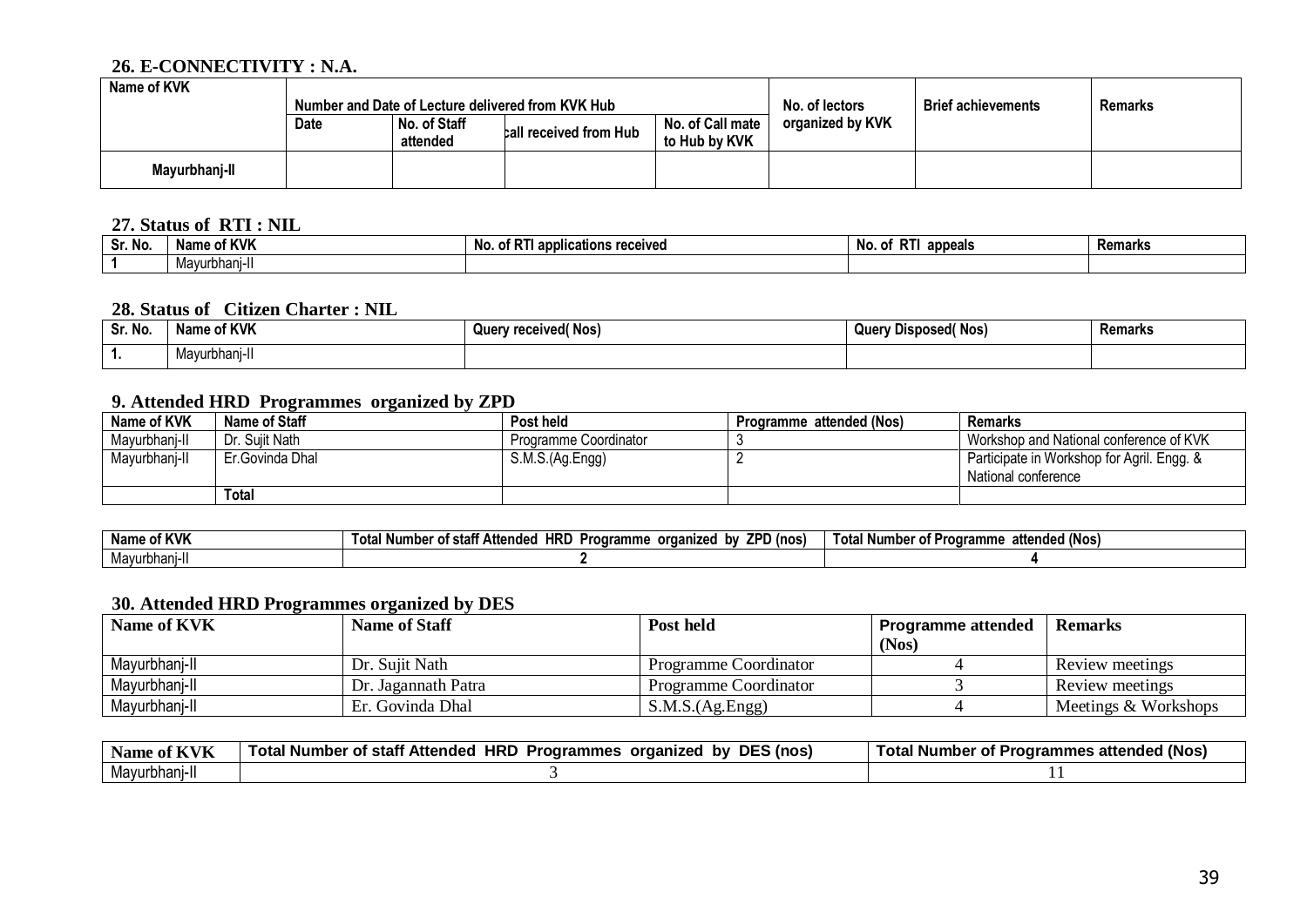#### **26. E-CONNECTIVITY : N.A.**

| Name of KVK<br>Number and Date of Lecture delivered from KVK Hub |             |                          | No. of lectors         | <b>Brief achievements</b>         | <b>Remarks</b>   |  |  |
|------------------------------------------------------------------|-------------|--------------------------|------------------------|-----------------------------------|------------------|--|--|
|                                                                  | <b>Date</b> | No. of Staff<br>attended | call received from Hub | No. of Call mate<br>to Hub by KVK | organized by KVK |  |  |
| Mayurbhanj-II                                                    |             |                          |                        |                                   |                  |  |  |

#### **27. Status of RTI : NIL**

| . .<br>Sr. No | of KVK<br>Name | No.<br><br>ons received<br>applica<br>OT. | --<br>הוח<br>appeals<br>к.<br>110. UL | Remarks |
|---------------|----------------|-------------------------------------------|---------------------------------------|---------|
|               | Mavurbhani-I   |                                           |                                       |         |

#### **28. Status of Citizen Charter : NIL**

| Sr. No. | of KVK<br>Nam. | $\sqrt{N}$ Nos,<br>Juer<br>received( | " Nos.<br>Ouer<br>ear<br>. IIEM | Remarks |
|---------|----------------|--------------------------------------|---------------------------------|---------|
| . .     | dvurbhar       |                                      |                                 |         |

## **9. Attended HRD Programmes organized by ZPD**

| Name of KVK   | Name of Staff   | <b>Post held</b>      | Programme attended (Nos) | Remarks                                    |
|---------------|-----------------|-----------------------|--------------------------|--------------------------------------------|
| Mayurbhanj-II | ∴ Sujit Nath    | Programme Coordinator |                          | Workshop and National conference of KVK    |
| Mayurbhanj-II | Er.Govinda Dhal | S.M.S.(Ag.Engg)       |                          | Participate in Workshop for Agril. Engg. & |
|               |                 |                       |                          | National conference                        |
|               | Total           |                       |                          |                                            |

| . N.<br><b>KVK</b><br>name | <b>HRL</b><br>7DF<br>. .<br>l (nos<br>hv<br>organized<br>^'<br>Attende<br>Number<br>Programme<br>' stan<br>u | <br>attended (Nos)<br>±otaï<br>∣ Numbe<br>OТ<br>roaramme |
|----------------------------|--------------------------------------------------------------------------------------------------------------|----------------------------------------------------------|
| Mayurbhanj-l               |                                                                                                              |                                                          |

#### **30. Attended HRD Programmes organized by DES**

| <b>Name of KVK</b> | <b>Name of Staff</b> | Post held             | <b>Programme attended</b> | <b>Remarks</b>       |
|--------------------|----------------------|-----------------------|---------------------------|----------------------|
|                    |                      |                       | (Nos)                     |                      |
| Mayurbhani-II      | Dr. Sujit Nath       | Programme Coordinator |                           | Review meetings      |
| Mayurbhani-II      | Dr. Jagannath Patra  | Programme Coordinator |                           | Review meetings      |
| Mayurbhanj-II      | Er. Govinda Dhal     | S.M.S.(Ag.Engg)       |                           | Meetings & Workshops |

| $ -$<br><b>Name</b><br>ot<br>$\mathbf{r}$ | <b>DES</b><br><b>HRD</b><br><sup>:</sup> Attended<br><b>Programmes</b><br>ì (nos<br>' Number<br>organized<br>Total N<br>bv<br>ot.<br>stan | tended (Nos)<br>Total Number<br><b>Programmes attended</b><br>0t |
|-------------------------------------------|-------------------------------------------------------------------------------------------------------------------------------------------|------------------------------------------------------------------|
| Mayurbhani-II                             |                                                                                                                                           |                                                                  |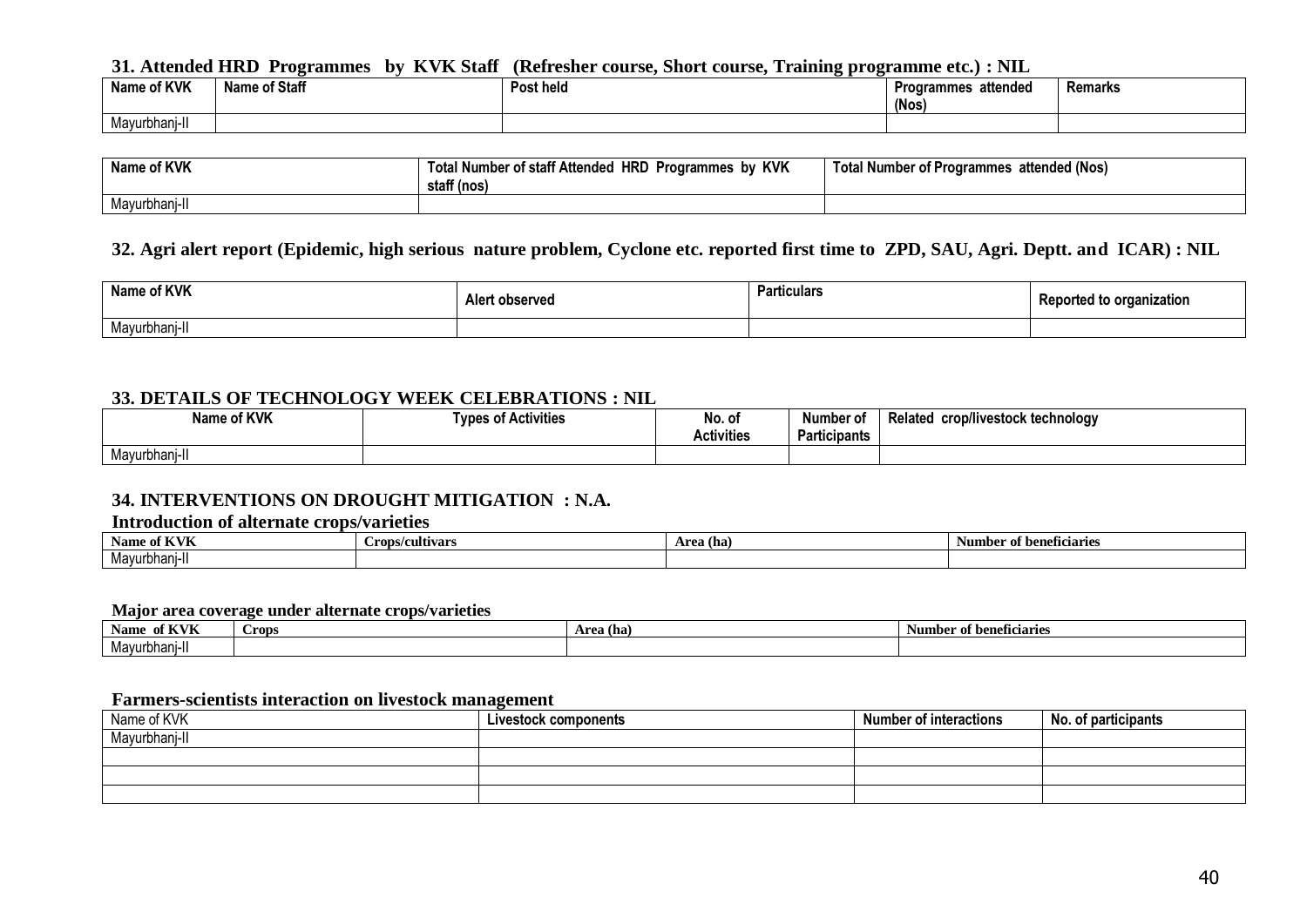#### **31. Attended HRD Programmes by KVK Staff (Refresher course, Short course, Training programme etc.) : NIL**

| of KVK<br>Name c | <b>Name of Staff</b> | Post held | attended<br>Programmes<br>(Nos) | Remarks |
|------------------|----------------------|-----------|---------------------------------|---------|
| Mayurbhanj-li    |                      |           |                                 |         |

| Name of KVK   | by KVK<br><b>HRD</b><br>l Number of staff Attended<br><b>Programmes</b><br>staff (nos) | I Number of Programmes attended (Nos)<br>Total |
|---------------|----------------------------------------------------------------------------------------|------------------------------------------------|
| Mayurbhanj-II |                                                                                        |                                                |

#### **32. Agri alert report (Epidemic, high serious nature problem, Cyclone etc. reported first time to ZPD, SAU, Agri. Deptt. and ICAR) : NIL**

| Name of KVK | Alert observed | Particulars | nzation<br>Jurted to organi⊤ |
|-------------|----------------|-------------|------------------------------|
| Mayurbhanj  |                |             |                              |

#### **33. DETAILS OF TECHNOLOGY WEEK CELEBRATIONS : NIL**

| Name of KVK   | .<br><b>Activities</b><br><b>LUDAS</b> | No. of<br><b>Activities</b> | Number of<br>.<br><b>Participants</b> | <br>crop/livestock technology<br><b>Related</b> |
|---------------|----------------------------------------|-----------------------------|---------------------------------------|-------------------------------------------------|
| Mayurbhanj-l. |                                        |                             |                                       |                                                 |

#### **34. INTERVENTIONS ON DROUGHT MITIGATION : N.A.**

#### **Introduction of alternate crops/varieties**

| $\mathbf f$ $\mathbf K$ $\mathbf V$<br>Aame<br>. v<br>n v n | Crops/cultivars | Area (ha) | of beneficiaries<br>Number |
|-------------------------------------------------------------|-----------------|-----------|----------------------------|
| . .<br>Mavurbhani-II                                        |                 |           |                            |

#### **Major area coverage under alternate crops/varieties**

| , , , , , ,<br><b>Name</b><br>01 NYN      | Crops | Area (ha) | Number of beneficiaries |
|-------------------------------------------|-------|-----------|-------------------------|
| $M_{\odot}$<br>Mavurbhani<br>11 – I<br>п. |       |           |                         |

#### **Farmers-scientists interaction on livestock management**

| Name of KVK  | Livestock components | <b>Number of interactions</b> | No. of participants |
|--------------|----------------------|-------------------------------|---------------------|
| Mayurbhanj-l |                      |                               |                     |
|              |                      |                               |                     |
|              |                      |                               |                     |
|              |                      |                               |                     |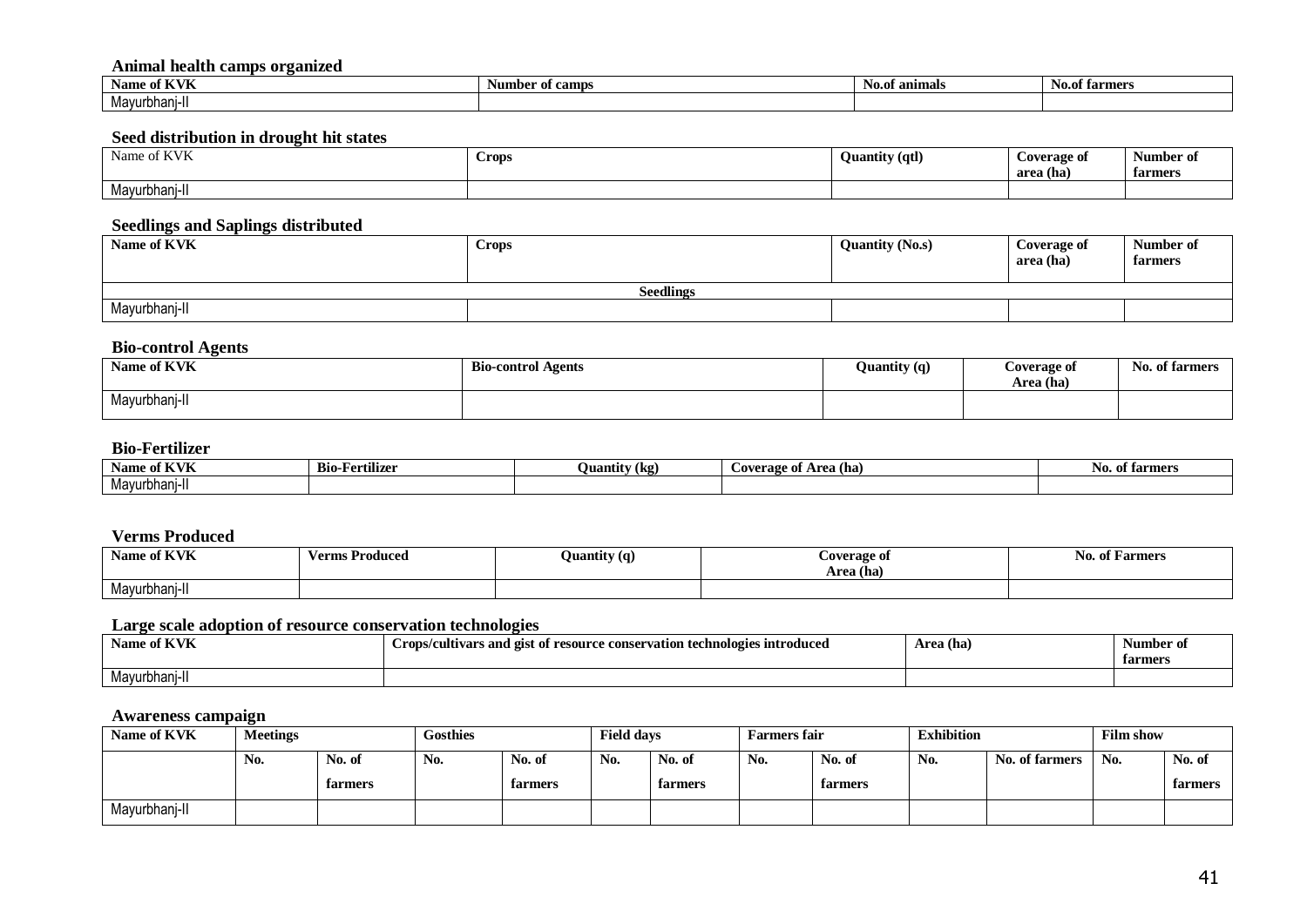#### **Animal health camps organized**

| е і⁄ VII<br>Name oi<br>n yn | er ot camps<br>- Numbe | . .<br>No.of animals | . .<br><b>No.of farmers</b> |
|-----------------------------|------------------------|----------------------|-----------------------------|
| Mavurbhani                  |                        |                      |                             |

#### **Seed distribution in drought hit states**

| of KVK<br>Name of | Crops | <b>Quantity (qtl)</b> | Coverage of<br>area (ha) | Number of<br>farmers |
|-------------------|-------|-----------------------|--------------------------|----------------------|
| Mayurbhanj-II     |       |                       |                          |                      |

#### **Seedlings and Saplings distributed**

| Name of KVK      | <b>Crops</b> | <b>Quantity (No.s)</b> | <b>Coverage of</b><br>area (ha) | Number of<br>farmers |  |  |  |  |
|------------------|--------------|------------------------|---------------------------------|----------------------|--|--|--|--|
| <b>Seedlings</b> |              |                        |                                 |                      |  |  |  |  |
| Mayurbhanj-II    |              |                        |                                 |                      |  |  |  |  |

#### **Bio-control Agents**

| Name of KVK   | <b>Bio-control Agents</b> | $\cdot \cdot$ | Coverage of | N <sub>0</sub> |
|---------------|---------------------------|---------------|-------------|----------------|
| $\mathbf{v}$  |                           | Quantity (q)  | Area (ha)   | . of farmers   |
| Mayurbhanj-II |                           |               |             |                |

#### **Bio-Fertilizer**

| Name of KVK   | Bio-l<br>. • • •<br>-Fertilizer | .<br>Juantity (kg)<br>– | Area (hal<br>Coverage of | <b>No. of farmers</b> |
|---------------|---------------------------------|-------------------------|--------------------------|-----------------------|
| Mavurbhani-II |                                 |                         |                          |                       |

#### **Verms Produced**

| Name of KVK   | Verms Produced | Quantity (q) | Coverage of<br>Area (ha) | of Farmers<br>- 190. |
|---------------|----------------|--------------|--------------------------|----------------------|
| Mayurbhanj-II |                |              |                          |                      |

#### **Large scale adoption of resource conservation technologies**

| <b>Name of KVK</b> | ร <b>ıntroduced</b><br>rops/cultivars and gist of <b>r</b> .<br>conservation technologies<br>esource | Area (ha) | Number<br>-01<br>farmers |
|--------------------|------------------------------------------------------------------------------------------------------|-----------|--------------------------|
| Mayurbhani-l       |                                                                                                      |           |                          |

#### **Awareness campaign**

| Name of KVK   | <b>Meetings</b>  |         | <b>Gosthies</b> |         | <b>Field days</b> |         | <b>Farmers fair</b> |         | <b>Exhibition</b> |                | <b>Film show</b> |         |
|---------------|------------------|---------|-----------------|---------|-------------------|---------|---------------------|---------|-------------------|----------------|------------------|---------|
|               | N <sub>0</sub> . | No. of  | No.             | No. of  | No.               | No. of  | No.                 | No. of  | No.               | No. of farmers | No.              | No. of  |
|               |                  | farmers |                 | farmers |                   | farmers |                     | farmers |                   |                |                  | farmers |
| Mayurbhanj-II |                  |         |                 |         |                   |         |                     |         |                   |                |                  |         |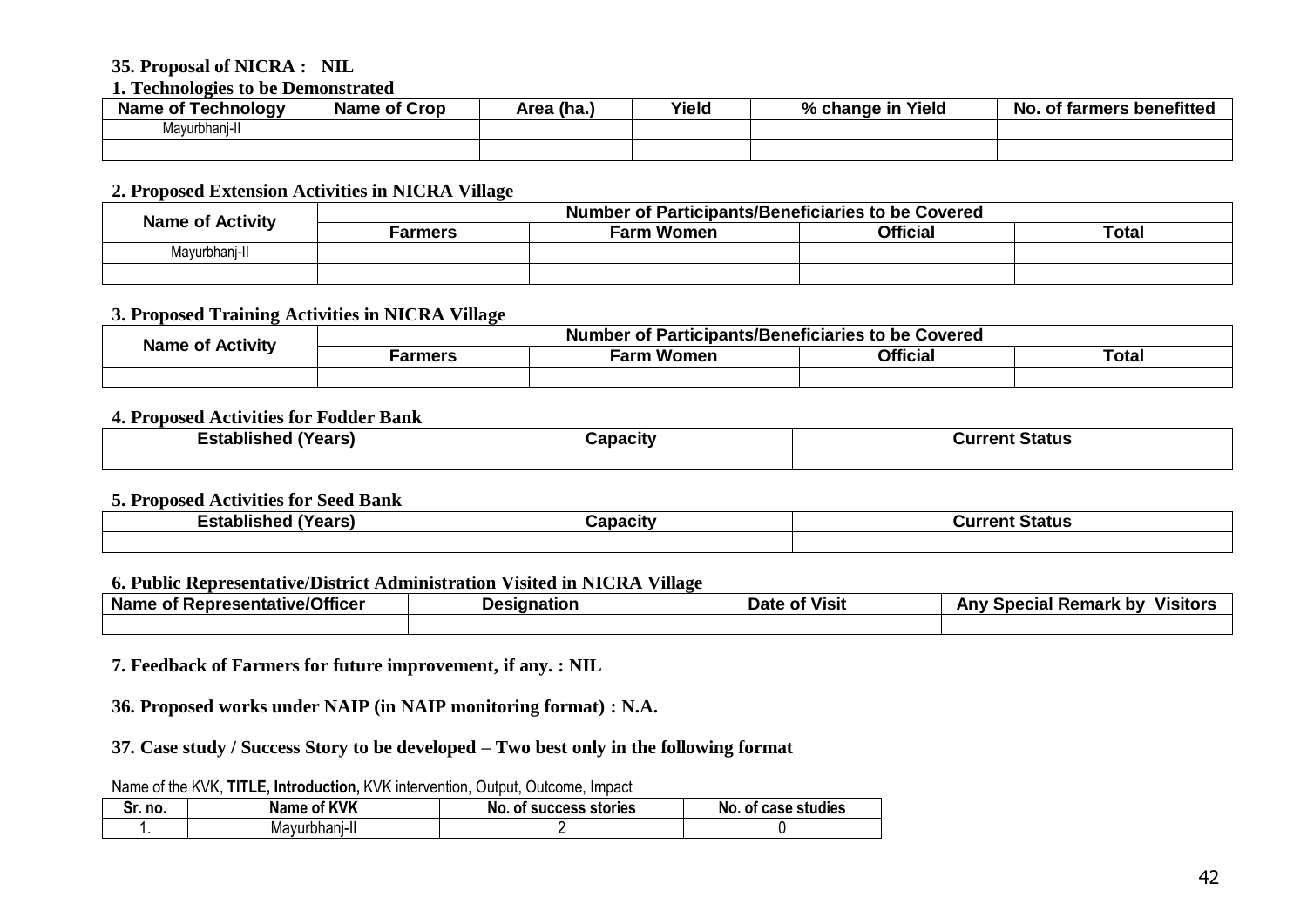#### **35. Proposal of NICRA : NIL**

#### **1. Technologies to be Demonstrated**

| Fechnoloav<br><b>Name</b><br>∍ot | <b>Name of Crop</b> | Area (ha.) | Yield | Yield<br>$\mathbf{a}$<br>% change in | of farmers benefitted<br>NO. |
|----------------------------------|---------------------|------------|-------|--------------------------------------|------------------------------|
| Mayurbhan<br>11-l                |                     |            |       |                                      |                              |
|                                  |                     |            |       |                                      |                              |

#### **2. Proposed Extension Activities in NICRA Village**

| <b>Name of Activity</b> | Number of Participants/Beneficiaries to be Covered |                   |                 |       |  |  |  |  |
|-------------------------|----------------------------------------------------|-------------------|-----------------|-------|--|--|--|--|
|                         | <b>Farmers</b>                                     | <b>Farm Women</b> | <b>Official</b> | Total |  |  |  |  |
| Mavurbhani-II           |                                                    |                   |                 |       |  |  |  |  |
|                         |                                                    |                   |                 |       |  |  |  |  |

#### **3. Proposed Training Activities in NICRA Village**

| <b>Name of Activity</b> | f Participants/Beneficiaries to be Covered<br>Number<br>ot. |               |                 |                   |
|-------------------------|-------------------------------------------------------------|---------------|-----------------|-------------------|
|                         | Farmers                                                     | ∙arm<br>Women | <b>Official</b> | <sup>-</sup> otal |
|                         |                                                             |               |                 |                   |

#### **4. Proposed Activities for Fodder Bank**

| $\cdots$<br>-011<br>- - -<br>онык<br>—əla<br>сав | `anaait<br>.GILV | $T$ , $\mu$ , $\sigma$ , $\sigma$<br>Status<br>⊸ur∙<br>31 I I |
|--------------------------------------------------|------------------|---------------------------------------------------------------|
|                                                  |                  |                                                               |

#### **5. Proposed Activities for Seed Bank**

| $\overline{\phantom{a}}$<br>-019<br>.<br>лізі<br>-Sid<br>$-11-$<br>. . | $\blacksquare$<br>т | Status<br>. |
|------------------------------------------------------------------------|---------------------|-------------|
|                                                                        |                     |             |

#### **6. Public Representative/District Administration Visited in NICRA Village**

| <b>Example 12</b> September 1997 - The September 1997<br>Name<br>OТ | esianation | <br>Date<br><b>Visit</b><br>ОТ | .<br>Remark<br>. bv<br>Anv<br>Special<br>Visitor.<br>ulid! - |
|---------------------------------------------------------------------|------------|--------------------------------|--------------------------------------------------------------|
|                                                                     |            |                                |                                                              |

**7. Feedback of Farmers for future improvement, if any. : NIL**

**36. Proposed works under NAIP (in NAIP monitoring format) : N.A.**

**37. Case study / Success Story to be developed – Two best only in the following format**

Name of the KVK, **TITLE, Introduction,** KVK intervention, Output, Outcome, Impact

| Sr. no. | f KVK<br>Name<br>01 | ' success stories<br>No. of | case studies<br>NO.<br>0T. |
|---------|---------------------|-----------------------------|----------------------------|
|         | Mavurbhani-II       |                             |                            |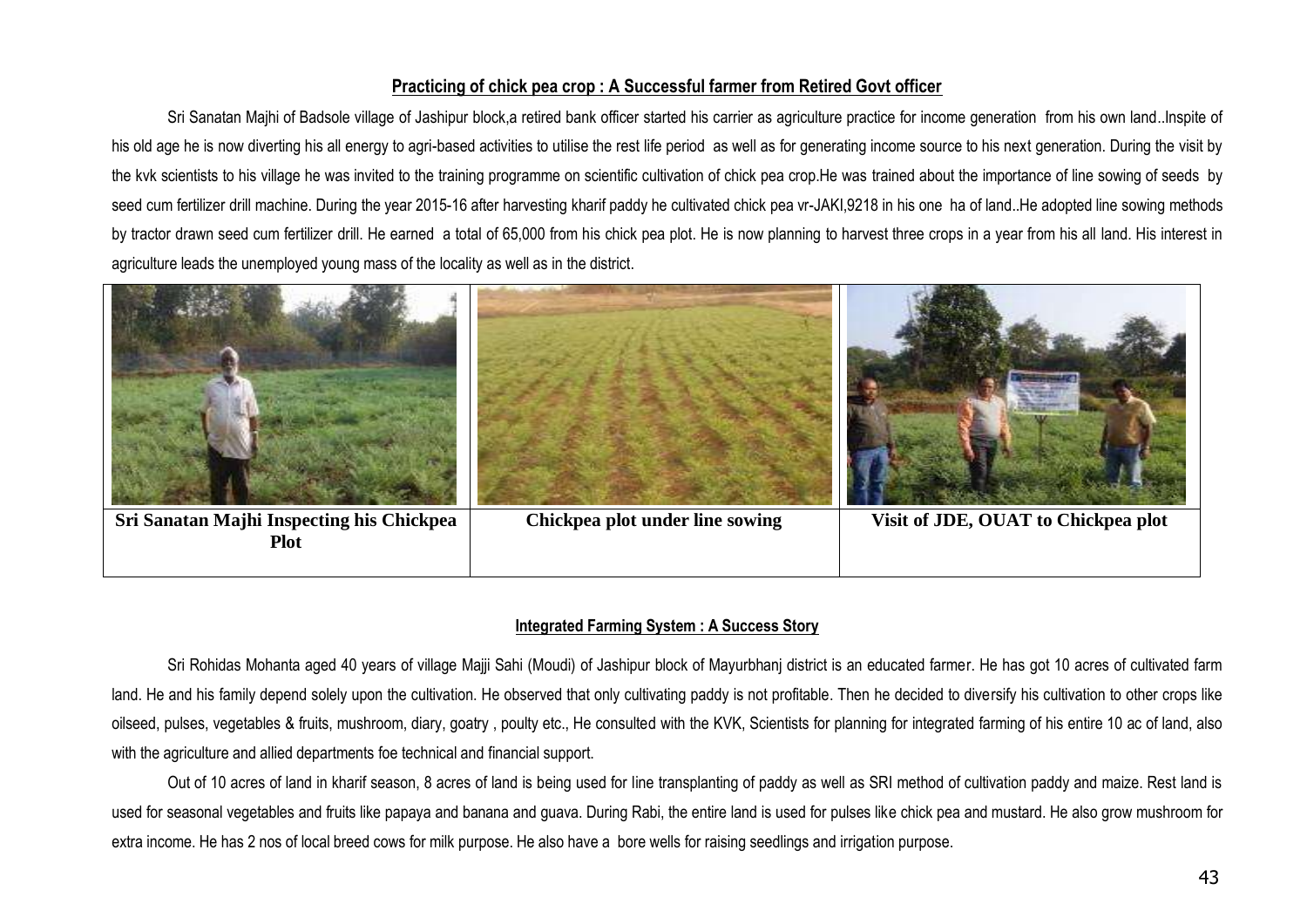#### **Practicing of chick pea crop : A Successful farmer from Retired Govt officer**

Sri Sanatan Majhi of Badsole village of Jashipur block,a retired bank officer started his carrier as agriculture practice for income generation from his own land..Inspite of his old age he is now diverting his all energy to agri-based activities to utilise the rest life period as well as for generating income source to his next generation. During the visit by the kvk scientists to his village he was invited to the training programme on scientific cultivation of chick pea crop.He was trained about the importance of line sowing of seeds by seed cum fertilizer drill machine. During the year 2015-16 after harvesting kharif paddy he cultivated chick pea vr-JAKI,9218 in his one ha of land..He adopted line sowing methods by tractor drawn seed cum fertilizer drill. He earned a total of 65,000 from his chick pea plot. He is now planning to harvest three crops in a year from his all land. His interest in agriculture leads the unemployed young mass of the locality as well as in the district.



#### **Integrated Farming System : A Success Story**

Sri Rohidas Mohanta aged 40 years of village Majji Sahi (Moudi) of Jashipur block of Mayurbhanj district is an educated farmer. He has got 10 acres of cultivated farm land. He and his family depend solely upon the cultivation. He observed that only cultivating paddy is not profitable. Then he decided to diversify his cultivation to other crops like oilseed, pulses, vegetables & fruits, mushroom, diary, goatry , poulty etc., He consulted with the KVK, Scientists for planning for integrated farming of his entire 10 ac of land, also with the agriculture and allied departments foe technical and financial support.

Out of 10 acres of land in kharif season, 8 acres of land is being used for line transplanting of paddy as well as SRI method of cultivation paddy and maize. Rest land is used for seasonal vegetables and fruits like papaya and banana and guava. During Rabi, the entire land is used for pulses like chick pea and mustard. He also grow mushroom for extra income. He has 2 nos of local breed cows for milk purpose. He also have a bore wells for raising seedlings and irrigation purpose.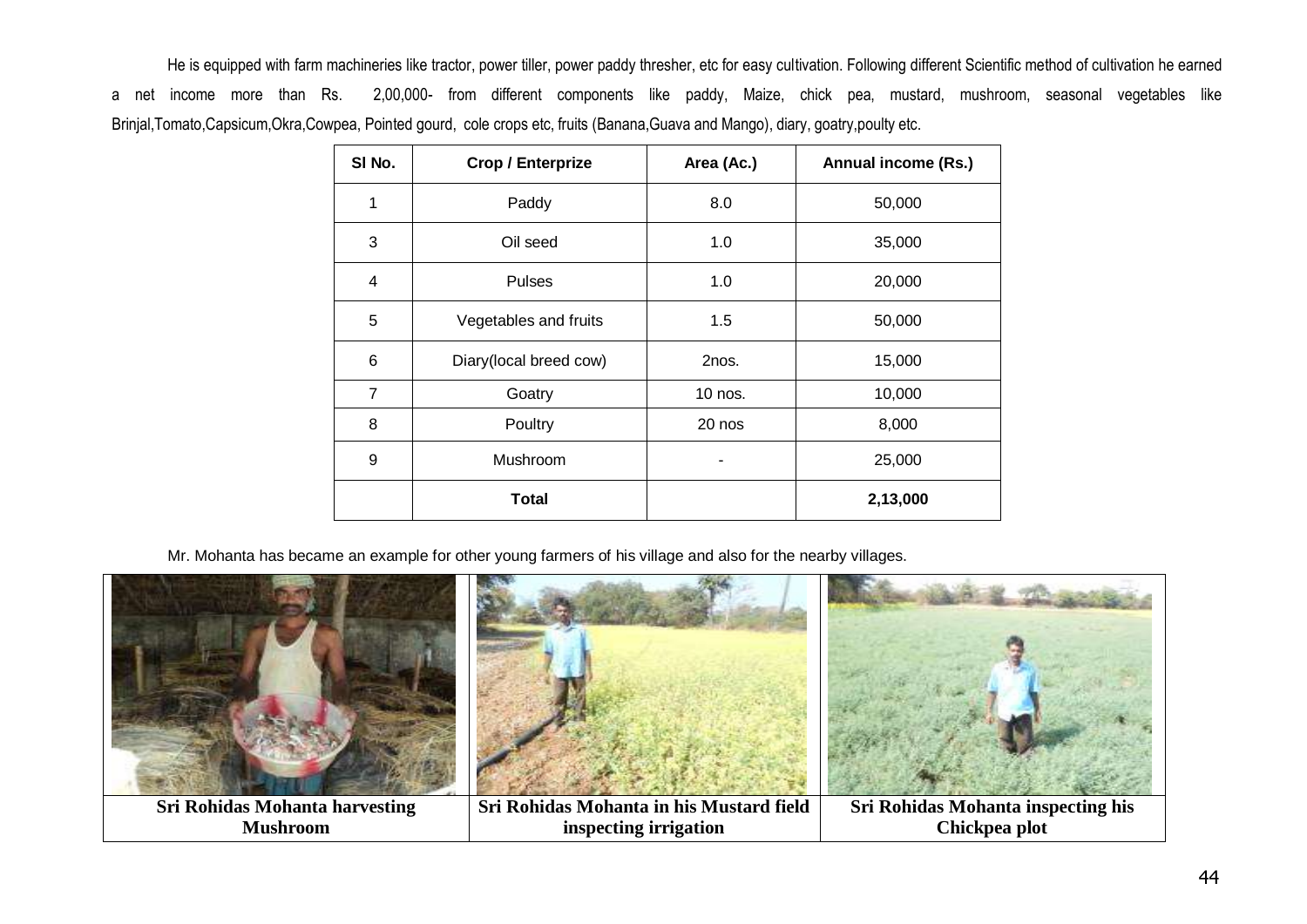He is equipped with farm machineries like tractor, power tiller, power paddy thresher, etc for easy cultivation. Following different Scientific method of cultivation he earned a net income more than Rs. 2,00,000- from different components like paddy, Maize, chick pea, mustard, mushroom, seasonal vegetables like Brinjal,Tomato,Capsicum,Okra,Cowpea, Pointed gourd, cole crops etc, fruits (Banana,Guava and Mango), diary, goatry,poulty etc.

| SI No.         | <b>Crop / Enterprize</b> | Area (Ac.) | Annual income (Rs.) |
|----------------|--------------------------|------------|---------------------|
| 1              | Paddy                    | 8.0        | 50,000              |
| 3              | Oil seed                 | 1.0        | 35,000              |
| $\overline{4}$ | <b>Pulses</b>            | 1.0        | 20,000              |
| 5              | Vegetables and fruits    | 1.5        | 50,000              |
| 6              | Diary(local breed cow)   | 2nos.      | 15,000              |
| $\overline{7}$ | Goatry                   | 10 nos.    | 10,000              |
| 8              | Poultry                  | 20 nos     | 8,000               |
| 9              | Mushroom                 |            | 25,000              |
|                | <b>Total</b>             |            | 2,13,000            |

Mr. Mohanta has became an example for other young farmers of his village and also for the nearby villages.

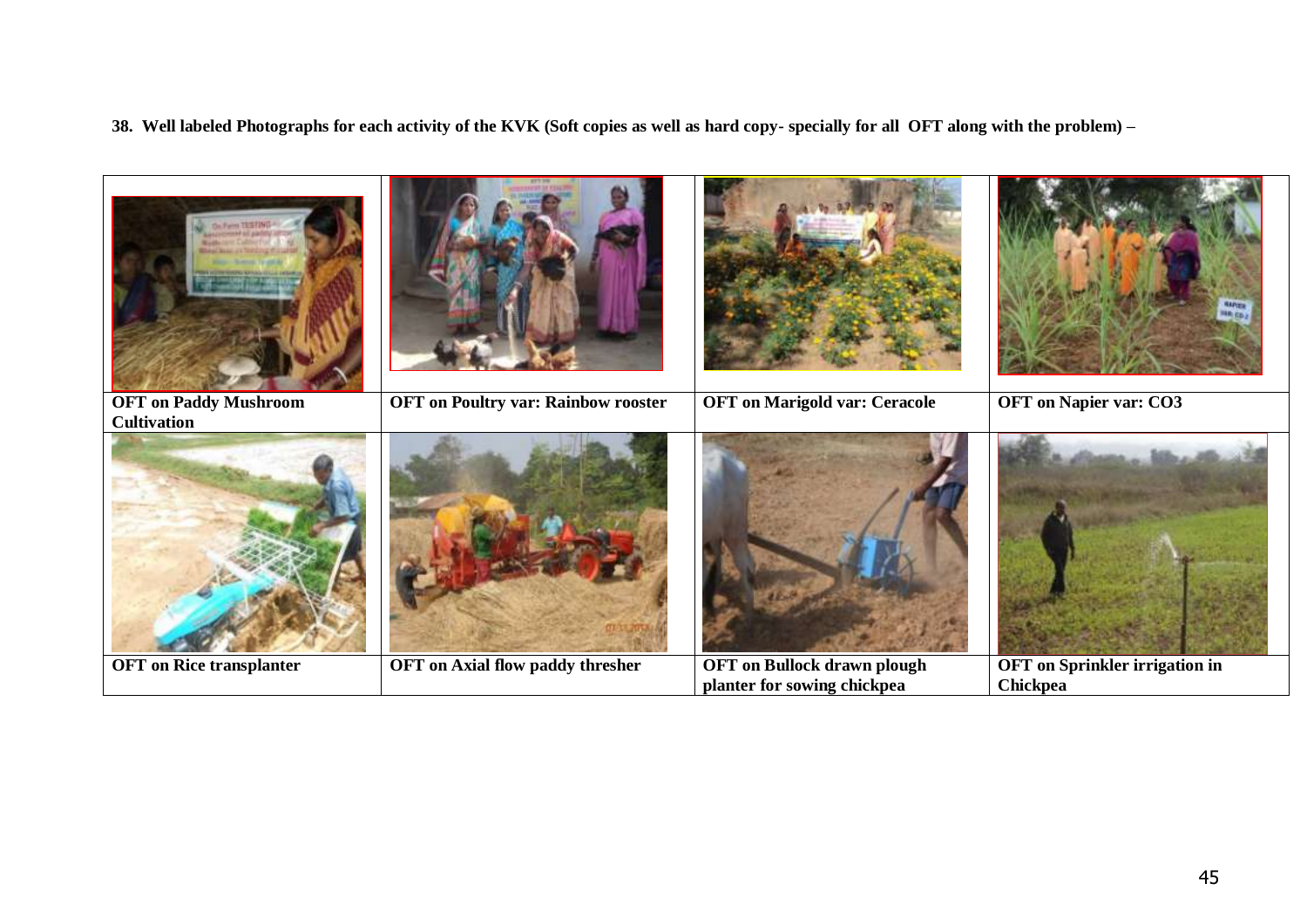#### **38. Well labeled Photographs for each activity of the KVK (Soft copies as well as hard copy- specially for all OFT along with the problem) –**